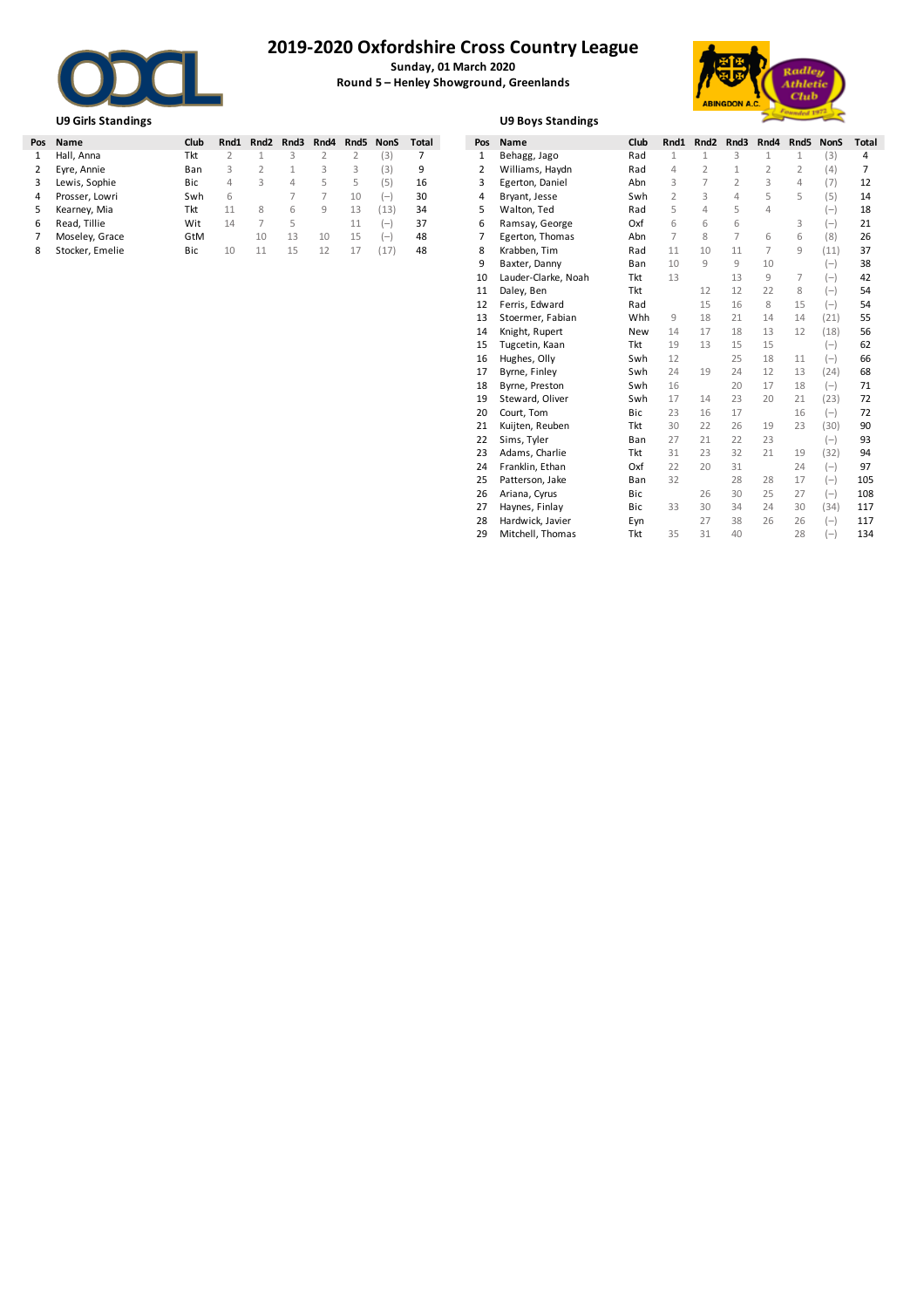

**Sunday, 01 March 2020 Round 5 – Henley Showground, Greenlands**



### **U9 Girls Standings U9 Boys Standings**

| <b>Pos</b> | <b>Name</b>    | Club            | Rnd1           | Rnd2 | Rnd3           | Rnd4 |    | Rnd5 NonS | Total     |
|------------|----------------|-----------------|----------------|------|----------------|------|----|-----------|-----------|
|            | Hall, Anna     | Tkt             |                |      |                |      |    | (3)       |           |
|            | Eyre, Annie    | Ban             |                |      |                |      |    | (3)       |           |
|            | Lewis, Sophie  | Bic             |                |      |                |      |    | (5)       | 16        |
| 4          | Prosser, Lowri | Swh             | b              |      |                |      | 10 | $(-)$     | 30        |
|            | Kearney, Mia   | Tkt             |                |      |                |      |    | 13)       | 34        |
|            | Read. Tillie   | Wit             | 14             |      |                |      |    | $(-)$     | 37        |
|            | Moseley, Grace | GtM             |                | 10   | 13             |      |    | $(-1)$    | 48        |
|            | Ctocker Emplie | D <sub>ic</sub> | 1 <sub>0</sub> | 11   | 1 <sup>2</sup> |      | 17 | (17)      | $\Lambda$ |

| Pos | Name            | Club | Rnd1 | Rnd <sub>2</sub> | Rnd3           | Rnd4           | Rnd5           | <b>NonS</b> | Total          | Pos | Name                | Club | Rnd1           | Rnd <sub>2</sub> | Rnd3           | Rnd4           | Rnd <sub>5</sub> | <b>NonS</b> | <b>Total</b>   |
|-----|-----------------|------|------|------------------|----------------|----------------|----------------|-------------|----------------|-----|---------------------|------|----------------|------------------|----------------|----------------|------------------|-------------|----------------|
| 1   | Hall, Anna      | Tkt  | 2    | 1                | 3              | $\overline{2}$ | $\overline{2}$ | (3)         | $\overline{7}$ |     | Behagg, Jago        | Rad  | $\mathbf{1}$   | $\mathbf{1}$     | 3              |                |                  | (3)         | 4              |
| 2   | Eyre, Annie     | Ban  | 3    | $\overline{2}$   | $\overline{1}$ | 3              | 3              | (3)         | 9              | 2   | Williams, Haydn     | Rad  | $\overline{4}$ | 2                | $\mathbf{1}$   | $\overline{2}$ | $\overline{2}$   | (4)         | $\overline{7}$ |
| 3   | Lewis, Sophie   | Bic  | 4    | 3                | 4              | 5              | 5              | (5)         | 16             | Э   | Egerton, Daniel     | Abn  | 3              | 7                | $\overline{2}$ | 3              | 4                | (7)         | 12             |
| 4   | Prosser, Lowri  | Swh  | 6    |                  | 7              | 7              | 10             | $(-)$       | 30             | 4   | Bryant, Jesse       | Swh  | $\overline{2}$ | 3                | 4              | 5              | 5                | (5)         | 14             |
| 5   | Kearney, Mia    | Tkt  | 11   | 8                | 6              | 9              | 13             | (13)        | 34             | 5   | Walton, Ted         | Rad  | 5              | 4                | 5              | $\overline{4}$ |                  | $(-)$       | 18             |
| 6   | Read, Tillie    | Wit  | 14   | 7                | 5              |                | 11             | $(-)$       | 37             | 6   | Ramsay, George      | Oxf  | 6              | 6                | 6              |                | 3                | $(-)$       | 21             |
| 7   | Moseley, Grace  | GtM  |      | 10               | 13             | 10             | 15             | $(-)$       | 48             |     | Egerton, Thomas     | Abn  | $\overline{7}$ | 8                | 7              | 6              | 6                | (8)         | 26             |
| 8   | Stocker, Emelie | Bic  | 10   | 11               | 15             | 12             | 17             | (17)        | 48             | 8   | Krabben, Tim        | Rad  | 11             | 10               | 11             | 7              | 9                | (11)        | 37             |
|     |                 |      |      |                  |                |                |                |             |                | 9   | Baxter, Danny       | Ban  | 10             | 9                | 9              | 10             |                  | $(-)$       | 38             |
|     |                 |      |      |                  |                |                |                |             |                | 10  | Lauder-Clarke, Noah | Tkt  | 13             |                  | 13             | 9              | 7                | $(-)$       | 42             |
|     |                 |      |      |                  |                |                |                |             |                | 11  | Daley, Ben          | Tkt  |                | 12               | 12             | 22             | 8                | $(-)$       | 54             |
|     |                 |      |      |                  |                |                |                |             |                | 12  | Ferris, Edward      | Rad  |                | 15               | 16             | 8              | 15               | $(-)$       | 54             |
|     |                 |      |      |                  |                |                |                |             |                | 13  | Stoermer, Fabian    | Whh  | 9              | 18               | 21             | 14             | 14               | (21)        | 55             |
|     |                 |      |      |                  |                |                |                |             |                | 14  | Knight, Rupert      | New  | 14             | 17               | 18             | 13             | 12               | (18)        | 56             |
|     |                 |      |      |                  |                |                |                |             |                | 15  | Tugcetin, Kaan      | Tkt  | 19             | 13               | 15             | 15             |                  | $(-)$       | 62             |
|     |                 |      |      |                  |                |                |                |             |                | 16  | Hughes, Olly        | Swh  | 12             |                  | 25             | 18             | 11               | $(-)$       | 66             |
|     |                 |      |      |                  |                |                |                |             |                | 17  | Byrne, Finley       | Swh  | 24             | 19               | 24             | 12             | 13               | (24)        | 68             |
|     |                 |      |      |                  |                |                |                |             |                | 18  | Byrne, Preston      | Swh  | 16             |                  | 20             | 17             | 18               | $(-)$       | 71             |
|     |                 |      |      |                  |                |                |                |             |                | 19  | Steward, Oliver     | Swh  | 17             | 14               | 23             | 20             | 21               | (23)        | 72             |
|     |                 |      |      |                  |                |                |                |             |                | 20  | Court, Tom          | Bic  | 23             | 16               | 17             |                | 16               | $(-)$       | 72             |
|     |                 |      |      |                  |                |                |                |             |                | 21  | Kuijten, Reuben     | Tkt  | 30             | 22               | 26             | 19             | 23               | (30)        | 90             |
|     |                 |      |      |                  |                |                |                |             |                | 22  | Sims, Tyler         | Ban  | 27             | 21               | 22             | 23             |                  | $(-)$       | 93             |
|     |                 |      |      |                  |                |                |                |             |                | 23  | Adams, Charlie      | Tkt  | 31             | 23               | 32             | 21             | 19               | (32)        | 94             |
|     |                 |      |      |                  |                |                |                |             |                | 24  | Franklin, Ethan     | Oxf  | 22             | 20               | 31             |                | 24               | $(-)$       | 97             |
|     |                 |      |      |                  |                |                |                |             |                | 25  | Patterson, Jake     | Ban  | 32             |                  | 28             | 28             | 17               | $(-)$       | 105            |
|     |                 |      |      |                  |                |                |                |             |                | 26  | Ariana, Cyrus       | Bic  |                | 26               | 30             | 25             | 27               | $(-)$       | 108            |
|     |                 |      |      |                  |                |                |                |             |                | 27  | Haynes, Finlay      | Bic  | 33             | 30               | 34             | 24             | 30               | (34)        | 117            |
|     |                 |      |      |                  |                |                |                |             |                | 28  | Hardwick, Javier    | Eyn  |                | 27               | 38             | 26             | 26               | $(-)$       | 117            |
|     |                 |      |      |                  |                |                |                |             |                | 29  | Mitchell, Thomas    | Tkt  | 35             | 31               | 40             |                | 28               | $(-)$       | 134            |
|     |                 |      |      |                  |                |                |                |             |                |     |                     |      |                |                  |                |                |                  |             |                |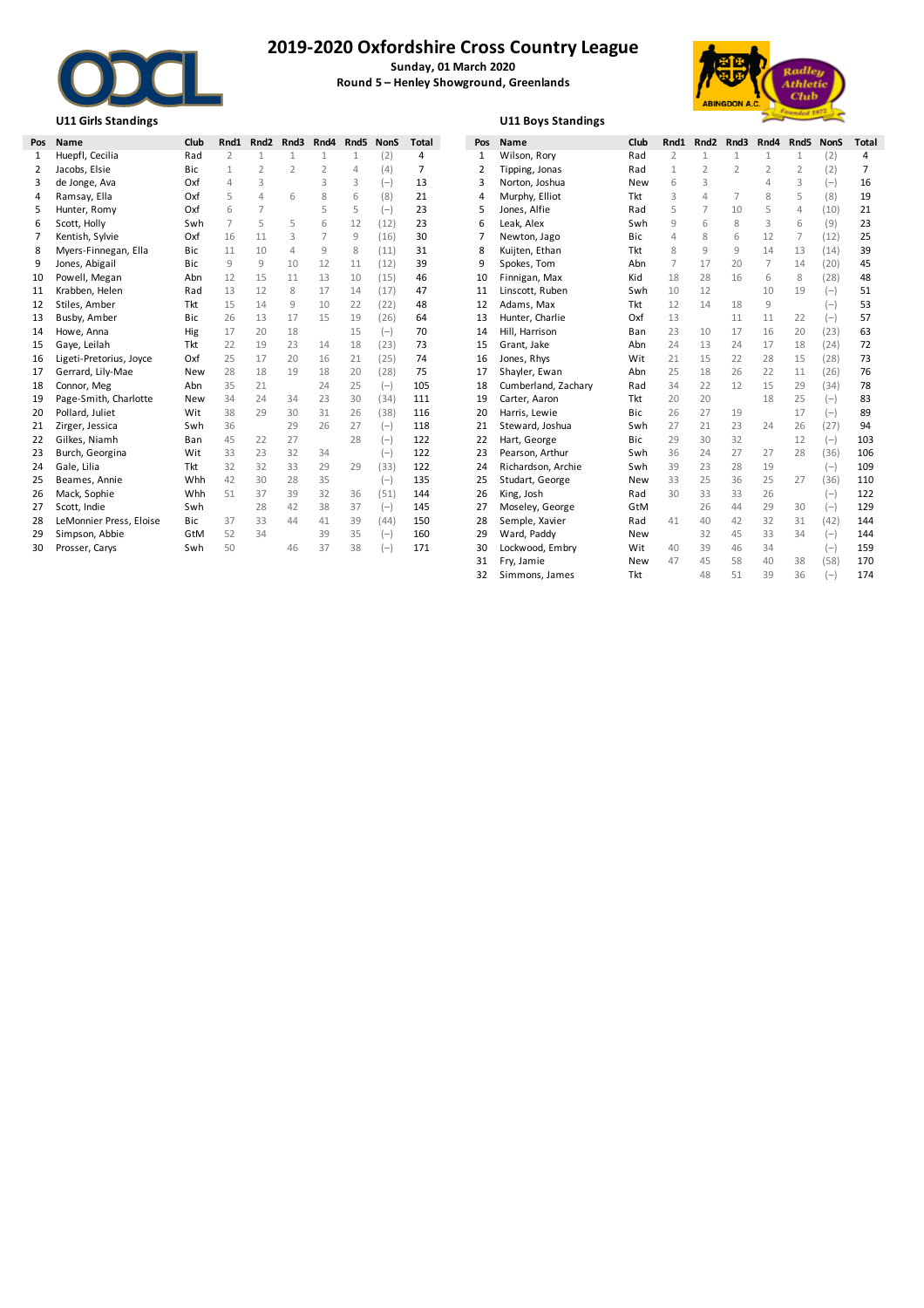

**Round 5 – Henley Showground, Greenlands Sunday, 01 March 2020**



**U11 Girls Standings U11 Boys Standings**

| Pos | Name                    | Club | Rnd1           | Rnd <sub>2</sub> | Rnd3           | Rnd4           |    | Rnd5 NonS | Total | Pos | Name                | Club | Rnd1           | Rnd <sub>2</sub> | Rnd3           | Rnd4     | Rnd <sub>5</sub> | <b>NonS</b> | Total          |
|-----|-------------------------|------|----------------|------------------|----------------|----------------|----|-----------|-------|-----|---------------------|------|----------------|------------------|----------------|----------|------------------|-------------|----------------|
|     | Huepfl, Cecilia         | Rad  | $\overline{2}$ |                  |                |                |    | (2)       | 4     |     | Wilson, Rory        | Rad  | $\overline{2}$ |                  |                |          |                  | (2)         | 4              |
|     | Jacobs, Elsie           | Bic  |                | $\overline{2}$   | $\overline{2}$ | $\overline{2}$ | 4  | (4)       | 7     |     | Tipping, Jonas      | Rad  | 1              | $\overline{2}$   | $\overline{2}$ |          | $\overline{2}$   | (2)         | $\overline{7}$ |
| 3   | de Jonge, Ava           | Oxf  | 4              | 3                |                | 3              | 3  | $(-)$     | 13    | 3   | Norton, Joshua      | New  | 6              | 3                |                | $\Delta$ | 3                | $(-)$       | 16             |
|     | Ramsay, Ella            | Oxf  | 5              | 4                | 6              | 8              | 6  | (8)       | 21    |     | Murphy, Elliot      | Tkt  | 3              | 4                | 7              | 8        | 5                | (8)         | 19             |
| 5   | Hunter, Romy            | Oxf  | 6              | 7                |                | 5              | 5  | $(-)$     | 23    | 5   | Jones, Alfie        | Rad  | 5              |                  | 10             | 5        | 4                | (10)        | 21             |
| 6   | Scott, Holly            | Swh  | 7              | 5                | 5              | 6              | 12 | (12)      | 23    | 6   | Leak. Alex          | Swh  | 9              | 6                | 8              | 3        | 6                | (9)         | 23             |
|     | Kentish, Sylvie         | Oxf  | 16             | 11               | 3              |                | 9  | (16)      | 30    |     | Newton, Jago        | Bic  | Δ              | 8                | 6              | 12       | 7                | (12)        | 25             |
| 8   | Myers-Finnegan, Ella    | Bic  | 11             | 10               | 4              | 9              | 8  | (11)      | 31    | 8   | Kuijten, Ethan      | Tkt  | 8              | 9                | 9              | 14       | 13               | (14)        | 39             |
| 9   | Jones, Abigail          | Bic  | 9              | 9                | 10             | 12             | 11 | (12)      | 39    | ٩   | Spokes, Tom         | Abn  |                | 17               | 20             | 7        | 14               | (20)        | 45             |
| 10  | Powell, Megan           | Abn  | 12             | 15               | 11             | 13             | 10 | (15)      | 46    | 10  | Finnigan, Max       | Kid  | 18             | 28               | 16             | 6        | 8                | (28)        | 48             |
| 11  | Krabben, Helen          | Rad  | 13             | 12               | 8              | 17             | 14 | (17)      | 47    | 11  | Linscott. Ruben     | Swh  | 10             | 12               |                | 10       | 19               | $(-)$       | 51             |
| 12  | Stiles, Amber           | Tkt  | 15             | 14               | 9              | 10             | 22 | (22)      | 48    | 12  | Adams, Max          | Tkt  | 12             | 14               | 18             | 9        |                  | $(-)$       | 53             |
| 13  | Busby, Amber            | Bic  | 26             | 13               | 17             | 15             | 19 | (26)      | 64    | 13  | Hunter, Charlie     | Oxf  | 13             |                  | 11             | 11       | 22               | $(-)$       | 57             |
| 14  | Howe, Anna              | Hig  | 17             | 20               | 18             |                | 15 | $(-)$     | 70    | 14  | Hill, Harrison      | Ban  | 23             | 10               | 17             | 16       | 20               | (23)        | 63             |
| 15  | Gaye, Leilah            | Tkt  | 22             | 19               | 23             | 14             | 18 | (23)      | 73    | 15  | Grant. Jake         | Abn  | 24             | 13               | 24             | 17       | 18               | (24)        | 72             |
| 16  | Ligeti-Pretorius, Joyce | Oxf  | 25             | 17               | 20             | 16             | 21 | (25)      | 74    | 16  | Jones, Rhys         | Wit  | 21             | 15               | 22             | 28       | 15               | (28)        | 73             |
| 17  | Gerrard, Lily-Mae       | New  | 28             | 18               | 19             | 18             | 20 | (28)      | 75    | 17  | Shayler, Ewan       | Abn  | 25             | 18               | 26             | 22       | 11               | (26)        | 76             |
| 18  | Connor, Meg             | Abn  | 35             | 21               |                | 24             | 25 | $(-)$     | 105   | 18  | Cumberland, Zachary | Rad  | 34             | 22               | 12             | 15       | 29               | (34)        | 78             |
| 19  | Page-Smith, Charlotte   | New  | 34             | 24               | 34             | 23             | 30 | (34)      | 111   | 19  | Carter, Aaron       | Tkt  | 20             | 20               |                | 18       | 25               | $(-)$       | 83             |
| 20  | Pollard, Juliet         | Wit  | 38             | 29               | 30             | 31             | 26 | (38)      | 116   | 20  | Harris, Lewie       | Bic  | 26             | 27               | 19             |          | 17               | $(-)$       | 89             |
| 21  | Zirger, Jessica         | Swh  | 36             |                  | 29             | 26             | 27 | $(-)$     | 118   | 21  | Steward, Joshua     | Swh  | 27             | 21               | 23             | 24       | 26               | (27)        | 94             |
| 22  | Gilkes, Niamh           | Ban  | 45             | 22               | 27             |                | 28 | $(-)$     | 122   | 22  | Hart, George        | Bic  | 29             | 30               | 32             |          | 12               | $(-)$       | 103            |
| 23  | Burch, Georgina         | Wit  | 33             | 23               | 32             | 34             |    | $(-)$     | 122   | 23  | Pearson, Arthur     | Swh  | 36             | 24               | 27             | 27       | 28               | (36)        | 106            |
| 24  | Gale, Lilia             | Tkt  | 32             | 32               | 33             | 29             | 29 | (33)      | 122   | 24  | Richardson, Archie  | Swh  | 39             | 23               | 28             | 19       |                  | $(-)$       | 109            |
| 25  | Beames, Annie           | Whh  | 42             | 30               | 28             | 35             |    | $(-)$     | 135   | 25  | Studart, George     | New  | 33             | 25               | 36             | 25       | 27               | (36)        | 110            |
| 26  | Mack, Sophie            | Whh  | 51             | 37               | 39             | 32             | 36 | (51)      | 144   | 26  | King, Josh          | Rad  | 30             | 33               | 33             | 26       |                  | $(-)$       | 122            |
| 27  | Scott, Indie            | Swh  |                | 28               | 42             | 38             | 37 | $(-)$     | 145   | 27  | Moseley, George     | GtM  |                | 26               | 44             | 29       | 30               | $(-)$       | 129            |
| 28  | LeMonnier Press, Eloise | Bic  | 37             | 33               | 44             | 41             | 39 | (44)      | 150   | 28  | Semple, Xavier      | Rad  | 41             | 40               | 42             | 32       | 31               | (42)        | 144            |
| 29  | Simpson, Abbie          | GtM  | 52             | 34               |                | 39             | 35 | $(-)$     | 160   | 29  | Ward, Paddy         | New  |                | 32               | 45             | 33       | 34               | $(-)$       | 144            |
| 30  | Prosser. Carvs          | Swh  | 50             |                  | 46             | 37             | 38 |           | 171   | 30  | Lockwood. Embrv     | Wit  | 40             | 39               | 46             | 34       |                  |             | 159            |

| Pos | Name                    | Club | Rnd1           | Rnd <sub>2</sub> | Rnd3           | Rnd4           | Rnd <sub>5</sub> | <b>NonS</b> | Total | Pos | Name                | Club | Rnd1           | Rnd <sub>2</sub> | Rnd3           | Rnd4           | Rnd <sub>5</sub> | <b>NonS</b> | <b>Total</b>   |
|-----|-------------------------|------|----------------|------------------|----------------|----------------|------------------|-------------|-------|-----|---------------------|------|----------------|------------------|----------------|----------------|------------------|-------------|----------------|
| 1   | Huepfl, Cecilia         | Rad  | $\overline{2}$ |                  |                |                | 1                | (2)         | 4     |     | Wilson, Rory        | Rad  | $\overline{2}$ |                  | 1              |                |                  | (2)         | 4              |
|     | Jacobs, Elsie           | Bic  | 1              | $\overline{2}$   | $\overline{2}$ | $\overline{2}$ | 4                | (4)         | 7     | 2   | Tipping, Jonas      | Rad  | $\mathbf{1}$   | 2                | $\overline{2}$ | $\overline{2}$ | $\overline{2}$   | (2)         | $\overline{7}$ |
| 3   | de Jonge, Ava           | Oxf  | 4              | 3                |                | 3              | 3                | $(-)$       | 13    | 3   | Norton, Joshua      | New  | 6              | 3                |                | 4              | 3                | $(-)$       | 16             |
| 4   | Ramsay, Ella            | Oxf  | 5              | $\overline{4}$   | 6              | 8              | 6                | (8)         | 21    | 4   | Murphy, Elliot      | Tkt  | 3              | 4                | 7              | 8              | 5                | (8)         | 19             |
| 5   | Hunter, Romy            | Oxf  | 6              | 7                |                | 5              | 5                | $(-)$       | 23    | 5   | Jones, Alfie        | Rad  | 5              | 7                | 10             | 5              | 4                | (10)        | 21             |
| 6   | Scott, Holly            | Swh  | 7              | 5                | 5              | 6              | 12               | (12)        | 23    | 6   | Leak, Alex          | Swh  | 9              | 6                | 8              | 3              | 6                | (9)         | 23             |
| 7   | Kentish, Sylvie         | Oxf  | 16             | 11               | 3              | $\overline{7}$ | 9                | (16)        | 30    | 7   | Newton, Jago        | Bic  | $\overline{4}$ | 8                | 6              | 12             | 7                | (12)        | 25             |
| 8   | Myers-Finnegan, Ella    | Bic  | 11             | 10               | 4              | 9              | 8                | (11)        | 31    | 8   | Kuijten, Ethan      | Tkt  | 8              | 9                | 9              | 14             | 13               | (14)        | 39             |
| 9   | Jones, Abigail          | Bic  | 9              | 9                | 10             | 12             | 11               | (12)        | 39    | 9   | Spokes, Tom         | Abn  | $\overline{7}$ | 17               | 20             | 7              | 14               | (20)        | 45             |
| 10  | Powell, Megan           | Abn  | 12             | 15               | 11             | 13             | 10               | (15)        | 46    | 10  | Finnigan, Max       | Kid  | 18             | 28               | 16             | 6              | 8                | (28)        | 48             |
| 11  | Krabben, Helen          | Rad  | 13             | 12               | 8              | 17             | 14               | (17)        | 47    | 11  | Linscott, Ruben     | Swh  | 10             | 12               |                | 10             | 19               | $(-)$       | 51             |
| 12  | Stiles, Amber           | Tkt  | 15             | 14               | 9              | 10             | 22               | (22)        | 48    | 12  | Adams, Max          | Tkt  | 12             | 14               | 18             | 9              |                  | $(-)$       | 53             |
| 13  | Busby, Amber            | Bic  | 26             | 13               | 17             | 15             | 19               | (26)        | 64    | 13  | Hunter, Charlie     | Oxf  | 13             |                  | 11             | 11             | 22               | $(-)$       | 57             |
| 14  | Howe, Anna              | Hig  | 17             | 20               | 18             |                | 15               | $(-)$       | 70    | 14  | Hill. Harrison      | Ban  | 23             | 10               | 17             | 16             | 20               | (23)        | 63             |
| 15  | Gaye, Leilah            | Tkt  | 22             | 19               | 23             | 14             | 18               | (23)        | 73    | 15  | Grant, Jake         | Abn  | 24             | 13               | 24             | 17             | 18               | (24)        | 72             |
| 16  | Ligeti-Pretorius, Joyce | Oxf  | 25             | 17               | 20             | 16             | 21               | (25)        | 74    | 16  | Jones, Rhys         | Wit  | 21             | 15               | 22             | 28             | 15               | (28)        | 73             |
| 17  | Gerrard, Lily-Mae       | New  | 28             | 18               | 19             | 18             | 20               | (28)        | 75    | 17  | Shayler, Ewan       | Abn  | 25             | 18               | 26             | 22             | 11               | (26)        | 76             |
| 18  | Connor, Meg             | Abn  | 35             | 21               |                | 24             | 25               | $(-)$       | 105   | 18  | Cumberland, Zachary | Rad  | 34             | 22               | 12             | 15             | 29               | (34)        | 78             |
| 19  | Page-Smith, Charlotte   | New  | 34             | 24               | 34             | 23             | 30               | (34)        | 111   | 19  | Carter, Aaron       | Tkt  | 20             | 20               |                | 18             | 25               | $(-)$       | 83             |
| 20  | Pollard, Juliet         | Wit  | 38             | 29               | 30             | 31             | 26               | (38)        | 116   | 20  | Harris. Lewie       | Bic  | 26             | 27               | 19             |                | 17               | $(-)$       | 89             |
| 21  | Zirger, Jessica         | Swh  | 36             |                  | 29             | 26             | 27               | $(-)$       | 118   | 21  | Steward, Joshua     | Swh  | 27             | 21               | 23             | 24             | 26               | (27)        | 94             |
| 22  | Gilkes, Niamh           | Ban  | 45             | 22               | 27             |                | 28               | $(-)$       | 122   | 22  | Hart, George        | Bic  | 29             | 30               | 32             |                | 12               | $(-)$       | 103            |
| 23  | Burch, Georgina         | Wit  | 33             | 23               | 32             | 34             |                  | $(-)$       | 122   | 23  | Pearson, Arthur     | Swh  | 36             | 24               | 27             | 27             | 28               | (36)        | 106            |
| 24  | Gale, Lilia             | Tkt  | 32             | 32               | 33             | 29             | 29               | (33)        | 122   | 24  | Richardson, Archie  | Swh  | 39             | 23               | 28             | 19             |                  | $(-)$       | 109            |
| 25  | Beames, Annie           | Whh  | 42             | 30               | 28             | 35             |                  | $(-)$       | 135   | 25  | Studart, George     | New  | 33             | 25               | 36             | 25             | 27               | (36)        | 110            |
| 26  | Mack, Sophie            | Whh  | 51             | 37               | 39             | 32             | 36               | (51)        | 144   | 26  | King, Josh          | Rad  | 30             | 33               | 33             | 26             |                  | $(-)$       | 122            |
| 27  | Scott, Indie            | Swh  |                | 28               | 42             | 38             | 37               | $(-)$       | 145   | 27  | Moseley, George     | GtM  |                | 26               | 44             | 29             | 30               | $(-)$       | 129            |
| 28  | LeMonnier Press, Eloise | Bic  | 37             | 33               | 44             | 41             | 39               | (44)        | 150   | 28  | Semple, Xavier      | Rad  | 41             | 40               | 42             | 32             | 31               | (42)        | 144            |
| 29  | Simpson, Abbie          | GtM  | 52             | 34               |                | 39             | 35               | $(-)$       | 160   | 29  | Ward, Paddy         | New  |                | 32               | 45             | 33             | 34               | $(-)$       | 144            |
| 30  | Prosser, Carys          | Swh  | 50             |                  | 46             | 37             | 38               | $(-)$       | 171   | 30  | Lockwood, Embry     | Wit  | 40             | 39               | 46             | 34             |                  | $(-)$       | 159            |
|     |                         |      |                |                  |                |                |                  |             |       | 31  | Fry, Jamie          | New  | 47             | 45               | 58             | 40             | 38               | (58)        | 170            |
|     |                         |      |                |                  |                |                |                  |             |       | 32  | Simmons, James      | Tkt  |                | 48               | 51             | 39             | 36               | $(-)$       | 174            |
|     |                         |      |                |                  |                |                |                  |             |       |     |                     |      |                |                  |                |                |                  |             |                |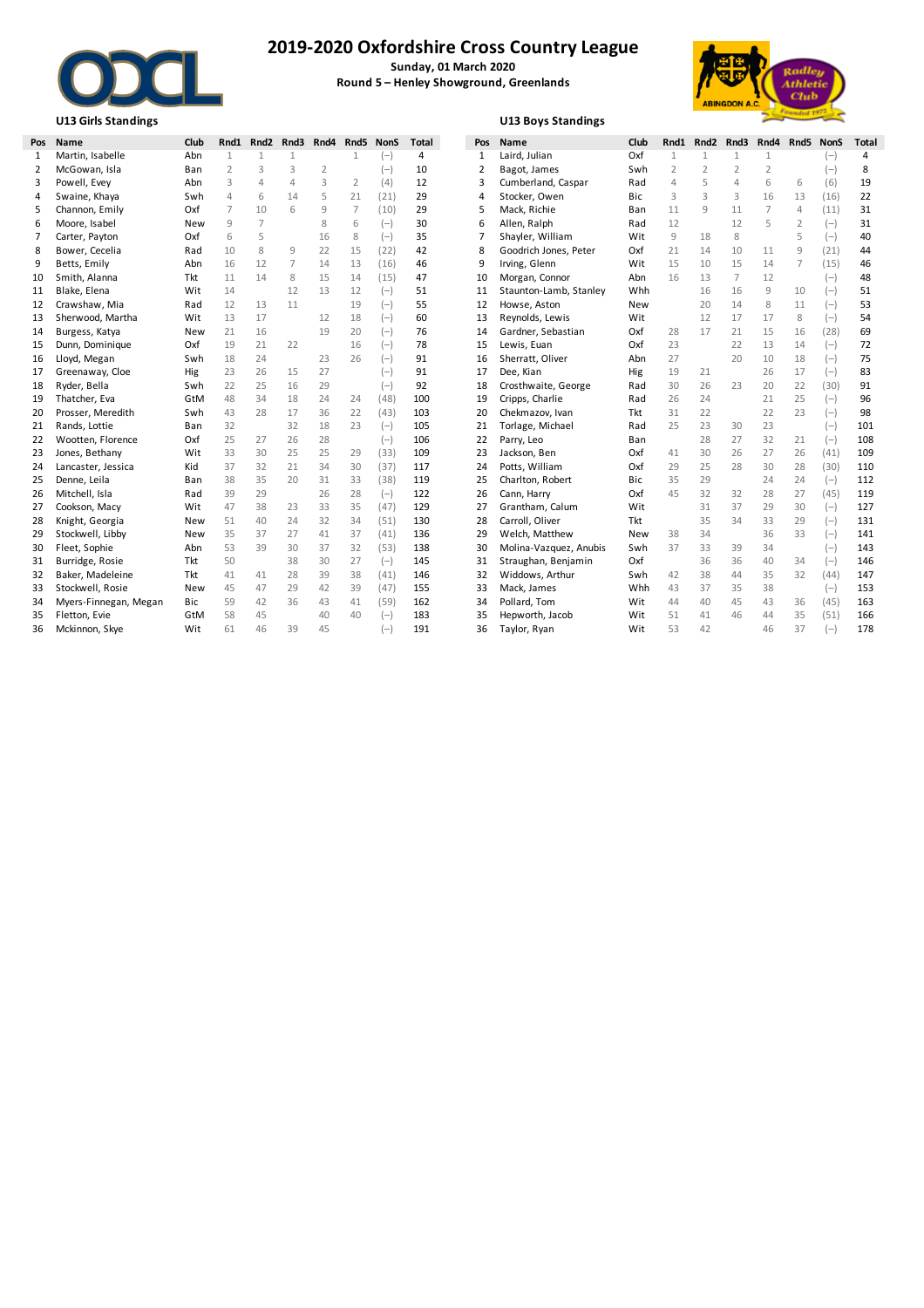

**Sunday, 01 March 2020 Round 5 – Henley Showground, Greenlands**



### **U13 Girls Standings U13 Boys Standings**

| Pos | <b>Name</b>           | Club | Rnd1           | Rnd <sub>2</sub> | Rnd3 |                | Rnd4 Rnd5      | <b>NonS</b> | Total | Pos            | <b>Name</b>            | Club | Rnd1           | Rnd <sub>2</sub> | Rnd3           | Rnd4 Rnd5      |                | <b>NonS</b> | Total |
|-----|-----------------------|------|----------------|------------------|------|----------------|----------------|-------------|-------|----------------|------------------------|------|----------------|------------------|----------------|----------------|----------------|-------------|-------|
| 1   | Martin, Isabelle      | Abn  | $\mathbf{1}$   | $\mathbf{1}$     | 1    |                | $\mathbf{1}$   | $(-)$       | 4     | 1              | Laird. Julian          | Oxf  | $\mathbf{1}$   | $\mathbf{1}$     | 1              | $\mathbf{1}$   |                | $(-$        | 4     |
| 2   | McGowan, Isla         | Ban  | $\overline{2}$ | 3                | 3    | $\overline{2}$ |                | $(-)$       | 10    | $\overline{2}$ | Bagot, James           | Swh  | $\overline{2}$ | $\overline{2}$   | $\overline{2}$ | $\overline{2}$ |                | $(-)$       | 8     |
| 3   | Powell, Evey          | Abn  | 3              | $\overline{4}$   | 4    | 3              | $\overline{2}$ | (4)         | 12    | 3              | Cumberland, Caspar     | Rad  | $\overline{4}$ | 5                | 4              | 6              | 6              | (6)         | 19    |
| 4   | Swaine, Khaya         | Swh  | $\overline{4}$ | 6                | 14   | 5              | 21             | (21)        | 29    | 4              | Stocker, Owen          | Bic  | 3              | 3                | 3              | 16             | 13             | (16)        | 22    |
| 5   | Channon, Emily        | Oxf  | 7              | 10               | 6    | 9              | $\overline{7}$ | (10)        | 29    | 5              | Mack, Richie           | Ban  | 11             | 9                | 11             | 7              | 4              | (11)        | 31    |
| 6   | Moore, Isabel         | New  | 9              | $\overline{7}$   |      | 8              | 6              | $(-)$       | 30    | 6              | Allen, Ralph           | Rad  | 12             |                  | 12             | 5              | $\overline{2}$ | $(-)$       | 31    |
| 7   | Carter, Payton        | Oxf  | 6              | 5                |      | 16             | 8              | $(-)$       | 35    | 7              | Shayler, William       | Wit  | 9              | 18               | 8              |                | 5              | $(-)$       | 40    |
| 8   | Bower, Cecelia        | Rad  | 10             | 8                | 9    | 22             | 15             | (22)        | 42    | 8              | Goodrich Jones, Peter  | Oxf  | 21             | 14               | 10             | 11             | 9              | (21)        | 44    |
| 9   | Betts, Emily          | Abn  | 16             | 12               | 7    | 14             | 13             | (16)        | 46    | 9              | Irving, Glenn          | Wit  | 15             | 10               | 15             | 14             | $\overline{7}$ | (15)        | 46    |
| 10  | Smith, Alanna         | Tkt  | 11             | 14               | 8    | 15             | 14             | (15)        | 47    | 10             | Morgan, Connor         | Abn  | 16             | 13               | 7              | 12             |                | $(-)$       | 48    |
| 11  | Blake, Elena          | Wit  | 14             |                  | 12   | 13             | 12             | $(-)$       | 51    | 11             | Staunton-Lamb, Stanley | Whh  |                | 16               | 16             | 9              | 10             | $(-)$       | 51    |
| 12  | Crawshaw, Mia         | Rad  | 12             | 13               | 11   |                | 19             | $(-)$       | 55    | 12             | Howse, Aston           | New  |                | 20               | 14             | 8              | 11             | $(-)$       | 53    |
| 13  | Sherwood, Martha      | Wit  | 13             | 17               |      | 12             | 18             | $(-)$       | 60    | 13             | Reynolds, Lewis        | Wit  |                | 12               | 17             | 17             | 8              | $(-)$       | 54    |
| 14  | Burgess, Katya        | New  | 21             | 16               |      | 19             | 20             | $(-)$       | 76    | 14             | Gardner, Sebastian     | Oxf  | 28             | 17               | 21             | 15             | 16             | (28)        | 69    |
| 15  | Dunn, Dominique       | Oxf  | 19             | 21               | 22   |                | 16             | $(-)$       | 78    | 15             | Lewis, Euan            | Oxf  | 23             |                  | 22             | 13             | 14             | $(-)$       | 72    |
| 16  | Lloyd, Megan          | Swh  | 18             | 24               |      | 23             | 26             | $(-)$       | 91    | 16             | Sherratt, Oliver       | Abn  | 27             |                  | 20             | 10             | 18             | $(-)$       | 75    |
| 17  | Greenaway, Cloe       | Hig  | 23             | 26               | 15   | 27             |                | $(-)$       | 91    | 17             | Dee, Kian              | Hig  | 19             | 21               |                | 26             | 17             | $(-)$       | 83    |
| 18  | Ryder, Bella          | Swh  | 22             | 25               | 16   | 29             |                | $(-)$       | 92    | 18             | Crosthwaite, George    | Rad  | 30             | 26               | 23             | 20             | 22             | (30)        | 91    |
| 19  | Thatcher, Eva         | GtM  | 48             | 34               | 18   | 24             | 24             | (48)        | 100   | 19             | Cripps, Charlie        | Rad  | 26             | 24               |                | 21             | 25             | $(-)$       | 96    |
| 20  | Prosser, Meredith     | Swh  | 43             | 28               | 17   | 36             | 22             | (43)        | 103   | 20             | Chekmazov, Ivan        | Tkt  | 31             | 22               |                | 22             | 23             | $(-)$       | 98    |
| 21  | Rands, Lottie         | Ban  | 32             |                  | 32   | 18             | 23             | $(-)$       | 105   | 21             | Torlage, Michael       | Rad  | 25             | 23               | 30             | 23             |                | $(-)$       | 101   |
| 22  | Wootten, Florence     | Oxf  | 25             | 27               | 26   | 28             |                | $(-)$       | 106   | 22             | Parry, Leo             | Ban  |                | 28               | 27             | 32             | 21             | $(-)$       | 108   |
| 23  | Jones, Bethany        | Wit  | 33             | 30               | 25   | 25             | 29             | (33)        | 109   | 23             | Jackson, Ben           | Oxf  | 41             | 30               | 26             | 27             | 26             | (41)        | 109   |
| 24  | Lancaster, Jessica    | Kid  | 37             | 32               | 21   | 34             | 30             | (37)        | 117   | 24             | Potts. William         | Oxf  | 29             | 25               | 28             | 30             | 28             | (30)        | 110   |
| 25  | Denne, Leila          | Ban  | 38             | 35               | 20   | 31             | 33             | (38)        | 119   | 25             | Charlton, Robert       | Bic  | 35             | 29               |                | 24             | 24             | $(-)$       | 112   |
| 26  | Mitchell, Isla        | Rad  | 39             | 29               |      | 26             | 28             | $(-)$       | 122   | 26             | Cann, Harry            | Oxf  | 45             | 32               | 32             | 28             | 27             | (45)        | 119   |
| 27  | Cookson, Macy         | Wit  | 47             | 38               | 23   | 33             | 35             | (47)        | 129   | 27             | Grantham, Calum        | Wit  |                | 31               | 37             | 29             | 30             | $(-)$       | 127   |
| 28  | Knight, Georgia       | New  | 51             | 40               | 24   | 32             | 34             | (51)        | 130   | 28             | Carroll, Oliver        | Tkt  |                | 35               | 34             | 33             | 29             | $(-)$       | 131   |
| 29  | Stockwell, Libby      | New  | 35             | 37               | 27   | 41             | 37             | (41)        | 136   | 29             | Welch, Matthew         | New  | 38             | 34               |                | 36             | 33             | $(-)$       | 141   |
| 30  | Fleet, Sophie         | Abn  | 53             | 39               | 30   | 37             | 32             | (53)        | 138   | 30             | Molina-Vazquez, Anubis | Swh  | 37             | 33               | 39             | 34             |                | $(-)$       | 143   |
| 31  | Burridge, Rosie       | Tkt  | 50             |                  | 38   | 30             | 27             | $(-)$       | 145   | 31             | Straughan, Benjamin    | Oxf  |                | 36               | 36             | 40             | 34             | $(-)$       | 146   |
| 32  | Baker, Madeleine      | Tkt  | 41             | 41               | 28   | 39             | 38             | (41)        | 146   | 32             | Widdows, Arthur        | Swh  | 42             | 38               | 44             | 35             | 32             | (44)        | 147   |
| 33  | Stockwell, Rosie      | New  | 45             | 47               | 29   | 42             | 39             | (47)        | 155   | 33             | Mack, James            | Whh  | 43             | 37               | 35             | 38             |                | $(-)$       | 153   |
| 34  | Myers-Finnegan, Megan | Bic  | 59             | 42               | 36   | 43             | 41             | (59)        | 162   | 34             | Pollard. Tom           | Wit  | 44             | 40               | 45             | 43             | 36             | (45)        | 163   |
| 35  | Fletton, Evie         | GtM  | 58             | 45               |      | 40             | 40             | $(-)$       | 183   | 35             | Hepworth, Jacob        | Wit  | 51             | 41               | 46             | 44             | 35             | (51)        | 166   |
| 36  | Mckinnon, Skye        | Wit  | 61             | 46               | 39   | 45             |                | $(-)$       | 191   | 36             | Taylor, Ryan           | Wit  | 53             | 42               |                | 46             | 37             | $(-)$       | 178   |

| Pos            | <b>Name</b>            | Club | Rnd1           | Rnd <sub>2</sub> | Rnd3           | Rnd4           | Rnd <sub>5</sub> | <b>NonS</b> | <b>Total</b> |
|----------------|------------------------|------|----------------|------------------|----------------|----------------|------------------|-------------|--------------|
| $\mathbf{1}$   | Laird, Julian          | Oxf  | 1              | $\mathbf{1}$     | 1              | 1              |                  | $(-)$       | 4            |
| $\overline{2}$ | Bagot, James           | Swh  | $\overline{2}$ | $\overline{2}$   | $\overline{2}$ | $\overline{2}$ |                  | $(-)$       | 8            |
| 3              | Cumberland, Caspar     | Rad  | 4              | 5                | 4              | 6              | 6                | (6)         | 19           |
| 4              | Stocker, Owen          | Bic  | 3              | 3                | 3              | 16             | 13               | (16)        | 22           |
| 5              | Mack, Richie           | Ban  | 11             | 9                | 11             | 7              | 4                | (11)        | 31           |
| 6              | Allen, Ralph           | Rad  | 12             |                  | 12             | 5              | $\overline{2}$   | $(-)$       | 31           |
| $\overline{7}$ | Shayler, William       | Wit  | 9              | 18               | 8              |                | 5                | $(-)$       | 40           |
| 8              | Goodrich Jones, Peter  | Oxf  | 21             | 14               | 10             | 11             | 9                | (21)        | 44           |
| 9              | Irving, Glenn          | Wit  | 15             | 10               | 15             | 14             | 7                | (15)        | 46           |
| 10             | Morgan, Connor         | Abn  | 16             | 13               | $\overline{7}$ | 12             |                  | $(-)$       | 48           |
| 11             | Staunton-Lamb, Stanley | Whh  |                | 16               | 16             | 9              | 10               | $(-)$       | 51           |
| 12             | Howse, Aston           | New  |                | 20               | 14             | 8              | 11               | $(-)$       | 53           |
| 13             | Reynolds, Lewis        | Wit  |                | 12               | 17             | 17             | 8                | $(-)$       | 54           |
| 14             | Gardner, Sebastian     | Oxf  | 28             | 17               | 21             | 15             | 16               | (28)        | 69           |
| 15             | Lewis, Euan            | Oxf  | 23             |                  | 22             | 13             | 14               | $(-)$       | 72           |
| 16             | Sherratt, Oliver       | Abn  | 27             |                  | 20             | 10             | 18               | $(-)$       | 75           |
| 17             | Dee, Kian              | Hig  | 19             | 21               |                | 26             | 17               | $(-)$       | 83           |
| 18             | Crosthwaite, George    | Rad  | 30             | 26               | 23             | 20             | 22               | (30)        | 91           |
| 19             | Cripps, Charlie        | Rad  | 26             | 24               |                | 21             | 25               | $(-)$       | 96           |
| 20             | Chekmazov, Ivan        | Tkt  | 31             | 22               |                | 22             | 23               | $(-)$       | 98           |
| 21             | Torlage, Michael       | Rad  | 25             | 23               | 30             | 23             |                  | $(-)$       | 101          |
| 22             | Parry, Leo             | Ban  |                | 28               | 27             | 32             | 21               | $(-)$       | 108          |
| 23             | Jackson, Ben           | Oxf  | 41             | 30               | 26             | 27             | 26               | (41)        | 109          |
| 24             | Potts, William         | Oxf  | 29             | 25               | 28             | 30             | 28               | (30)        | 110          |
| 25             | Charlton, Robert       | Bic  | 35             | 29               |                | 24             | 24               | $(-)$       | 112          |
| 26             | Cann, Harry            | Oxf  | 45             | 32               | 32             | 28             | 27               | (45)        | 119          |
| 27             | Grantham, Calum        | Wit  |                | 31               | 37             | 29             | 30               | $(-)$       | 127          |
| 28             | Carroll, Oliver        | Tkt  |                | 35               | 34             | 33             | 29               | $(-)$       | 131          |
| 29             | Welch, Matthew         | New  | 38             | 34               |                | 36             | 33               | $(-)$       | 141          |
| 30             | Molina-Vazquez, Anubis | Swh  | 37             | 33               | 39             | 34             |                  | $(-)$       | 143          |
| 31             | Straughan, Benjamin    | Oxf  |                | 36               | 36             | 40             | 34               | $(-)$       | 146          |
| 32             | Widdows, Arthur        | Swh  | 42             | 38               | 44             | 35             | 32               | (44)        | 147          |
| 33             | Mack, James            | Whh  | 43             | 37               | 35             | 38             |                  | $(-)$       | 153          |
| 34             | Pollard, Tom           | Wit  | 44             | 40               | 45             | 43             | 36               | (45)        | 163          |
| 35             | Hepworth, Jacob        | Wit  | 51             | 41               | 46             | 44             | 35               | (51)        | 166          |
| 36             | Taylor, Ryan           | Wit  | 53             | 42               |                | 46             | 37               | $(-)$       | 178          |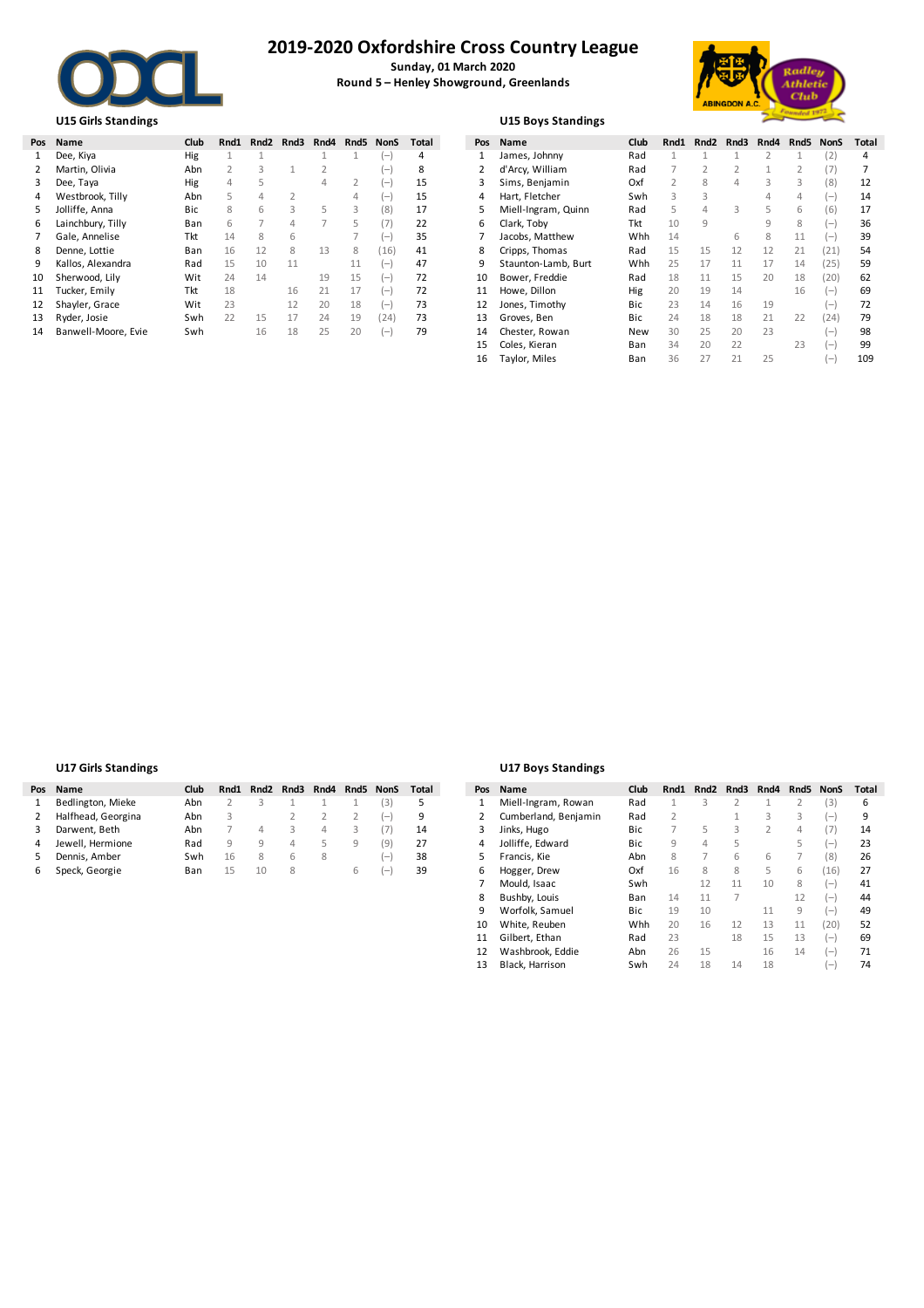

**Sunday, 01 March 2020 Round 5 – Henley Showground, Greenlands**



### **U15 Girls Standings U15 Boys Standings**

| <b>Name</b>         | <b>Club</b> | Rnd1 |    | Rnd3 | Rnd4 |    | <b>NonS</b> | Total |    | <b>Name</b>         | <b>Club</b> | Rnd1 | Rnd <sub>2</sub> | Rnd3 | Rnd4 | Rnd <sub>5</sub> | NonS  | Total |
|---------------------|-------------|------|----|------|------|----|-------------|-------|----|---------------------|-------------|------|------------------|------|------|------------------|-------|-------|
| Dee, Kiya           | Hig         |      |    |      |      |    |             | 4     |    | James, Johnny       | Rad         |      |                  |      |      |                  | (2)   | 4     |
| Martin, Olivia      | Abn         |      | 3  |      |      |    | $\sim$      | 8     |    | d'Arcy, William     | Rad         |      |                  |      |      |                  | (7)   |       |
| Dee, Taya           | Hig         | 4    |    |      | 4    |    | $(-)$       | 15    | 3  | Sims, Benjamin      | Oxf         |      | 8                | 4    | ×    |                  | (8)   | 12    |
| Westbrook, Tilly    | Abn         |      |    |      |      |    | $(-1)$      | 15    | 4  | Hart. Fletcher      | Swh         |      | 3                |      | 4    |                  | $(-)$ | 14    |
| Jolliffe, Anna      | Bic         | 8    | 6  |      | 5    |    | (8)         | 17    |    | Miell-Ingram, Quinn | Rad         |      | $\Delta$         | 3    | 5    | 6                | (6)   | 17    |
| Lainchbury, Tilly   | Ban         | 6.   |    |      |      |    |             | 22    | 6  | Clark, Toby         | Tkt         | 10   | 9                |      | 9    | 8                | $(-)$ | 36    |
| Gale, Annelise      | Tkt         | 14   | 8  | 6    |      |    | $(-)$       | 35    |    | Jacobs. Matthew     | Whh         | 14   |                  | 6    | 8    | 11               | $(-)$ | 39    |
| Denne, Lottie       | Ban         | 16   | 12 | 8    | 13   | 8  | (16)        | 41    | 8  | Cripps, Thomas      | Rad         | 15   | 15               | 12   | 12   | 21               | (21)  | 54    |
| Kallos, Alexandra   | Rad         | 15   | 10 |      |      | 11 | $(-)$       | 47    | 9  | Staunton-Lamb, Burt | Whh         | 25   |                  | 11   |      | 14               | (25   | 59    |
| Sherwood, Lily      | Wit         | 24   | 14 |      | 19   | 15 | $(-1)$      | 72    | 10 | Bower, Freddie      | Rad         | 18   | 11               | 15   | 20   | 18               | (20)  | 62    |
| Tucker, Emily       | Tkt         | 18   |    | 16   | 21   | 17 | $(-)$       | 72    | 11 | Howe. Dillon        | Hig         | 20   | 19               | 14   |      | 16               | $(-)$ | 69    |
| Shayler, Grace      | Wit         | 23   |    | 12   | 20   | 18 | $(-)$       | 73    | 12 | Jones, Timothy      | Bic         | 23   | 14               | 16   | 19   |                  | $(-)$ | 72    |
| Ryder, Josie        | Swh         | 22   | 15 |      | 24   | 19 | (24)        | 73    | 13 | Groves, Ben         | Bic         | 24   | 18               | 18   | 21   | 22               | (24)  | 79    |
| Banwell-Moore, Evie | Swh         |      | 16 | 18   | 25   | 20 | $(-)$       | 79    | 14 | Chester, Rowan      | New         | 30   | 25               | 20   | 23   |                  | $(-)$ | 98    |
|                     |             |      |    |      | Rnd2 |    | Rnd5        |       |    |                     | Pos         |      |                  |      |      |                  |       |       |

| Pos          | <b>Name</b>         | Club | Rnd1           | Rnd <sub>2</sub> | Rnd3           | Rnd4         | Rnd5           | <b>NonS</b>       | Tota |
|--------------|---------------------|------|----------------|------------------|----------------|--------------|----------------|-------------------|------|
| $\mathbf{1}$ | James, Johnny       | Rad  | 1              | 1                | 1              | 2            | 1              | (2)               | 4    |
| 2            | d'Arcy, William     | Rad  | 7              | $\overline{2}$   | $\overline{2}$ | $\mathbf{1}$ | $\overline{2}$ | (7)               | 7    |
| 3            | Sims, Benjamin      | Oxf  | $\overline{2}$ | 8                | 4              | 3            | 3              | (8)               | 12   |
| 4            | Hart, Fletcher      | Swh  | 3              | 3                |                | 4            | 4              | $\left( -\right)$ | 14   |
| 5            | Miell-Ingram, Quinn | Rad  | 5              | $\overline{4}$   | 3              | 5            | 6              | (6)               | 17   |
| 6            | Clark, Toby         | Tkt  | 10             | 9                |                | 9            | 8              | $\left( -\right)$ | 36   |
| 7            | Jacobs, Matthew     | Whh  | 14             |                  | 6              | 8            | 11             | $(-)$             | 39   |
| 8            | Cripps, Thomas      | Rad  | 15             | 15               | 12             | 12           | 21             | (21)              | 54   |
| 9            | Staunton-Lamb, Burt | Whh  | 25             | 17               | 11             | 17           | 14             | (25)              | 59   |
| 10           | Bower, Freddie      | Rad  | 18             | 11               | 15             | 20           | 18             | (20)              | 62   |
| 11           | Howe, Dillon        | Hig  | 20             | 19               | 14             |              | 16             | $(-)$             | 69   |
| 12           | Jones, Timothy      | Bic  | 23             | 14               | 16             | 19           |                | $\left( -\right)$ | 72   |
| 13           | Groves, Ben         | Bic  | 24             | 18               | 18             | 21           | 22             | (24)              | 79   |
| 14           | Chester, Rowan      | New  | 30             | 25               | 20             | 23           |                | $\left( -\right)$ | 98   |
| 15           | Coles, Kieran       | Ban  | 34             | 20               | 22             |              | 23             | $\left( -\right)$ | 99   |
| 16           | Taylor, Miles       | Ban  | 36             | 27               | 21             | 25           |                | —)                | 109  |

### **U17 Girls Standings U17 Boys Standings**

|   | Pos Name           | Club | Rnd1 | Rnd2 | Rnd3 | Rnd4 | Rnd5 NonS |       | Total | Pos | Name                 | Club | Rnd1 | Rnd2 | Rnd3 | Rnd4 | Rnd5 | NonS   | Total |
|---|--------------------|------|------|------|------|------|-----------|-------|-------|-----|----------------------|------|------|------|------|------|------|--------|-------|
|   | Bedlington, Mieke  | Abn  |      |      |      |      |           |       |       |     | Miell-Ingram, Rowan  | Rad  |      |      |      |      |      |        | -6    |
|   | Halfhead, Georgina | Abn  |      |      |      |      |           | $-1$  |       |     | Cumberland, Benjamin | Rad  |      |      |      |      |      | $\sim$ |       |
|   | Darwent, Beth      | Abn  |      |      |      |      |           |       |       |     | Jinks, Hugo          | Bic  |      |      |      |      |      |        | 14    |
| 4 | Jewell, Hermione   | Rad  |      |      |      |      |           | (9)   |       |     | Jolliffe, Edward     | Bic  |      |      |      |      |      | $(-)$  |       |
|   | Dennis, Amber      | Swh  |      |      |      |      |           | $(-)$ | 38    |     | Francis, Kie         | Abn  |      |      |      |      |      | (8)    | 26    |
|   | Speck, Georgie     | Ban  |      |      |      |      |           | $(-)$ | -39   |     | Hogger, Drew         | Oxf  |      |      |      |      |      | (16)   |       |

|    | 'os Name           | <b>Club</b> | Rnd1 | Rnd <sub>2</sub> | Rnd3 | Rnd4 | Rnd5 | <b>NonS</b> | Total | Pos | Name                 | <b>Club</b> | Rnd1 | Rnd2 | Rnd3 | Rnd4 | Rnd5 | <b>NonS</b>        | Total |
|----|--------------------|-------------|------|------------------|------|------|------|-------------|-------|-----|----------------------|-------------|------|------|------|------|------|--------------------|-------|
|    | Bedlington, Mieke  | Abn         |      |                  |      |      |      | 3)          |       |     | Miell-Ingram, Rowan  | Rad         |      |      |      |      |      | (3)                | 6     |
|    | Halfhead, Georgina | Abn         |      |                  |      |      |      | -1          | 9     |     | Cumberland, Benjamin | Rad         |      |      |      | 3    | 3    | $(-)$              | 9     |
| 3. | Darwent, Beth      | Abn         |      | 4                | 3    | 4    | 3    | 7)          | 14    | 3   | Jinks, Hugo          | Bic         |      |      |      |      | 4    | (7)                | 14    |
| 4  | Jewell, Hermione   | Rad         | 9    | 9                | 4    | Ь    | 9    | (9)         | 27    | 4   | Jolliffe, Edward     | Bic         | 9    | 4    |      |      |      | (一)                | 23    |
| 5. | Dennis, Amber      | Swh         | 16   | 8                | 6    | 8    |      | (一)         | 38    | 5   | Francis, Kie         | Abn         | 8    |      | b    | 6    |      | (8)                | 26    |
| 6  | Speck, Georgie     | Ban         | 15   | 10               | 8    |      | 6    | $(-)$       | 39    | 6   | Hogger, Drew         | Oxf         | 16   | 8    | 8    |      | b    | (16)               | 27    |
|    |                    |             |      |                  |      |      |      |             |       |     | Mould, Isaac         | Swh         |      | 12   | 11   | 10   | 8    | $(-)$              | 41    |
|    |                    |             |      |                  |      |      |      |             |       | 8   | Bushby, Louis        | Ban         | 14   |      |      |      | 12   | $(-)$              | 44    |
|    |                    |             |      |                  |      |      |      |             |       | 9   | Worfolk, Samuel      | Bic         | 19   | 10   |      |      | 9    | $(-)$              | 49    |
|    |                    |             |      |                  |      |      |      |             |       | 10  | White, Reuben        | Whh         | 20   | 16   | 12   | 13   | 11   | (20)               | 52    |
|    |                    |             |      |                  |      |      |      |             |       | 11  | Gilbert. Ethan       | Rad         | 23   |      | 18   | 15   | 13   | $(-)$              | 69    |
|    |                    |             |      |                  |      |      |      |             |       | 12  | Washbrook, Eddie     | Abn         | 26   | 15   |      | 16   | 14   | $(-)$              | 71    |
|    |                    |             |      |                  |      |      |      |             |       | 13  | Black, Harrison      | Swh         | 24   | 18   | 14   | 18   |      | $\left  - \right $ | 74    |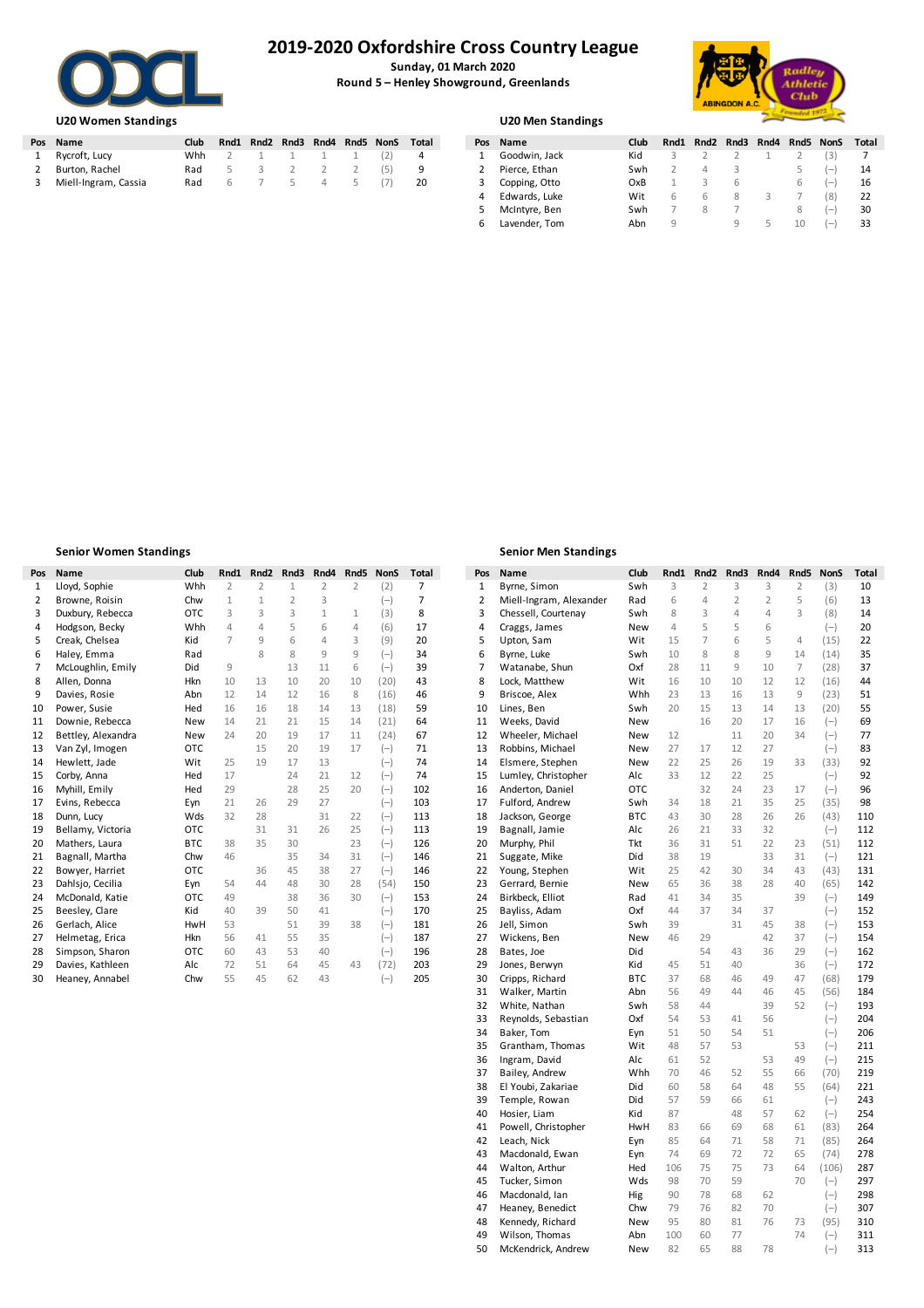

**Sunday, 01 March 2020 Round 5 – Henley Showground, Greenlands**



### **U20 Women Standings U20 Men Standings**

| Pos | <b>Name</b>          | <b>Club</b> | Rnd1      | Rnd <sub>2</sub> | Rnd3 Rnd4 | Rnd5 | <b>NonS</b> | <b>Total</b> | Pos | <b>Name</b>    | <b>Club</b> | Rnd1 | Rnd2 | Rnd3 | Rnd4 Rnd5 | <b>NonS</b> | Total |
|-----|----------------------|-------------|-----------|------------------|-----------|------|-------------|--------------|-----|----------------|-------------|------|------|------|-----------|-------------|-------|
|     | Rycroft, Lucy        | Whh         | 2 1 1 1 1 |                  |           |      | (2)         |              |     | Goodwin, Jack  | Kid         |      |      | 2 2  |           | $(3)$ 7     |       |
|     | Burton, Rachel       | Rad         |           |                  |           |      | (5)         |              |     | Pierce. Ethan  | Swh         |      |      |      |           | $(-)$       | 14    |
|     | Miell-Ingram, Cassia | Rad         |           |                  |           |      |             |              |     | Copping, Otto  | OxB         |      |      |      |           |             | 16    |
|     |                      |             |           |                  |           |      |             |              |     | Educação Luica | AAIB        |      |      |      |           | (0)         | ົາາ   |

| <b>Name</b>   | Club | Rnd1 |   |   |                                   |    |                          | Total               |
|---------------|------|------|---|---|-----------------------------------|----|--------------------------|---------------------|
| Goodwin, Jack | Kid  | 3    |   |   |                                   |    | (3)                      |                     |
| Pierce, Ethan | Swh  |      | 4 | 3 |                                   | 5  | $\left( -\right)$        | 14                  |
| Copping, Otto | OxB  |      | 3 | 6 |                                   | 6  | $\left( -\right)$        | 16                  |
| Edwards, Luke | Wit  | b    | ь | 8 | 3                                 |    | (8)                      | 22                  |
| McIntyre, Ben | Swh  |      | 8 | 7 |                                   | 8  | $-$                      | 30                  |
| Lavender, Tom | Abn  | 9    |   | 9 | Ь                                 | 10 | $\overline{\phantom{a}}$ | 33                  |
|               |      |      |   |   | Rnd <sub>2</sub> Rnd <sub>3</sub> |    | Rnd4                     | Rnd5<br><b>NonS</b> |

## **Senior Women Standings Senior Men Standings**

| <b>Pos</b> | <b>Name</b>        | Club       | Rnd1         | Rnd <sub>2</sub> | Rnd3           | Rnd4           | Rnd <sub>5</sub> | <b>NonS</b> | Total | Pos            | <b>Name</b>             | Club       | Rnd1     | Rnd <sub>2</sub> | Rnd3           | Rnd4           | Rnd5 NonS |       | Tota |
|------------|--------------------|------------|--------------|------------------|----------------|----------------|------------------|-------------|-------|----------------|-------------------------|------------|----------|------------------|----------------|----------------|-----------|-------|------|
|            | Lloyd, Sophie      | Whh        |              |                  |                | $\overline{2}$ |                  | (2)         |       |                | Byrne, Simon            | Swh        | 3        |                  | $\mathcal{R}$  | ς              |           | (3)   | 10   |
| 2          | Browne, Roisin     | Chw        | $\mathbf{1}$ | $\mathbf{1}$     | $\overline{2}$ | 3              |                  | $(-)$       | 7     | $\overline{2}$ | Miell-Ingram, Alexander | Rad        | 6        | 4                | $\overline{2}$ | $\overline{2}$ | 5         | (6)   | 13   |
|            | Duxbury, Rebecca   | <b>OTC</b> | 3            | 3                | 3              | 1              | 1                | (3)         | 8     | 3              | Chessell, Courtenay     | Swh        | 8        | 3                | $\Delta$       | Δ              | 3         | (8)   | 14   |
|            | Hodgson, Becky     | Whh        | 4            | $\Delta$         | 5              | 6              | $\overline{4}$   | (6)         | 17    | 4              | Craggs, James           | New        | $\Delta$ | 5                | 5              | 6              |           | $(-)$ | 20   |
|            | Creak, Chelsea     | Kid        | 7            | 9                | 6              | 4              | 3                | (9)         | 20    | 5              | Upton, Sam              | Wit        | 15       |                  | 6              | 5              | 4         | (15)  | 22   |
| 6          | Haley, Emma        | Rad        |              | $\mathsf{R}$     | 8              | 9              | 9                | $(-)$       | 34    | 6              | Byrne. Luke             | Swh        | 10       | 8                | 8              | 9              | 14        | (14)  | 35   |
|            | McLoughlin, Emily  | Did        | 9            |                  | 13             | 11             | 6                | $(-)$       | 39    |                | Watanabe, Shun          | Oxf        | 28       | 11               | 9              | 10             | 7         | (28)  | 37   |
|            | Allen. Donna       | Hkn        | 10           | 13               | 10             | 20             | 10               | (20)        | 43    |                | Lock, Matthew           | Wit        | 16       | 10               | 10             | 12             | 12        | (16)  | 44   |
|            | Davies, Rosie      | Abn        | 12           | 14               | 12             | 16             | 8                | (16)        | 46    | 9              | Briscoe, Alex           | Whh        | 23       | 13               | 16             | 13             | 9         | (23)  | 51   |
| 10         | Power, Susie       | Hed        | 16           | 16               | 18             | 14             | 13               | (18)        | 59    | 10             | Lines, Ben              | Swh        | 20       | 15               | 13             | 14             | 13        | (20)  | 55   |
| 11         | Downie, Rebecca    | New        | 14           | 21               | 21             | 15             | 14               | (21)        | 64    | 11             | Weeks. David            | New        |          | 16               | 20             | 17             | 16        | $(-)$ | 69   |
| 12         | Bettley, Alexandra | New        | 24           | 20               | 19             | 17             | 11               | (24)        | 67    | 12             | Wheeler, Michael        | New        | 12       |                  | 11             | 20             | 34        | $(-)$ | 77   |
| 13         | Van Zyl, Imogen    | <b>OTC</b> |              | 15               | 20             | 19             | 17               | $(-)$       | 71    | 13             | Robbins, Michael        | New        | 27       | 17               | 12             | 27             |           | $(-)$ | 83   |
| 14         | Hewlett, Jade      | Wit        | 25           | 19               | 17             | 13             |                  | $(-)$       | 74    | 14             | Elsmere, Stephen        | New        | 22       | 25               | 26             | 19             | 33        | (33)  | 92   |
| 15         | Corby, Anna        | Hed        | 17           |                  | 24             | 21             | 12               | $(-)$       | 74    | 15             | Lumley, Christopher     | Alc        | 33       | 12               | 22             | 25             |           | $(-)$ | 92   |
| 16         | Myhill, Emily      | Hed        | 29           |                  | 28             | 25             | 20               | $(-)$       | 102   | 16             | Anderton, Daniel        | <b>OTC</b> |          | 32               | 24             | 23             | 17        | $(-)$ | 96   |
| 17         | Evins. Rebecca     | Eyn        | 21           | 26               | 29             | 27             |                  | $(-)$       | 103   | 17             | Fulford, Andrew         | Swh        | 34       | 18               | 21             | 35             | 25        | (35)  | 98   |
| 18         | Dunn, Lucy         | Wds        | 32           | 28               |                | 31             | 22               | $(-)$       | 113   | 18             | Jackson, George         | <b>BTC</b> | 43       | 30               | 28             | 26             | 26        | (43)  | 110  |
| 19         | Bellamy, Victoria  | <b>OTC</b> |              | 31               | 31             | 26             | 25               | $(-)$       | 113   | 19             | Bagnall, Jamie          | Alc        | 26       | 21               | 33             | 32             |           | $(-)$ | 112  |
| 20         | Mathers, Laura     | <b>BTC</b> | 38           | 35               | 30             |                | 23               | $(-)$       | 126   | 20             | Murphy, Phil            | Tkt        | 36       | 31               | 51             | 22             | 23        | (51)  | 112  |
| 21         | Bagnall, Martha    | Chw        | 46           |                  | 35             | 34             | 31               | $(-)$       | 146   | 21             | Suggate, Mike           | Did        | 38       | 19               |                | 33             | 31        | $(-)$ | 121  |
| 22         | Bowyer, Harriet    | <b>OTC</b> |              | 36               | 45             | 38             | 27               | $(-)$       | 146   | 22             | Young, Stephen          | Wit        | 25       | 42               | 30             | 34             | 43        | (43)  | 131  |
| 23         | Dahlsjo, Cecilia   | Eyn        | 54           | 44               | 48             | 30             | 28               | (54)        | 150   | 23             | Gerrard, Bernie         | New        | 65       | 36               | 38             | 28             | 40        | (65)  | 142  |
| 24         | McDonald, Katie    | OTC.       | 49           |                  | 38             | 36             | 30               | $(-)$       | 153   | 24             | Birkbeck, Elliot        | Rad        | 41       | 34               | 35             |                | 39        | $(-)$ | 149  |
| 25         | Beesley, Clare     | Kid        | 40           | 39               | 50             | 41             |                  | $(-)$       | 170   | 25             | Bayliss, Adam           | Oxf        | 44       | 37               | 34             | 37             |           | $(-)$ | 152  |
| 26         | Gerlach, Alice     | <b>HwH</b> | 53           |                  | 51             | 39             | 38               | $(-)$       | 181   | 26             | Jell, Simon             | Swh        | 39       |                  | 31             | 45             | 38        | $(-)$ | 153  |
| 27         | Helmetag, Erica    | <b>Hkn</b> | 56           | 41               | 55             | 35             |                  | $(-)$       | 187   | 27             | Wickens, Ben            | New        | 46       | 29               |                | 42             | 37        | $(-)$ | 154  |
| 28         | Simpson, Sharon    | <b>OTC</b> | 60           | 43               | 53             | 40             |                  | $(-)$       | 196   | 28             | Bates, Joe              | Did        |          | 54               | 43             | 36             | 29        | $(-)$ | 162  |
| 29         | Davies, Kathleen   | Alc        | 72           | 51               | 64             | 45             | 43               | (72)        | 203   | 29             | Jones, Berwyn           | Kid        | 45       | 51               | 40             |                | 36        | $(-)$ | 172  |
| 30         | Heaney, Annabel    | Chw        | 55           | 45               | 62             | 43             |                  | (—)         | 205   | 30             | Cripps, Richard         | BTC.       | 37       | 68               | 46             | 49             | 47        | (68)  | 179  |

| Pos            | Name               | Club       | Rnd1           | Rnd <sub>2</sub> | Rnd3           | Rnd4           | Rnd5           | <b>NonS</b> | Total          | Pos            | Name                              | Club       | Rnd1           | Rnd <sub>2</sub> | Rnd3           | Rnd4           | Rnd5           | <b>NonS</b>    | <b>Total</b> |
|----------------|--------------------|------------|----------------|------------------|----------------|----------------|----------------|-------------|----------------|----------------|-----------------------------------|------------|----------------|------------------|----------------|----------------|----------------|----------------|--------------|
| 1              | Lloyd, Sophie      | Whh        | $\overline{2}$ | $\overline{2}$   | 1              | 2              | $\overline{2}$ | (2)         | 7              | $\mathbf 1$    | Byrne, Simon                      | Swh        | 3              | $\overline{2}$   | 3              | 3              | $\overline{2}$ | (3)            | 10           |
| $\overline{2}$ | Browne, Roisin     | Chw        | $1\,$          | $\,1\,$          | $\overline{2}$ | 3              |                | $(-)$       | $\overline{7}$ | $\overline{2}$ | Miell-Ingram, Alexander           | Rad        | 6              | $\overline{4}$   | $\overline{2}$ | $\overline{2}$ | 5              | (6)            | 13           |
| 3              | Duxbury, Rebecca   | <b>OTC</b> | 3              | 3                | 3              | $\,1\,$        | $\mathbf 1$    | (3)         | 8              | $\overline{3}$ | Chessell, Courtenay               | Swh        | 8              | 3                | $\overline{4}$ | 4              | 3              | (8)            | 14           |
| 4              | Hodgson, Becky     | Whh        | 4              | $\overline{4}$   | 5              | 6              | $\overline{4}$ | (6)         | 17             | 4              | Craggs, James                     | New        | $\overline{4}$ | 5                | 5              | 6              |                | $(-)$          | 20           |
| 5              | Creak, Chelsea     | Kid        | 7              | $\mathcal G$     | 6              | $\overline{4}$ | 3              | (9)         | 20             | 5              | Upton, Sam                        | Wit        | 15             | 7                | 6              | 5              | 4              | (15)           | 22           |
| 6              | Haley, Emma        | Rad        |                | 8                | 8              | 9              | 9              | $(-)$       | 34             | 6              | Byrne, Luke                       | Swh        | 10             | $\,$ 8 $\,$      | $\,$ 8 $\,$    | $\overline{9}$ | 14             | (14)           | 35           |
| 7              | McLoughlin, Emily  | Did        | 9              |                  | 13             | 11             | 6              | $(-)$       | 39             | $\overline{7}$ | Watanabe, Shun                    | Oxf        | 28             | 11               | 9              | 10             | $\overline{7}$ | (28)           | 37           |
| 8              | Allen, Donna       | Hkn        | 10             | 13               | 10             | 20             | 10             | (20)        | 43             | 8              | Lock, Matthew                     | Wit        | 16             | 10               | 10             | 12             | 12             | (16)           | 44           |
| 9              | Davies, Rosie      | Abn        | 12             | 14               | 12             | 16             | 8              | (16)        | 46             | 9              | Briscoe, Alex                     | Whh        | 23             | 13               | 16             | 13             | 9              | (23)           | 51           |
| 10             | Power, Susie       | Hed        | 16             | 16               | 18             | 14             | 13             | (18)        | 59             | 10             | Lines, Ben                        | Swh        | 20             | 15               | 13             | 14             | 13             | (20)           | 55           |
| 11             | Downie, Rebecca    | New        | 14             | 21               | 21             | 15             | 14             | (21)        | 64             | 11             | Weeks, David                      | New        |                | 16               | 20             | 17             | 16             | $(-)$          | 69           |
| 12             | Bettley, Alexandra | New        | 24             | 20               | 19             | 17             | 11             | (24)        | 67             | 12             | Wheeler, Michael                  | New        | 12             |                  | 11             | 20             | 34             | $(-)$          | 77           |
| 13             | Van Zyl, Imogen    | <b>OTC</b> |                | 15               | 20             | 19             | 17             | $(-)$       | 71             | 13             | Robbins, Michael                  | New        | 27             | 17               | 12             | 27             |                | $(-)$          | 83           |
| 14             | Hewlett, Jade      | Wit        | 25             | 19               | 17             | 13             |                | $(-)$       | 74             | 14             | Elsmere, Stephen                  | New        | 22             | 25               | 26             | 19             | 33             | (33)           | 92           |
| 15             | Corby, Anna        | Hed        | 17             |                  | 24             | 21             | 12             | $(-)$       | 74             | 15             | Lumley, Christopher               | Alc        | 33             | 12               | 22             | 25             |                | $(-)$          | 92           |
| 16             | Myhill, Emily      | Hed        | 29             |                  | 28             | 25             | 20             | $(-)$       | 102            | 16             | Anderton, Daniel                  | <b>OTC</b> |                | 32               | 24             | 23             | 17             | $(-)$          | 96           |
| 17             | Evins, Rebecca     | Eyn        | 21             | 26               | 29             | 27             |                | $(-)$       | 103            | 17             | Fulford, Andrew                   | Swh        | 34             | 18               | 21             | 35             | 25             | (35)           | 98           |
| 18             | Dunn, Lucy         | Wds        | 32             | 28               |                | 31             | 22             | $(-)$       | 113            | 18             | Jackson, George                   | <b>BTC</b> | 43             | 30               | 28             | 26             | 26             | (43)           | 110          |
| 19             | Bellamy, Victoria  | <b>OTC</b> |                | 31               | 31             | 26             | 25             | $(-)$       | 113            | 19             | Bagnall, Jamie                    | Alc        | 26             | 21               | 33             | 32             |                | $(-)$          | 112          |
| 20             | Mathers, Laura     | <b>BTC</b> | 38             | 35               | 30             |                | 23             | $(-)$       | 126            | 20             | Murphy, Phil                      | Tkt        | 36             | 31               | 51             | 22             | 23             | (51)           | 112          |
| 21             | Bagnall, Martha    | Chw        | 46             |                  | 35             | 34             | 31             | $(-)$       | 146            | 21             | Suggate, Mike                     | Did        | 38             | 19               |                | 33             | 31             | $(-)$          | 121          |
| 22             | Bowyer, Harriet    | <b>OTC</b> |                | 36               | 45             | 38             | 27             | $(-)$       | 146            | 22             | Young, Stephen                    | Wit        | 25             | 42               | 30             | 34             | 43             | (43)           | 131          |
| 23             | Dahlsjo, Cecilia   | Eyn        | 54             | 44               | 48             | 30             | 28             | (54)        | 150            | 23             | Gerrard, Bernie                   | New        | 65             | 36               | 38             | 28             | 40             | (65)           | 142          |
| 24             | McDonald, Katie    | <b>OTC</b> | 49             |                  | 38             | 36             | 30             | $(-)$       | 153            | 24             | Birkbeck, Elliot                  | Rad        | 41             | 34               | 35             |                | 39             | $(-)$          | 149          |
| 25             | Beesley, Clare     | Kid        | 40             | 39               | 50             | 41             |                | $(-)$       | 170            | 25             | Bayliss, Adam                     | Oxf        | 44             | 37               | 34             | 37             |                | $(-)$          | 152          |
| 26             | Gerlach, Alice     | <b>HwH</b> | 53             |                  | 51             | 39             | 38             | $(-)$       | 181            | 26             | Jell, Simon                       | Swh        | 39             |                  | 31             | 45             | 38             | $(-)$          | 153          |
| 27             | Helmetag, Erica    | Hkn        | 56             | 41               | 55             | 35             |                | $(-)$       | 187            | 27             | Wickens, Ben                      | New        | 46             | 29               |                | 42             | 37             | $(-)$          | 154          |
| 28             | Simpson, Sharon    | <b>OTC</b> | 60             | 43               | 53             | 40             |                | $(-)$       | 196            | 28             | Bates, Joe                        | Did        |                | 54               | 43             | 36             | 29             | $(-)$          | 162          |
| 29             | Davies, Kathleen   | Alc        | 72             | 51               | 64             | 45             | 43             | (72)        | 203            | 29             | Jones, Berwyn                     | Kid        | 45             | 51               | 40             |                | 36             | $(-)$          | 172          |
| 30             | Heaney, Annabel    | Chw        | 55             | 45               | 62             | 43             |                | $(-)$       | 205            | 30             | Cripps, Richard                   | <b>BTC</b> | 37             | 68               | 46             | 49             | 47             | (68)           | 179          |
|                |                    |            |                |                  |                |                |                |             |                | 31             | Walker, Martin                    | Abn        | 56             | 49               | 44             | 46             | 45             | (56)           | 184          |
|                |                    |            |                |                  |                |                |                |             |                | 32             | White, Nathan                     | Swh        | 58             | 44               |                | 39             | 52             | $(-)$          | 193          |
|                |                    |            |                |                  |                |                |                |             |                | 33             | Reynolds, Sebastian               | Oxf        | 54             | 53               | 41             | 56             |                | $(-)$          | 204          |
|                |                    |            |                |                  |                |                |                |             |                | 34             | Baker, Tom                        | Eyn        | 51<br>48       | 50<br>57         | 54<br>53       | 51             |                | $(-)$          | 206<br>211   |
|                |                    |            |                |                  |                |                |                |             |                | 35<br>36       | Grantham, Thomas<br>Ingram, David | Wit<br>Alc | 61             | 52               |                | 53             | 53<br>49       | $(-)$<br>$(-)$ | 215          |
|                |                    |            |                |                  |                |                |                |             |                | 37             | Bailey, Andrew                    | Whh        | 70             | 46               | 52             | 55             | 66             | (70)           | 219          |
|                |                    |            |                |                  |                |                |                |             |                | 38             | El Youbi, Zakariae                | Did        | 60             | 58               | 64             | 48             | 55             | (64)           | 221          |
|                |                    |            |                |                  |                |                |                |             |                | 39             | Temple, Rowan                     | Did        | 57             | 59               | 66             | 61             |                | $(-)$          | 243          |
|                |                    |            |                |                  |                |                |                |             |                | 40             | Hosier, Liam                      | Kid        | 87             |                  | 48             | 57             | 62             | $(-)$          | 254          |
|                |                    |            |                |                  |                |                |                |             |                | 41             | Powell, Christopher               | <b>HwH</b> | 83             | 66               | 69             | 68             | 61             | (83)           | 264          |
|                |                    |            |                |                  |                |                |                |             |                | 42             | Leach, Nick                       | Eyn        | 85             | 64               | 71             | 58             | 71             | (85)           | 264          |
|                |                    |            |                |                  |                |                |                |             |                | 43             | Macdonald, Ewan                   | Eyn        | 74             | 69               | 72             | 72             | 65             | (74)           | 278          |
|                |                    |            |                |                  |                |                |                |             |                | 44             | Walton, Arthur                    | Hed        | 106            | 75               | 75             | 73             | 64             | (106)          | 287          |
|                |                    |            |                |                  |                |                |                |             |                | 45             | Tucker, Simon                     | Wds        | 98             | 70               | 59             |                | 70             | $(-)$          | 297          |
|                |                    |            |                |                  |                |                |                |             |                | 46             | Macdonald, Ian                    | Hig        | 90             | 78               | 68             | 62             |                | $(-)$          | 298          |
|                |                    |            |                |                  |                |                |                |             |                | 47             | Heaney, Benedict                  | Chw        | 79             | 76               | 82             | 70             |                | $(-)$          | 307          |
|                |                    |            |                |                  |                |                |                |             |                | 48             | Kennedy, Richard                  | New        | 95             | 80               | 81             | 76             | 73             | (95)           | 310          |
|                |                    |            |                |                  |                |                |                |             |                | 49             | Wilson, Thomas                    | Abn        | 100            | 60               | 77             |                | 74             | $(-)$          | 311          |
|                |                    |            |                |                  |                |                |                |             |                | 50             | McKendrick, Andrew                | New        | 82             | 65               | 88             | 78             |                | $(-)$          | 313          |
|                |                    |            |                |                  |                |                |                |             |                |                |                                   |            |                |                  |                |                |                |                |              |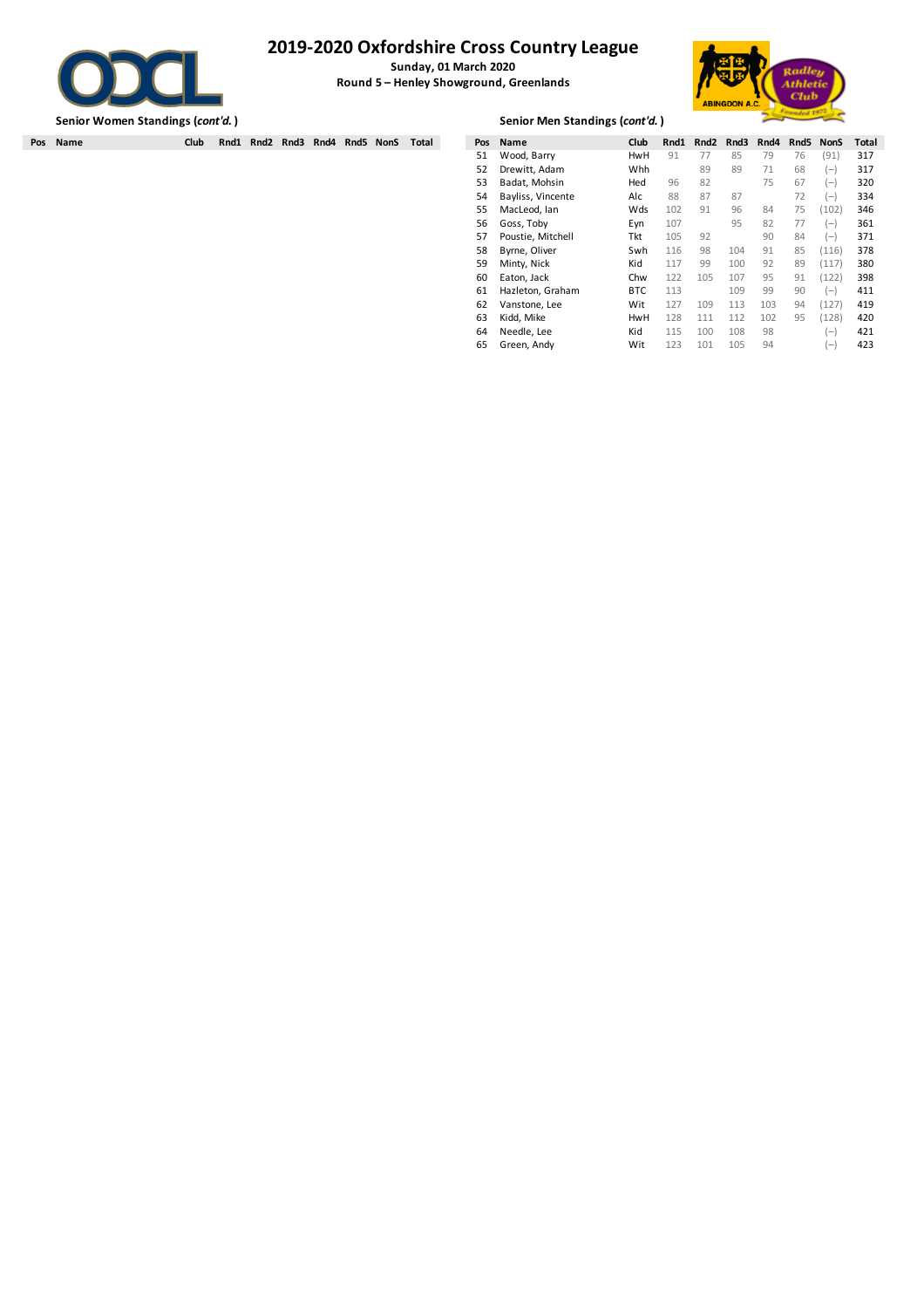

**Sunday, 01 March 2020**



**Round 5 – Henley Showground, Greenlands**

## **Senior Women Standings (***cont'd.* **) Senior Men Standings (***cont'd.* **)**

| Pos Name | Club Rnd1 Rnd2 Rnd3 Rnd4 Rnd5 NonS Tota |  |  |  |  |
|----------|-----------------------------------------|--|--|--|--|
|          |                                         |  |  |  |  |

| Pos Name | Club | Rnd1 | Rnd2 | Rnd3 | Rnd4 | Rnd5 NonS | Total | Pos | Name              | <b>Club</b> | Rnd1 | Rnd2 | Rnd3 | Rnd4 | Rnd5 NonS |       | Total |
|----------|------|------|------|------|------|-----------|-------|-----|-------------------|-------------|------|------|------|------|-----------|-------|-------|
|          |      |      |      |      |      |           |       | 51  | Wood, Barry       | HwH         | 91   | 77   | 85   | 79   | 76        | (91)  | 317   |
|          |      |      |      |      |      |           |       | 52  | Drewitt, Adam     | Whh         |      | 89   | 89   | 71   | 68        | $(-)$ | 317   |
|          |      |      |      |      |      |           |       | 53  | Badat, Mohsin     | Hed         | 96   | 82   |      | 75   | 67        | $(-)$ | 320   |
|          |      |      |      |      |      |           |       | 54  | Bayliss, Vincente | Alc         | 88   | 87   | 87   |      | 72        | $(-)$ | 334   |
|          |      |      |      |      |      |           |       | 55  | MacLeod, Ian      | Wds         | 102  | 91   | 96   | 84   | 75        | (102) | 346   |
|          |      |      |      |      |      |           |       | 56  | Goss, Toby        | Eyn         | 107  |      | 95   | 82   | 77        | $(-)$ | 361   |
|          |      |      |      |      |      |           |       | 57  | Poustie, Mitchell | Tkt         | 105  | 92   |      | 90   | 84        | $(-)$ | 371   |
|          |      |      |      |      |      |           |       | 58  | Byrne, Oliver     | Swh         | 116  | 98   | 104  | 91   | 85        | (116) | 378   |
|          |      |      |      |      |      |           |       | 59  | Minty, Nick       | Kid         | 117  | 99   | 100  | 92   | 89        | (117) | 380   |
|          |      |      |      |      |      |           |       | 60  | Eaton, Jack       | Chw         | 122  | 105  | 107  | 95   | 91        | (122) | 398   |
|          |      |      |      |      |      |           |       | 61  | Hazleton, Graham  | <b>BTC</b>  | 113  |      | 109  | 99   | 90        | $(-)$ | 411   |
|          |      |      |      |      |      |           |       | 62  | Vanstone, Lee     | Wit         | 127  | 109  | 113  | 103  | 94        | (127) | 419   |
|          |      |      |      |      |      |           |       | 63  | Kidd, Mike        | HwH         | 128  | 111  | 112  | 102  | 95        | (128) | 420   |
|          |      |      |      |      |      |           |       | 64  | Needle, Lee       | Kid         | 115  | 100  | 108  | 98   |           | $(-)$ | 421   |
|          |      |      |      |      |      |           |       | 65  | Green, Andy       | Wit         | 123  | 101  | 105  | 94   |           | $(-)$ | 423   |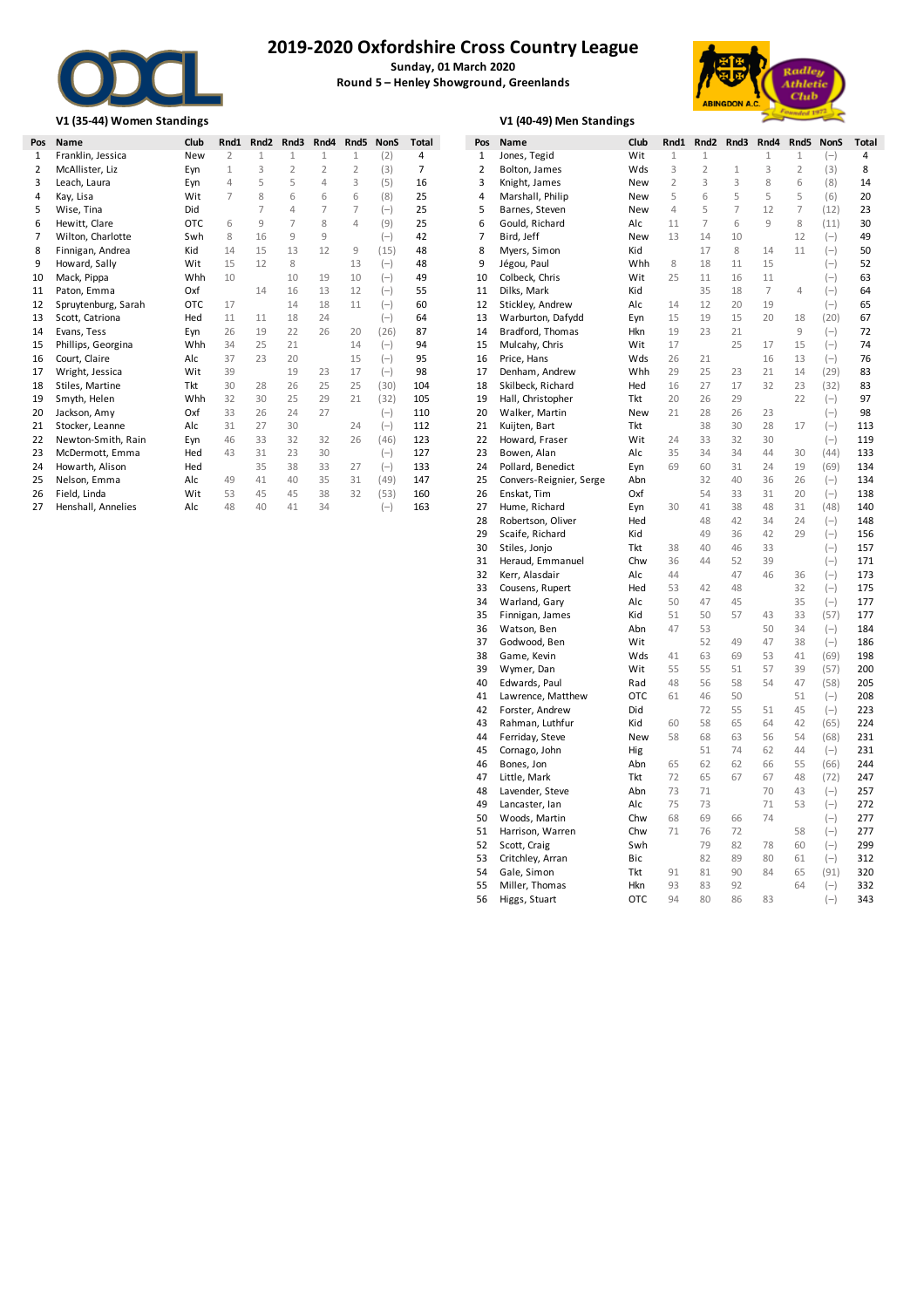

**Sunday, 01 March 2020 Round 5 – Henley Showground, Greenlands**



### **V1 (35-44) Women Standings V1 (40-49) Men Standings**

| <b>Pos</b> | <b>Name</b>         | Club       | Rnd1           | Rnd <sub>2</sub> | Rnd3           | Rnd4 | Rnd <sub>5</sub> | <b>NonS</b> | Total | Pos | Name                    | Club       | Rnd1           | Rnd <sub>2</sub> | Rnd3         | Rnd4 | Rnd5 NonS      |       | Tota |
|------------|---------------------|------------|----------------|------------------|----------------|------|------------------|-------------|-------|-----|-------------------------|------------|----------------|------------------|--------------|------|----------------|-------|------|
|            | Franklin, Jessica   | New        | $\overline{2}$ |                  |                |      | $\mathbf{1}$     | (2)         | 4     |     | Jones, Tegid            | Wit        | $\mathbf{1}$   |                  |              |      | 1              | (一)   | 4    |
|            | McAllister, Liz     | Eyn        | 1              | $\mathcal{R}$    | $\overline{2}$ |      | 2                | (3)         |       |     | Bolton, James           | Wds        | 3              | $\overline{2}$   | $\mathbf{1}$ | ς    | $\overline{2}$ | (3)   | 8    |
|            | Leach, Laura        | Eyn        | 4              | 5                | 5              | 4    | 3                | (5)         | 16    | 3   | Knight, James           | New        | $\overline{2}$ | 3                | 3            | 8    | 6              | (8)   | 14   |
|            | Kay, Lisa           | Wit        | 7              | 8                | 6              | 6    | 6                | (8)         | 25    | 4   | Marshall, Philip        | New        | 5              | 6                | 5            | 5    | 5              | (6)   | 20   |
| 5          | Wise. Tina          | Did        |                |                  | Δ              |      | 7                | $(-)$       | 25    | 5   | Barnes, Steven          | New        | $\Delta$       | 5                |              | 12   | 7              | (12)  | 23   |
| 6          | Hewitt, Clare       | <b>OTC</b> | 6              | 9                |                | 8    | $\Delta$         | (9)         | 25    | 6   | Gould, Richard          | Alc        | 11             | 7                | 6            | 9    | 8              | (11)  | 30   |
|            | Wilton, Charlotte   | Swh        | 8              | 16               | 9              | 9    |                  | $(-)$       | 42    |     | Bird, Jeff              | New        | 13             | 14               | 10           |      | 12             | $(-)$ | 49   |
| 8          | Finnigan, Andrea    | Kid        | 14             | 15               | 13             | 12   | 9                | (15)        | 48    | 8   | Myers, Simon            | Kid        |                | 17               | 8            | 14   | 11             | $(-)$ | 50   |
|            | Howard, Sally       | Wit        | 15             | 12               | 8              |      | 13               | $(-)$       | 48    | ٩   | Jégou, Paul             | Whh        | 8              | 18               | 11           | 15   |                | $(-)$ | 52   |
| 10         | Mack, Pippa         | Whh        | 10             |                  | 10             | 19   | 10               | $(-)$       | 49    | 10  | Colbeck, Chris          | Wit        | 25             | 11               | 16           | 11   |                | $(-)$ | 63   |
| 11         | Paton, Emma         | Oxf        |                | 14               | 16             | 13   | 12               | $(-)$       | 55    | 11  | Dilks, Mark             | Kid        |                | 35               | 18           | 7    | 4              | $(-)$ | 64   |
| 12         | Spruytenburg, Sarah | <b>OTC</b> | 17             |                  | 14             | 18   | 11               | $(-)$       | 60    | 12  | Stickley, Andrew        | Alc        | 14             | 12               | 20           | 19   |                | $(-)$ | 65   |
| 13         | Scott, Catriona     | Hed        | 11             | 11               | 18             | 24   |                  | $(-)$       | 64    | 13  | Warburton, Dafydd       | Eyn        | 15             | 19               | 15           | 20   | 18             | (20)  | 67   |
| 14         | Evans. Tess         | Eyn        | 26             | 19               | 22             | 26   | 20               | (26)        | 87    | 14  | Bradford. Thomas        | <b>Hkn</b> | 19             | 23               | 21           |      | 9              | $(-)$ | 72   |
| 15         | Phillips, Georgina  | Whh        | 34             | 25               | 21             |      | 14               | $(-)$       | 94    | 15  | Mulcahy, Chris          | Wit        | 17             |                  | 25           | 17   | 15             | $(-)$ | 74   |
| 16         | Court, Claire       | Alc        | 37             | 23               | 20             |      | 15               | $(-)$       | 95    | 16  | Price. Hans             | Wds        | 26             | 21               |              | 16   | 13             | $(-)$ | 76   |
| 17         | Wright, Jessica     | Wit        | 39             |                  | 19             | 23   | 17               | $(-)$       | 98    | 17  | Denham, Andrew          | Whh        | 29             | 25               | 23           | 21   | 14             | (29)  | 83   |
| 18         | Stiles, Martine     | Tkt        | 30             | 28               | 26             | 25   | 25               | (30)        | 104   | 18  | Skilbeck, Richard       | Hed        | 16             | 27               | 17           | 32   | 23             | (32)  | 83   |
| 19         | Smyth, Helen        | Whh        | 32             | 30               | 25             | 29   | 21               | (32)        | 105   | 19  | Hall, Christopher       | Tkt        | 20             | 26               | 29           |      | 22             | $(-)$ | 97   |
| 20         | Jackson, Amy        | Oxf        | 33             | 26               | 24             | 27   |                  | $(-)$       | 110   | 20  | Walker, Martin          | New        | 21             | 28               | 26           | 23   |                | $(-)$ | 98   |
| 21         | Stocker, Leanne     | Alc        | 31             | 27               | 30             |      | 24               | $(-)$       | 112   | 21  | Kuijten, Bart           | Tkt        |                | 38               | 30           | 28   | 17             | $(-)$ | 113  |
| 22         | Newton-Smith, Rain  | Eyn        | 46             | 33               | 32             | 32   | 26               | (46)        | 123   | 22  | Howard, Fraser          | Wit        | 24             | 33               | 32           | 30   |                | $(-)$ | 119  |
| 23         | McDermott, Emma     | Hed        | 43             | 31               | 23             | 30   |                  | $(-)$       | 127   | 23  | Bowen, Alan             | Alc        | 35             | 34               | 34           | 44   | 30             | (44)  | 133  |
| 24         | Howarth, Alison     | Hed        |                | 35               | 38             | 33   | 27               | $(-)$       | 133   | 24  | Pollard, Benedict       | Eyn        | 69             | 60               | 31           | 24   | 19             | (69)  | 134  |
| 25         | Nelson, Emma        | Alc        | 49             | 41               | 40             | 35   | 31               | (49)        | 147   | 25  | Convers-Reignier, Serge | Abn        |                | 32               | 40           | 36   | 26             | $(-)$ | 134  |
| 26         | Field, Linda        | Wit        | 53             | 45               | 45             | 38   | 32               | (53)        | 160   | 26  | Enskat, Tim             | Oxf        |                | 54               | 33           | 31   | 20             | $(-)$ | 138  |
| 27         | Henshall, Annelies  | Alc        | 48             | 40               | 41             | 34   |                  | $(-)$       | 163   | 27  | Hume, Richard           | Eyn        | 30             | 41               | 38           | 48   | 31             | (48)  | 140  |

| 4<br>$\mathbf{1}$<br>Wit<br>1<br>1<br>$\mathbf{1}$<br>$\mathbf 1$<br>$(-)$<br>Jones, Tegid<br>$\overline{2}$<br>3<br>3<br>$\overline{2}$<br>8<br>$\overline{2}$<br>Bolton, James<br>Wds<br>$\mathbf{1}$<br>(3)<br>3<br>3<br>$\overline{2}$<br>3<br>8<br>6<br>(8)<br>14<br>Knight, James<br>New<br>4<br>5<br>5<br>5<br>Marshall, Philip<br>New<br>5<br>6<br>(6)<br>20<br>5<br>$\overline{7}$<br>7<br>5<br>Barnes, Steven<br>4<br>12<br>(12)<br>23<br><b>New</b><br>$\overline{7}$<br>6<br>Gould, Richard<br>Alc<br>6<br>9<br>30<br>11<br>8<br>(11)<br>$\overline{7}$<br>Bird, Jeff<br>New<br>13<br>14<br>10<br>12<br>$(-)$<br>49<br>8<br>8<br>50<br>Myers, Simon<br>Kid<br>17<br>14<br>11<br>$(-)$<br>9<br>Jégou, Paul<br>Whh<br>8<br>18<br>11<br>15<br>$(-)$<br>52<br>Wit<br>25<br>63<br>10<br>Colbeck, Chris<br>11<br>16<br>11<br>$(-)$<br>$\overline{7}$<br>11<br>Dilks, Mark<br>Kid<br>35<br>18<br>4<br>$(-)$<br>64<br>12<br>Stickley, Andrew<br>Alc<br>14<br>12<br>20<br>19<br>$(-)$<br>65<br>13<br>Warburton, Dafydd<br>Eyn<br>15<br>19<br>15<br>20<br>18<br>(20)<br>67<br>Bradford, Thomas<br>9<br>$(-)$<br>72<br>14<br><b>Hkn</b><br>19<br>23<br>21<br>15<br>17<br>25<br>15<br>$(-)$<br>74<br>Mulcahy, Chris<br>Wit<br>17<br>16<br>Price, Hans<br>Wds<br>26<br>21<br>16<br>13<br>$(-)$<br>76<br>Whh<br>29<br>23<br>83<br>17<br>Denham, Andrew<br>25<br>21<br>14<br>(29)<br>18<br>16<br>27<br>17<br>32<br>23<br>(32)<br>83<br>Skilbeck, Richard<br>Hed<br>19<br>97<br>Hall, Christopher<br>Tkt<br>20<br>26<br>29<br>22<br>$(-)$<br>23<br>98<br>20<br>Walker, Martin<br><b>New</b><br>21<br>28<br>26<br>$(-)$<br>21<br>Tkt<br>30<br>28<br>17<br>$(-)$<br>113<br>Kuijten, Bart<br>38<br>22<br>Howard, Fraser<br>Wit<br>24<br>33<br>32<br>30<br>$(-)$<br>119<br>23<br>Alc<br>35<br>34<br>44<br>Bowen, Alan<br>34<br>30<br>(44)<br>133<br>24<br>Pollard, Benedict<br>24<br>(69)<br>134<br>Eyn<br>69<br>60<br>31<br>19<br>25<br>Convers-Reignier, Serge<br>Abn<br>32<br>40<br>36<br>26<br>$(-)$<br>134<br>26<br>Enskat, Tim<br>Oxf<br>54<br>33<br>31<br>20<br>$(-)$<br>138<br>27<br>Hume, Richard<br>30<br>41<br>38<br>48<br>31<br>(48)<br>140<br>Eyn<br>28<br>Robertson, Oliver<br>48<br>42<br>34<br>24<br>$(-)$<br>148<br>Hed<br>29<br>Scaife, Richard<br>Kid<br>49<br>36<br>42<br>29<br>$(-)$<br>156<br>30<br>Stiles, Jonjo<br>Tkt<br>38<br>40<br>46<br>33<br>157<br>$(-)$<br>31<br>Heraud, Emmanuel<br>Chw<br>36<br>44<br>52<br>39<br>$(-)$<br>171<br>32<br>Alc<br>47<br>Kerr, Alasdair<br>44<br>46<br>36<br>$(-)$<br>173<br>33<br>53<br>42<br>48<br>32<br>$(-)$<br>175<br>Cousens, Rupert<br>Hed<br>34<br>Warland, Gary<br>Alc<br>50<br>47<br>45<br>35<br>$(-)$<br>177<br>35<br>57<br>177<br>Finnigan, James<br>Kid<br>51<br>50<br>43<br>33<br>(57)<br>36<br>47<br>50<br>34<br>$(-)$<br>184<br>Watson, Ben<br>Abn<br>53<br>37<br>Wit<br>52<br>49<br>47<br>38<br>$(-)$<br>186<br>Godwood, Ben<br>38<br>Game, Kevin<br>Wds<br>41<br>63<br>69<br>53<br>41<br>(69)<br>198<br>39<br>Wit<br>55<br>55<br>51<br>57<br>39<br>(57)<br>200<br>Wymer, Dan<br>40<br>Edwards, Paul<br>Rad<br>48<br>56<br>58<br>54<br>47<br>(58)<br>205<br>41<br>$(-)$<br>208<br>Lawrence, Matthew<br><b>OTC</b><br>61<br>46<br>50<br>51<br>42<br>Forster, Andrew<br>72<br>55<br>45<br>Did<br>51<br>$(-)$<br>223<br>43<br>Rahman, Luthfur<br>Kid<br>60<br>58<br>65<br>64<br>42<br>(65)<br>224<br>44<br>58<br>Ferriday, Steve<br>New<br>68<br>63<br>56<br>54<br>(68)<br>231<br>45<br>51<br>74<br>62<br>44<br>$(-)$<br>231<br>Cornago, John<br>Hig<br>46<br>Abn<br>65<br>62<br>62<br>66<br>55<br>244<br>Bones, Jon<br>(66)<br>47<br>Little, Mark<br>Tkt<br>72<br>65<br>67<br>67<br>48<br>(72)<br>247<br>48<br>Lavender, Steve<br>Abn<br>73<br>71<br>70<br>43<br>$(-)$<br>257<br>49<br>Lancaster, lan<br>Alc<br>75<br>73<br>71<br>53<br>$(-)$<br>272<br>50<br>68<br>66<br>74<br>Woods, Martin<br>Chw<br>69<br>$(-)$<br>277<br>51<br>Harrison, Warren<br>71<br>76<br>72<br>58<br>$(-)$<br>277<br>Chw<br>52<br>79<br>60<br>299<br>Scott, Craig<br>Swh<br>82<br>78<br>$(-)$<br>89<br>53<br>Critchley, Arran<br>Bic<br>82<br>80<br>61<br>$(-)$<br>312<br>54<br>Tkt<br>91<br>81<br>90<br>84<br>65<br>320<br>Gale, Simon<br>(91) | Pos | Name           | Club | Rnd1 | Rnd <sub>2</sub> | Rnd3 | Rnd4 | Rnd5 | <b>NonS</b> | <b>Total</b> |
|------------------------------------------------------------------------------------------------------------------------------------------------------------------------------------------------------------------------------------------------------------------------------------------------------------------------------------------------------------------------------------------------------------------------------------------------------------------------------------------------------------------------------------------------------------------------------------------------------------------------------------------------------------------------------------------------------------------------------------------------------------------------------------------------------------------------------------------------------------------------------------------------------------------------------------------------------------------------------------------------------------------------------------------------------------------------------------------------------------------------------------------------------------------------------------------------------------------------------------------------------------------------------------------------------------------------------------------------------------------------------------------------------------------------------------------------------------------------------------------------------------------------------------------------------------------------------------------------------------------------------------------------------------------------------------------------------------------------------------------------------------------------------------------------------------------------------------------------------------------------------------------------------------------------------------------------------------------------------------------------------------------------------------------------------------------------------------------------------------------------------------------------------------------------------------------------------------------------------------------------------------------------------------------------------------------------------------------------------------------------------------------------------------------------------------------------------------------------------------------------------------------------------------------------------------------------------------------------------------------------------------------------------------------------------------------------------------------------------------------------------------------------------------------------------------------------------------------------------------------------------------------------------------------------------------------------------------------------------------------------------------------------------------------------------------------------------------------------------------------------------------------------------------------------------------------------------------------------------------------------------------------------------------------------------------------------------------------------------------------------------------------------------------------------------------------------------------------------------------------------------------------------------------------------------------------------------------------------------------------------------------------------------------------------------------------------------------------------------------------------------------------------------------------------------------------------------------------------------------------------------------------------------------------------------------------------------------------------------------------------------------------------------------------------------------------------------------------------------------------------------------------------------------------------------------------------|-----|----------------|------|------|------------------|------|------|------|-------------|--------------|
|                                                                                                                                                                                                                                                                                                                                                                                                                                                                                                                                                                                                                                                                                                                                                                                                                                                                                                                                                                                                                                                                                                                                                                                                                                                                                                                                                                                                                                                                                                                                                                                                                                                                                                                                                                                                                                                                                                                                                                                                                                                                                                                                                                                                                                                                                                                                                                                                                                                                                                                                                                                                                                                                                                                                                                                                                                                                                                                                                                                                                                                                                                                                                                                                                                                                                                                                                                                                                                                                                                                                                                                                                                                                                                                                                                                                                                                                                                                                                                                                                                                                                                                                                                                                |     |                |      |      |                  |      |      |      |             |              |
|                                                                                                                                                                                                                                                                                                                                                                                                                                                                                                                                                                                                                                                                                                                                                                                                                                                                                                                                                                                                                                                                                                                                                                                                                                                                                                                                                                                                                                                                                                                                                                                                                                                                                                                                                                                                                                                                                                                                                                                                                                                                                                                                                                                                                                                                                                                                                                                                                                                                                                                                                                                                                                                                                                                                                                                                                                                                                                                                                                                                                                                                                                                                                                                                                                                                                                                                                                                                                                                                                                                                                                                                                                                                                                                                                                                                                                                                                                                                                                                                                                                                                                                                                                                                |     |                |      |      |                  |      |      |      |             |              |
|                                                                                                                                                                                                                                                                                                                                                                                                                                                                                                                                                                                                                                                                                                                                                                                                                                                                                                                                                                                                                                                                                                                                                                                                                                                                                                                                                                                                                                                                                                                                                                                                                                                                                                                                                                                                                                                                                                                                                                                                                                                                                                                                                                                                                                                                                                                                                                                                                                                                                                                                                                                                                                                                                                                                                                                                                                                                                                                                                                                                                                                                                                                                                                                                                                                                                                                                                                                                                                                                                                                                                                                                                                                                                                                                                                                                                                                                                                                                                                                                                                                                                                                                                                                                |     |                |      |      |                  |      |      |      |             |              |
|                                                                                                                                                                                                                                                                                                                                                                                                                                                                                                                                                                                                                                                                                                                                                                                                                                                                                                                                                                                                                                                                                                                                                                                                                                                                                                                                                                                                                                                                                                                                                                                                                                                                                                                                                                                                                                                                                                                                                                                                                                                                                                                                                                                                                                                                                                                                                                                                                                                                                                                                                                                                                                                                                                                                                                                                                                                                                                                                                                                                                                                                                                                                                                                                                                                                                                                                                                                                                                                                                                                                                                                                                                                                                                                                                                                                                                                                                                                                                                                                                                                                                                                                                                                                |     |                |      |      |                  |      |      |      |             |              |
|                                                                                                                                                                                                                                                                                                                                                                                                                                                                                                                                                                                                                                                                                                                                                                                                                                                                                                                                                                                                                                                                                                                                                                                                                                                                                                                                                                                                                                                                                                                                                                                                                                                                                                                                                                                                                                                                                                                                                                                                                                                                                                                                                                                                                                                                                                                                                                                                                                                                                                                                                                                                                                                                                                                                                                                                                                                                                                                                                                                                                                                                                                                                                                                                                                                                                                                                                                                                                                                                                                                                                                                                                                                                                                                                                                                                                                                                                                                                                                                                                                                                                                                                                                                                |     |                |      |      |                  |      |      |      |             |              |
|                                                                                                                                                                                                                                                                                                                                                                                                                                                                                                                                                                                                                                                                                                                                                                                                                                                                                                                                                                                                                                                                                                                                                                                                                                                                                                                                                                                                                                                                                                                                                                                                                                                                                                                                                                                                                                                                                                                                                                                                                                                                                                                                                                                                                                                                                                                                                                                                                                                                                                                                                                                                                                                                                                                                                                                                                                                                                                                                                                                                                                                                                                                                                                                                                                                                                                                                                                                                                                                                                                                                                                                                                                                                                                                                                                                                                                                                                                                                                                                                                                                                                                                                                                                                |     |                |      |      |                  |      |      |      |             |              |
|                                                                                                                                                                                                                                                                                                                                                                                                                                                                                                                                                                                                                                                                                                                                                                                                                                                                                                                                                                                                                                                                                                                                                                                                                                                                                                                                                                                                                                                                                                                                                                                                                                                                                                                                                                                                                                                                                                                                                                                                                                                                                                                                                                                                                                                                                                                                                                                                                                                                                                                                                                                                                                                                                                                                                                                                                                                                                                                                                                                                                                                                                                                                                                                                                                                                                                                                                                                                                                                                                                                                                                                                                                                                                                                                                                                                                                                                                                                                                                                                                                                                                                                                                                                                |     |                |      |      |                  |      |      |      |             |              |
|                                                                                                                                                                                                                                                                                                                                                                                                                                                                                                                                                                                                                                                                                                                                                                                                                                                                                                                                                                                                                                                                                                                                                                                                                                                                                                                                                                                                                                                                                                                                                                                                                                                                                                                                                                                                                                                                                                                                                                                                                                                                                                                                                                                                                                                                                                                                                                                                                                                                                                                                                                                                                                                                                                                                                                                                                                                                                                                                                                                                                                                                                                                                                                                                                                                                                                                                                                                                                                                                                                                                                                                                                                                                                                                                                                                                                                                                                                                                                                                                                                                                                                                                                                                                |     |                |      |      |                  |      |      |      |             |              |
|                                                                                                                                                                                                                                                                                                                                                                                                                                                                                                                                                                                                                                                                                                                                                                                                                                                                                                                                                                                                                                                                                                                                                                                                                                                                                                                                                                                                                                                                                                                                                                                                                                                                                                                                                                                                                                                                                                                                                                                                                                                                                                                                                                                                                                                                                                                                                                                                                                                                                                                                                                                                                                                                                                                                                                                                                                                                                                                                                                                                                                                                                                                                                                                                                                                                                                                                                                                                                                                                                                                                                                                                                                                                                                                                                                                                                                                                                                                                                                                                                                                                                                                                                                                                |     |                |      |      |                  |      |      |      |             |              |
|                                                                                                                                                                                                                                                                                                                                                                                                                                                                                                                                                                                                                                                                                                                                                                                                                                                                                                                                                                                                                                                                                                                                                                                                                                                                                                                                                                                                                                                                                                                                                                                                                                                                                                                                                                                                                                                                                                                                                                                                                                                                                                                                                                                                                                                                                                                                                                                                                                                                                                                                                                                                                                                                                                                                                                                                                                                                                                                                                                                                                                                                                                                                                                                                                                                                                                                                                                                                                                                                                                                                                                                                                                                                                                                                                                                                                                                                                                                                                                                                                                                                                                                                                                                                |     |                |      |      |                  |      |      |      |             |              |
|                                                                                                                                                                                                                                                                                                                                                                                                                                                                                                                                                                                                                                                                                                                                                                                                                                                                                                                                                                                                                                                                                                                                                                                                                                                                                                                                                                                                                                                                                                                                                                                                                                                                                                                                                                                                                                                                                                                                                                                                                                                                                                                                                                                                                                                                                                                                                                                                                                                                                                                                                                                                                                                                                                                                                                                                                                                                                                                                                                                                                                                                                                                                                                                                                                                                                                                                                                                                                                                                                                                                                                                                                                                                                                                                                                                                                                                                                                                                                                                                                                                                                                                                                                                                |     |                |      |      |                  |      |      |      |             |              |
|                                                                                                                                                                                                                                                                                                                                                                                                                                                                                                                                                                                                                                                                                                                                                                                                                                                                                                                                                                                                                                                                                                                                                                                                                                                                                                                                                                                                                                                                                                                                                                                                                                                                                                                                                                                                                                                                                                                                                                                                                                                                                                                                                                                                                                                                                                                                                                                                                                                                                                                                                                                                                                                                                                                                                                                                                                                                                                                                                                                                                                                                                                                                                                                                                                                                                                                                                                                                                                                                                                                                                                                                                                                                                                                                                                                                                                                                                                                                                                                                                                                                                                                                                                                                |     |                |      |      |                  |      |      |      |             |              |
|                                                                                                                                                                                                                                                                                                                                                                                                                                                                                                                                                                                                                                                                                                                                                                                                                                                                                                                                                                                                                                                                                                                                                                                                                                                                                                                                                                                                                                                                                                                                                                                                                                                                                                                                                                                                                                                                                                                                                                                                                                                                                                                                                                                                                                                                                                                                                                                                                                                                                                                                                                                                                                                                                                                                                                                                                                                                                                                                                                                                                                                                                                                                                                                                                                                                                                                                                                                                                                                                                                                                                                                                                                                                                                                                                                                                                                                                                                                                                                                                                                                                                                                                                                                                |     |                |      |      |                  |      |      |      |             |              |
|                                                                                                                                                                                                                                                                                                                                                                                                                                                                                                                                                                                                                                                                                                                                                                                                                                                                                                                                                                                                                                                                                                                                                                                                                                                                                                                                                                                                                                                                                                                                                                                                                                                                                                                                                                                                                                                                                                                                                                                                                                                                                                                                                                                                                                                                                                                                                                                                                                                                                                                                                                                                                                                                                                                                                                                                                                                                                                                                                                                                                                                                                                                                                                                                                                                                                                                                                                                                                                                                                                                                                                                                                                                                                                                                                                                                                                                                                                                                                                                                                                                                                                                                                                                                |     |                |      |      |                  |      |      |      |             |              |
|                                                                                                                                                                                                                                                                                                                                                                                                                                                                                                                                                                                                                                                                                                                                                                                                                                                                                                                                                                                                                                                                                                                                                                                                                                                                                                                                                                                                                                                                                                                                                                                                                                                                                                                                                                                                                                                                                                                                                                                                                                                                                                                                                                                                                                                                                                                                                                                                                                                                                                                                                                                                                                                                                                                                                                                                                                                                                                                                                                                                                                                                                                                                                                                                                                                                                                                                                                                                                                                                                                                                                                                                                                                                                                                                                                                                                                                                                                                                                                                                                                                                                                                                                                                                |     |                |      |      |                  |      |      |      |             |              |
|                                                                                                                                                                                                                                                                                                                                                                                                                                                                                                                                                                                                                                                                                                                                                                                                                                                                                                                                                                                                                                                                                                                                                                                                                                                                                                                                                                                                                                                                                                                                                                                                                                                                                                                                                                                                                                                                                                                                                                                                                                                                                                                                                                                                                                                                                                                                                                                                                                                                                                                                                                                                                                                                                                                                                                                                                                                                                                                                                                                                                                                                                                                                                                                                                                                                                                                                                                                                                                                                                                                                                                                                                                                                                                                                                                                                                                                                                                                                                                                                                                                                                                                                                                                                |     |                |      |      |                  |      |      |      |             |              |
|                                                                                                                                                                                                                                                                                                                                                                                                                                                                                                                                                                                                                                                                                                                                                                                                                                                                                                                                                                                                                                                                                                                                                                                                                                                                                                                                                                                                                                                                                                                                                                                                                                                                                                                                                                                                                                                                                                                                                                                                                                                                                                                                                                                                                                                                                                                                                                                                                                                                                                                                                                                                                                                                                                                                                                                                                                                                                                                                                                                                                                                                                                                                                                                                                                                                                                                                                                                                                                                                                                                                                                                                                                                                                                                                                                                                                                                                                                                                                                                                                                                                                                                                                                                                |     |                |      |      |                  |      |      |      |             |              |
|                                                                                                                                                                                                                                                                                                                                                                                                                                                                                                                                                                                                                                                                                                                                                                                                                                                                                                                                                                                                                                                                                                                                                                                                                                                                                                                                                                                                                                                                                                                                                                                                                                                                                                                                                                                                                                                                                                                                                                                                                                                                                                                                                                                                                                                                                                                                                                                                                                                                                                                                                                                                                                                                                                                                                                                                                                                                                                                                                                                                                                                                                                                                                                                                                                                                                                                                                                                                                                                                                                                                                                                                                                                                                                                                                                                                                                                                                                                                                                                                                                                                                                                                                                                                |     |                |      |      |                  |      |      |      |             |              |
|                                                                                                                                                                                                                                                                                                                                                                                                                                                                                                                                                                                                                                                                                                                                                                                                                                                                                                                                                                                                                                                                                                                                                                                                                                                                                                                                                                                                                                                                                                                                                                                                                                                                                                                                                                                                                                                                                                                                                                                                                                                                                                                                                                                                                                                                                                                                                                                                                                                                                                                                                                                                                                                                                                                                                                                                                                                                                                                                                                                                                                                                                                                                                                                                                                                                                                                                                                                                                                                                                                                                                                                                                                                                                                                                                                                                                                                                                                                                                                                                                                                                                                                                                                                                |     |                |      |      |                  |      |      |      |             |              |
|                                                                                                                                                                                                                                                                                                                                                                                                                                                                                                                                                                                                                                                                                                                                                                                                                                                                                                                                                                                                                                                                                                                                                                                                                                                                                                                                                                                                                                                                                                                                                                                                                                                                                                                                                                                                                                                                                                                                                                                                                                                                                                                                                                                                                                                                                                                                                                                                                                                                                                                                                                                                                                                                                                                                                                                                                                                                                                                                                                                                                                                                                                                                                                                                                                                                                                                                                                                                                                                                                                                                                                                                                                                                                                                                                                                                                                                                                                                                                                                                                                                                                                                                                                                                |     |                |      |      |                  |      |      |      |             |              |
|                                                                                                                                                                                                                                                                                                                                                                                                                                                                                                                                                                                                                                                                                                                                                                                                                                                                                                                                                                                                                                                                                                                                                                                                                                                                                                                                                                                                                                                                                                                                                                                                                                                                                                                                                                                                                                                                                                                                                                                                                                                                                                                                                                                                                                                                                                                                                                                                                                                                                                                                                                                                                                                                                                                                                                                                                                                                                                                                                                                                                                                                                                                                                                                                                                                                                                                                                                                                                                                                                                                                                                                                                                                                                                                                                                                                                                                                                                                                                                                                                                                                                                                                                                                                |     |                |      |      |                  |      |      |      |             |              |
|                                                                                                                                                                                                                                                                                                                                                                                                                                                                                                                                                                                                                                                                                                                                                                                                                                                                                                                                                                                                                                                                                                                                                                                                                                                                                                                                                                                                                                                                                                                                                                                                                                                                                                                                                                                                                                                                                                                                                                                                                                                                                                                                                                                                                                                                                                                                                                                                                                                                                                                                                                                                                                                                                                                                                                                                                                                                                                                                                                                                                                                                                                                                                                                                                                                                                                                                                                                                                                                                                                                                                                                                                                                                                                                                                                                                                                                                                                                                                                                                                                                                                                                                                                                                |     |                |      |      |                  |      |      |      |             |              |
|                                                                                                                                                                                                                                                                                                                                                                                                                                                                                                                                                                                                                                                                                                                                                                                                                                                                                                                                                                                                                                                                                                                                                                                                                                                                                                                                                                                                                                                                                                                                                                                                                                                                                                                                                                                                                                                                                                                                                                                                                                                                                                                                                                                                                                                                                                                                                                                                                                                                                                                                                                                                                                                                                                                                                                                                                                                                                                                                                                                                                                                                                                                                                                                                                                                                                                                                                                                                                                                                                                                                                                                                                                                                                                                                                                                                                                                                                                                                                                                                                                                                                                                                                                                                |     |                |      |      |                  |      |      |      |             |              |
|                                                                                                                                                                                                                                                                                                                                                                                                                                                                                                                                                                                                                                                                                                                                                                                                                                                                                                                                                                                                                                                                                                                                                                                                                                                                                                                                                                                                                                                                                                                                                                                                                                                                                                                                                                                                                                                                                                                                                                                                                                                                                                                                                                                                                                                                                                                                                                                                                                                                                                                                                                                                                                                                                                                                                                                                                                                                                                                                                                                                                                                                                                                                                                                                                                                                                                                                                                                                                                                                                                                                                                                                                                                                                                                                                                                                                                                                                                                                                                                                                                                                                                                                                                                                |     |                |      |      |                  |      |      |      |             |              |
|                                                                                                                                                                                                                                                                                                                                                                                                                                                                                                                                                                                                                                                                                                                                                                                                                                                                                                                                                                                                                                                                                                                                                                                                                                                                                                                                                                                                                                                                                                                                                                                                                                                                                                                                                                                                                                                                                                                                                                                                                                                                                                                                                                                                                                                                                                                                                                                                                                                                                                                                                                                                                                                                                                                                                                                                                                                                                                                                                                                                                                                                                                                                                                                                                                                                                                                                                                                                                                                                                                                                                                                                                                                                                                                                                                                                                                                                                                                                                                                                                                                                                                                                                                                                |     |                |      |      |                  |      |      |      |             |              |
|                                                                                                                                                                                                                                                                                                                                                                                                                                                                                                                                                                                                                                                                                                                                                                                                                                                                                                                                                                                                                                                                                                                                                                                                                                                                                                                                                                                                                                                                                                                                                                                                                                                                                                                                                                                                                                                                                                                                                                                                                                                                                                                                                                                                                                                                                                                                                                                                                                                                                                                                                                                                                                                                                                                                                                                                                                                                                                                                                                                                                                                                                                                                                                                                                                                                                                                                                                                                                                                                                                                                                                                                                                                                                                                                                                                                                                                                                                                                                                                                                                                                                                                                                                                                |     |                |      |      |                  |      |      |      |             |              |
|                                                                                                                                                                                                                                                                                                                                                                                                                                                                                                                                                                                                                                                                                                                                                                                                                                                                                                                                                                                                                                                                                                                                                                                                                                                                                                                                                                                                                                                                                                                                                                                                                                                                                                                                                                                                                                                                                                                                                                                                                                                                                                                                                                                                                                                                                                                                                                                                                                                                                                                                                                                                                                                                                                                                                                                                                                                                                                                                                                                                                                                                                                                                                                                                                                                                                                                                                                                                                                                                                                                                                                                                                                                                                                                                                                                                                                                                                                                                                                                                                                                                                                                                                                                                |     |                |      |      |                  |      |      |      |             |              |
|                                                                                                                                                                                                                                                                                                                                                                                                                                                                                                                                                                                                                                                                                                                                                                                                                                                                                                                                                                                                                                                                                                                                                                                                                                                                                                                                                                                                                                                                                                                                                                                                                                                                                                                                                                                                                                                                                                                                                                                                                                                                                                                                                                                                                                                                                                                                                                                                                                                                                                                                                                                                                                                                                                                                                                                                                                                                                                                                                                                                                                                                                                                                                                                                                                                                                                                                                                                                                                                                                                                                                                                                                                                                                                                                                                                                                                                                                                                                                                                                                                                                                                                                                                                                |     |                |      |      |                  |      |      |      |             |              |
|                                                                                                                                                                                                                                                                                                                                                                                                                                                                                                                                                                                                                                                                                                                                                                                                                                                                                                                                                                                                                                                                                                                                                                                                                                                                                                                                                                                                                                                                                                                                                                                                                                                                                                                                                                                                                                                                                                                                                                                                                                                                                                                                                                                                                                                                                                                                                                                                                                                                                                                                                                                                                                                                                                                                                                                                                                                                                                                                                                                                                                                                                                                                                                                                                                                                                                                                                                                                                                                                                                                                                                                                                                                                                                                                                                                                                                                                                                                                                                                                                                                                                                                                                                                                |     |                |      |      |                  |      |      |      |             |              |
|                                                                                                                                                                                                                                                                                                                                                                                                                                                                                                                                                                                                                                                                                                                                                                                                                                                                                                                                                                                                                                                                                                                                                                                                                                                                                                                                                                                                                                                                                                                                                                                                                                                                                                                                                                                                                                                                                                                                                                                                                                                                                                                                                                                                                                                                                                                                                                                                                                                                                                                                                                                                                                                                                                                                                                                                                                                                                                                                                                                                                                                                                                                                                                                                                                                                                                                                                                                                                                                                                                                                                                                                                                                                                                                                                                                                                                                                                                                                                                                                                                                                                                                                                                                                |     |                |      |      |                  |      |      |      |             |              |
|                                                                                                                                                                                                                                                                                                                                                                                                                                                                                                                                                                                                                                                                                                                                                                                                                                                                                                                                                                                                                                                                                                                                                                                                                                                                                                                                                                                                                                                                                                                                                                                                                                                                                                                                                                                                                                                                                                                                                                                                                                                                                                                                                                                                                                                                                                                                                                                                                                                                                                                                                                                                                                                                                                                                                                                                                                                                                                                                                                                                                                                                                                                                                                                                                                                                                                                                                                                                                                                                                                                                                                                                                                                                                                                                                                                                                                                                                                                                                                                                                                                                                                                                                                                                |     |                |      |      |                  |      |      |      |             |              |
|                                                                                                                                                                                                                                                                                                                                                                                                                                                                                                                                                                                                                                                                                                                                                                                                                                                                                                                                                                                                                                                                                                                                                                                                                                                                                                                                                                                                                                                                                                                                                                                                                                                                                                                                                                                                                                                                                                                                                                                                                                                                                                                                                                                                                                                                                                                                                                                                                                                                                                                                                                                                                                                                                                                                                                                                                                                                                                                                                                                                                                                                                                                                                                                                                                                                                                                                                                                                                                                                                                                                                                                                                                                                                                                                                                                                                                                                                                                                                                                                                                                                                                                                                                                                |     |                |      |      |                  |      |      |      |             |              |
|                                                                                                                                                                                                                                                                                                                                                                                                                                                                                                                                                                                                                                                                                                                                                                                                                                                                                                                                                                                                                                                                                                                                                                                                                                                                                                                                                                                                                                                                                                                                                                                                                                                                                                                                                                                                                                                                                                                                                                                                                                                                                                                                                                                                                                                                                                                                                                                                                                                                                                                                                                                                                                                                                                                                                                                                                                                                                                                                                                                                                                                                                                                                                                                                                                                                                                                                                                                                                                                                                                                                                                                                                                                                                                                                                                                                                                                                                                                                                                                                                                                                                                                                                                                                |     |                |      |      |                  |      |      |      |             |              |
|                                                                                                                                                                                                                                                                                                                                                                                                                                                                                                                                                                                                                                                                                                                                                                                                                                                                                                                                                                                                                                                                                                                                                                                                                                                                                                                                                                                                                                                                                                                                                                                                                                                                                                                                                                                                                                                                                                                                                                                                                                                                                                                                                                                                                                                                                                                                                                                                                                                                                                                                                                                                                                                                                                                                                                                                                                                                                                                                                                                                                                                                                                                                                                                                                                                                                                                                                                                                                                                                                                                                                                                                                                                                                                                                                                                                                                                                                                                                                                                                                                                                                                                                                                                                |     |                |      |      |                  |      |      |      |             |              |
|                                                                                                                                                                                                                                                                                                                                                                                                                                                                                                                                                                                                                                                                                                                                                                                                                                                                                                                                                                                                                                                                                                                                                                                                                                                                                                                                                                                                                                                                                                                                                                                                                                                                                                                                                                                                                                                                                                                                                                                                                                                                                                                                                                                                                                                                                                                                                                                                                                                                                                                                                                                                                                                                                                                                                                                                                                                                                                                                                                                                                                                                                                                                                                                                                                                                                                                                                                                                                                                                                                                                                                                                                                                                                                                                                                                                                                                                                                                                                                                                                                                                                                                                                                                                |     |                |      |      |                  |      |      |      |             |              |
|                                                                                                                                                                                                                                                                                                                                                                                                                                                                                                                                                                                                                                                                                                                                                                                                                                                                                                                                                                                                                                                                                                                                                                                                                                                                                                                                                                                                                                                                                                                                                                                                                                                                                                                                                                                                                                                                                                                                                                                                                                                                                                                                                                                                                                                                                                                                                                                                                                                                                                                                                                                                                                                                                                                                                                                                                                                                                                                                                                                                                                                                                                                                                                                                                                                                                                                                                                                                                                                                                                                                                                                                                                                                                                                                                                                                                                                                                                                                                                                                                                                                                                                                                                                                |     |                |      |      |                  |      |      |      |             |              |
|                                                                                                                                                                                                                                                                                                                                                                                                                                                                                                                                                                                                                                                                                                                                                                                                                                                                                                                                                                                                                                                                                                                                                                                                                                                                                                                                                                                                                                                                                                                                                                                                                                                                                                                                                                                                                                                                                                                                                                                                                                                                                                                                                                                                                                                                                                                                                                                                                                                                                                                                                                                                                                                                                                                                                                                                                                                                                                                                                                                                                                                                                                                                                                                                                                                                                                                                                                                                                                                                                                                                                                                                                                                                                                                                                                                                                                                                                                                                                                                                                                                                                                                                                                                                |     |                |      |      |                  |      |      |      |             |              |
|                                                                                                                                                                                                                                                                                                                                                                                                                                                                                                                                                                                                                                                                                                                                                                                                                                                                                                                                                                                                                                                                                                                                                                                                                                                                                                                                                                                                                                                                                                                                                                                                                                                                                                                                                                                                                                                                                                                                                                                                                                                                                                                                                                                                                                                                                                                                                                                                                                                                                                                                                                                                                                                                                                                                                                                                                                                                                                                                                                                                                                                                                                                                                                                                                                                                                                                                                                                                                                                                                                                                                                                                                                                                                                                                                                                                                                                                                                                                                                                                                                                                                                                                                                                                |     |                |      |      |                  |      |      |      |             |              |
|                                                                                                                                                                                                                                                                                                                                                                                                                                                                                                                                                                                                                                                                                                                                                                                                                                                                                                                                                                                                                                                                                                                                                                                                                                                                                                                                                                                                                                                                                                                                                                                                                                                                                                                                                                                                                                                                                                                                                                                                                                                                                                                                                                                                                                                                                                                                                                                                                                                                                                                                                                                                                                                                                                                                                                                                                                                                                                                                                                                                                                                                                                                                                                                                                                                                                                                                                                                                                                                                                                                                                                                                                                                                                                                                                                                                                                                                                                                                                                                                                                                                                                                                                                                                |     |                |      |      |                  |      |      |      |             |              |
|                                                                                                                                                                                                                                                                                                                                                                                                                                                                                                                                                                                                                                                                                                                                                                                                                                                                                                                                                                                                                                                                                                                                                                                                                                                                                                                                                                                                                                                                                                                                                                                                                                                                                                                                                                                                                                                                                                                                                                                                                                                                                                                                                                                                                                                                                                                                                                                                                                                                                                                                                                                                                                                                                                                                                                                                                                                                                                                                                                                                                                                                                                                                                                                                                                                                                                                                                                                                                                                                                                                                                                                                                                                                                                                                                                                                                                                                                                                                                                                                                                                                                                                                                                                                |     |                |      |      |                  |      |      |      |             |              |
|                                                                                                                                                                                                                                                                                                                                                                                                                                                                                                                                                                                                                                                                                                                                                                                                                                                                                                                                                                                                                                                                                                                                                                                                                                                                                                                                                                                                                                                                                                                                                                                                                                                                                                                                                                                                                                                                                                                                                                                                                                                                                                                                                                                                                                                                                                                                                                                                                                                                                                                                                                                                                                                                                                                                                                                                                                                                                                                                                                                                                                                                                                                                                                                                                                                                                                                                                                                                                                                                                                                                                                                                                                                                                                                                                                                                                                                                                                                                                                                                                                                                                                                                                                                                |     |                |      |      |                  |      |      |      |             |              |
|                                                                                                                                                                                                                                                                                                                                                                                                                                                                                                                                                                                                                                                                                                                                                                                                                                                                                                                                                                                                                                                                                                                                                                                                                                                                                                                                                                                                                                                                                                                                                                                                                                                                                                                                                                                                                                                                                                                                                                                                                                                                                                                                                                                                                                                                                                                                                                                                                                                                                                                                                                                                                                                                                                                                                                                                                                                                                                                                                                                                                                                                                                                                                                                                                                                                                                                                                                                                                                                                                                                                                                                                                                                                                                                                                                                                                                                                                                                                                                                                                                                                                                                                                                                                |     |                |      |      |                  |      |      |      |             |              |
|                                                                                                                                                                                                                                                                                                                                                                                                                                                                                                                                                                                                                                                                                                                                                                                                                                                                                                                                                                                                                                                                                                                                                                                                                                                                                                                                                                                                                                                                                                                                                                                                                                                                                                                                                                                                                                                                                                                                                                                                                                                                                                                                                                                                                                                                                                                                                                                                                                                                                                                                                                                                                                                                                                                                                                                                                                                                                                                                                                                                                                                                                                                                                                                                                                                                                                                                                                                                                                                                                                                                                                                                                                                                                                                                                                                                                                                                                                                                                                                                                                                                                                                                                                                                |     |                |      |      |                  |      |      |      |             |              |
|                                                                                                                                                                                                                                                                                                                                                                                                                                                                                                                                                                                                                                                                                                                                                                                                                                                                                                                                                                                                                                                                                                                                                                                                                                                                                                                                                                                                                                                                                                                                                                                                                                                                                                                                                                                                                                                                                                                                                                                                                                                                                                                                                                                                                                                                                                                                                                                                                                                                                                                                                                                                                                                                                                                                                                                                                                                                                                                                                                                                                                                                                                                                                                                                                                                                                                                                                                                                                                                                                                                                                                                                                                                                                                                                                                                                                                                                                                                                                                                                                                                                                                                                                                                                |     |                |      |      |                  |      |      |      |             |              |
|                                                                                                                                                                                                                                                                                                                                                                                                                                                                                                                                                                                                                                                                                                                                                                                                                                                                                                                                                                                                                                                                                                                                                                                                                                                                                                                                                                                                                                                                                                                                                                                                                                                                                                                                                                                                                                                                                                                                                                                                                                                                                                                                                                                                                                                                                                                                                                                                                                                                                                                                                                                                                                                                                                                                                                                                                                                                                                                                                                                                                                                                                                                                                                                                                                                                                                                                                                                                                                                                                                                                                                                                                                                                                                                                                                                                                                                                                                                                                                                                                                                                                                                                                                                                |     |                |      |      |                  |      |      |      |             |              |
|                                                                                                                                                                                                                                                                                                                                                                                                                                                                                                                                                                                                                                                                                                                                                                                                                                                                                                                                                                                                                                                                                                                                                                                                                                                                                                                                                                                                                                                                                                                                                                                                                                                                                                                                                                                                                                                                                                                                                                                                                                                                                                                                                                                                                                                                                                                                                                                                                                                                                                                                                                                                                                                                                                                                                                                                                                                                                                                                                                                                                                                                                                                                                                                                                                                                                                                                                                                                                                                                                                                                                                                                                                                                                                                                                                                                                                                                                                                                                                                                                                                                                                                                                                                                |     |                |      |      |                  |      |      |      |             |              |
|                                                                                                                                                                                                                                                                                                                                                                                                                                                                                                                                                                                                                                                                                                                                                                                                                                                                                                                                                                                                                                                                                                                                                                                                                                                                                                                                                                                                                                                                                                                                                                                                                                                                                                                                                                                                                                                                                                                                                                                                                                                                                                                                                                                                                                                                                                                                                                                                                                                                                                                                                                                                                                                                                                                                                                                                                                                                                                                                                                                                                                                                                                                                                                                                                                                                                                                                                                                                                                                                                                                                                                                                                                                                                                                                                                                                                                                                                                                                                                                                                                                                                                                                                                                                |     |                |      |      |                  |      |      |      |             |              |
|                                                                                                                                                                                                                                                                                                                                                                                                                                                                                                                                                                                                                                                                                                                                                                                                                                                                                                                                                                                                                                                                                                                                                                                                                                                                                                                                                                                                                                                                                                                                                                                                                                                                                                                                                                                                                                                                                                                                                                                                                                                                                                                                                                                                                                                                                                                                                                                                                                                                                                                                                                                                                                                                                                                                                                                                                                                                                                                                                                                                                                                                                                                                                                                                                                                                                                                                                                                                                                                                                                                                                                                                                                                                                                                                                                                                                                                                                                                                                                                                                                                                                                                                                                                                |     |                |      |      |                  |      |      |      |             |              |
|                                                                                                                                                                                                                                                                                                                                                                                                                                                                                                                                                                                                                                                                                                                                                                                                                                                                                                                                                                                                                                                                                                                                                                                                                                                                                                                                                                                                                                                                                                                                                                                                                                                                                                                                                                                                                                                                                                                                                                                                                                                                                                                                                                                                                                                                                                                                                                                                                                                                                                                                                                                                                                                                                                                                                                                                                                                                                                                                                                                                                                                                                                                                                                                                                                                                                                                                                                                                                                                                                                                                                                                                                                                                                                                                                                                                                                                                                                                                                                                                                                                                                                                                                                                                |     |                |      |      |                  |      |      |      |             |              |
|                                                                                                                                                                                                                                                                                                                                                                                                                                                                                                                                                                                                                                                                                                                                                                                                                                                                                                                                                                                                                                                                                                                                                                                                                                                                                                                                                                                                                                                                                                                                                                                                                                                                                                                                                                                                                                                                                                                                                                                                                                                                                                                                                                                                                                                                                                                                                                                                                                                                                                                                                                                                                                                                                                                                                                                                                                                                                                                                                                                                                                                                                                                                                                                                                                                                                                                                                                                                                                                                                                                                                                                                                                                                                                                                                                                                                                                                                                                                                                                                                                                                                                                                                                                                |     |                |      |      |                  |      |      |      |             |              |
|                                                                                                                                                                                                                                                                                                                                                                                                                                                                                                                                                                                                                                                                                                                                                                                                                                                                                                                                                                                                                                                                                                                                                                                                                                                                                                                                                                                                                                                                                                                                                                                                                                                                                                                                                                                                                                                                                                                                                                                                                                                                                                                                                                                                                                                                                                                                                                                                                                                                                                                                                                                                                                                                                                                                                                                                                                                                                                                                                                                                                                                                                                                                                                                                                                                                                                                                                                                                                                                                                                                                                                                                                                                                                                                                                                                                                                                                                                                                                                                                                                                                                                                                                                                                |     |                |      |      |                  |      |      |      |             |              |
|                                                                                                                                                                                                                                                                                                                                                                                                                                                                                                                                                                                                                                                                                                                                                                                                                                                                                                                                                                                                                                                                                                                                                                                                                                                                                                                                                                                                                                                                                                                                                                                                                                                                                                                                                                                                                                                                                                                                                                                                                                                                                                                                                                                                                                                                                                                                                                                                                                                                                                                                                                                                                                                                                                                                                                                                                                                                                                                                                                                                                                                                                                                                                                                                                                                                                                                                                                                                                                                                                                                                                                                                                                                                                                                                                                                                                                                                                                                                                                                                                                                                                                                                                                                                |     |                |      |      |                  |      |      |      |             |              |
|                                                                                                                                                                                                                                                                                                                                                                                                                                                                                                                                                                                                                                                                                                                                                                                                                                                                                                                                                                                                                                                                                                                                                                                                                                                                                                                                                                                                                                                                                                                                                                                                                                                                                                                                                                                                                                                                                                                                                                                                                                                                                                                                                                                                                                                                                                                                                                                                                                                                                                                                                                                                                                                                                                                                                                                                                                                                                                                                                                                                                                                                                                                                                                                                                                                                                                                                                                                                                                                                                                                                                                                                                                                                                                                                                                                                                                                                                                                                                                                                                                                                                                                                                                                                | 55  | Miller, Thomas | Hkn  | 93   | 83               | 92   |      | 64   | $(-)$       | 332          |
| <b>OTC</b><br>56<br>94<br>80<br>86<br>83<br>343<br>Higgs, Stuart<br>$(-)$                                                                                                                                                                                                                                                                                                                                                                                                                                                                                                                                                                                                                                                                                                                                                                                                                                                                                                                                                                                                                                                                                                                                                                                                                                                                                                                                                                                                                                                                                                                                                                                                                                                                                                                                                                                                                                                                                                                                                                                                                                                                                                                                                                                                                                                                                                                                                                                                                                                                                                                                                                                                                                                                                                                                                                                                                                                                                                                                                                                                                                                                                                                                                                                                                                                                                                                                                                                                                                                                                                                                                                                                                                                                                                                                                                                                                                                                                                                                                                                                                                                                                                                      |     |                |      |      |                  |      |      |      |             |              |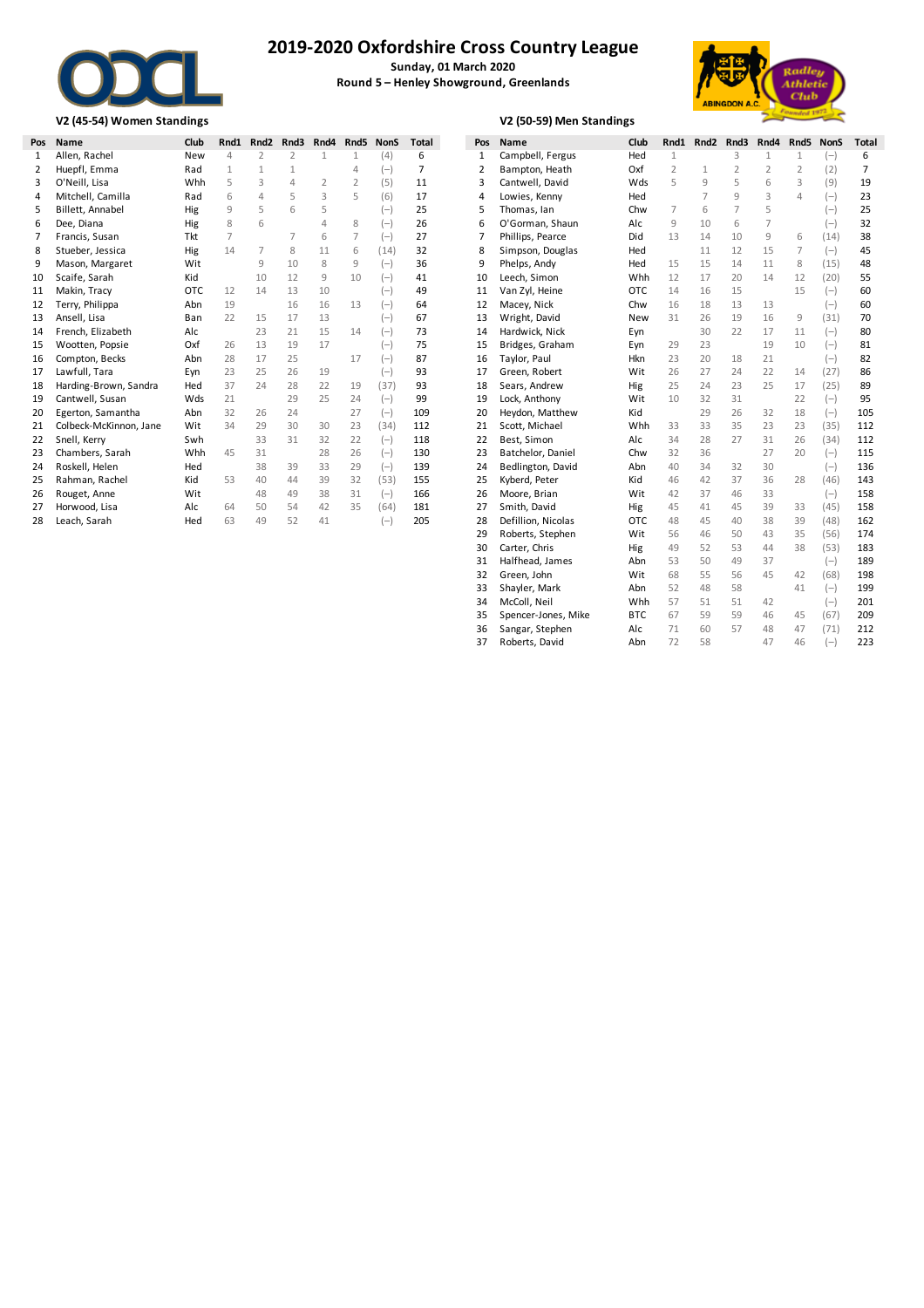

**Sunday, 01 March 2020 Round 5 – Henley Showground, Greenlands**



### **V2 (45-54) Women Standings V2 (50-59) Men Standings**

| Pos | Name                   | Club       | Rnd1     | Rnd <sub>2</sub> | Rnd3           | Rnd4 | Rnd <sub>5</sub> | <b>NonS</b> | <b>Total</b> | Pos | Name               | Club       | Rnd1           | Rnd <sub>2</sub> | Rnd3 | Rnd4 | Rnd <sub>5</sub> | <b>NonS</b> | Total          |
|-----|------------------------|------------|----------|------------------|----------------|------|------------------|-------------|--------------|-----|--------------------|------------|----------------|------------------|------|------|------------------|-------------|----------------|
|     | Allen. Rachel          | New        | $\Delta$ | 2                | $\overline{2}$ |      |                  | (4)         | 6            |     | Campbell, Fergus   | Hed        |                |                  | 3    |      |                  | $(-)$       | 6              |
|     | Huepfl, Emma           | Rad        |          |                  |                |      | 4                | $(-)$       | 7            |     | Bampton, Heath     | Oxf        | $\overline{2}$ |                  | 2    |      | $\overline{2}$   | (2)         | $\overline{7}$ |
|     | O'Neill, Lisa          | Whh        | 5        | 3                | 4              | 2    | 2                | (5)         | 11           | з   | Cantwell, David    | Wds        | 5              | 9                | 5    | 6    | 3                | (9)         | 19             |
|     | Mitchell, Camilla      | Rad        | 6        | $\overline{4}$   | 5              | 3    | 5                | (6)         | 17           | 4   | Lowies, Kenny      | Hed        |                |                  | 9    | 3    | 4                | $(-)$       | 23             |
| 5   | Billett. Annabel       | Hig        | 9        | 5                | 6              | 5    |                  | $(-)$       | 25           |     | Thomas, Ian        | Chw        |                | 6                |      | 5    |                  | $(-)$       | 25             |
| 6   | Dee, Diana             | Hig        | 8        | 6                |                | 4    | 8                | $(-)$       | 26           | 6   | O'Gorman, Shaun    | Alc        | 9              | 10               | 6    | 7    |                  | $(-)$       | 32             |
|     | Francis, Susan         | Tkt        | 7        |                  |                | 6    | 7                | $(-)$       | 27           |     | Phillips, Pearce   | Did        | 13             | 14               | 10   | 9    | 6                | (14)        | 38             |
|     | Stueber, Jessica       | Hig        | 14       | 7                | 8              | 11   | 6                | (14)        | 32           |     | Simpson, Douglas   | Hed        |                | 11               | 12   | 15   | 7                | $(-)$       | 45             |
|     | Mason, Margaret        | Wit        |          | Q                | 10             | 8    | 9                | $(-)$       | 36           | q   | Phelps, Andy       | Hed        | 15             | 15               | 14   | 11   | 8                | (15)        | 48             |
| 10  | Scaife, Sarah          | Kid        |          | 10               | 12             | 9    | 10               | $(-)$       | 41           | 10  | Leech. Simon       | Whh        | 12             | 17               | 20   | 14   | 12               | (20)        | 55             |
| 11  | Makin, Tracy           | <b>OTC</b> | 12       | 14               | 13             | 10   |                  | $(-)$       | 49           | 11  | Van Zyl, Heine     | <b>OTC</b> | 14             | 16               | 15   |      | 15               | $(-)$       | 60             |
| 12  | Terry, Philippa        | Abn        | 19       |                  | 16             | 16   | 13               | $(-)$       | 64           | 12  | Macey, Nick        | Chw        | 16             | 18               | 13   | 13   |                  | $(-)$       | 60             |
| 13  | Ansell, Lisa           | Ban        | 22       | 15               | 17             | 13   |                  | $(-)$       | 67           | 13  | Wright, David      | New        | 31             | 26               | 19   | 16   | 9                | (31)        | 70             |
| 14  | French. Elizabeth      | Alc        |          | 23               | 21             | 15   | 14               | $(-)$       | 73           | 14  | Hardwick. Nick     | Eyn        |                | 30               | 22   | 17   | 11               | $(-)$       | 80             |
| 15  | Wootten, Popsie        | Oxf        | 26       | 13               | 19             | 17   |                  | $(-)$       | 75           | 15  | Bridges, Graham    | Eyn        | 29             | 23               |      | 19   | 10               | $(-)$       | 81             |
| 16  | Compton, Becks         | Abn        | 28       | 17               | 25             |      | 17               | $(-)$       | 87           | 16  | Tavlor, Paul       | Hkn        | 23             | 20               | 18   | 21   |                  | $(-)$       | 82             |
| 17  | Lawfull, Tara          | Eyn        | 23       | 25               | 26             | 19   |                  | $(-)$       | 93           | 17  | Green, Robert      | Wit        | 26             | 27               | 24   | 22   | 14               | (27)        | 86             |
| 18  | Harding-Brown, Sandra  | Hed        | 37       | 24               | 28             | 22   | 19               | (37)        | 93           | 18  | Sears, Andrew      | Hig        | 25             | 24               | 23   | 25   | 17               | (25)        | 89             |
| 19  | Cantwell, Susan        | Wds        | 21       |                  | 29             | 25   | 24               | $(-)$       | 99           | 19  | Lock. Anthony      | Wit        | 10             | 32               | 31   |      | 22               | $(-)$       | 95             |
| 20  | Egerton, Samantha      | Abn        | 32       | 26               | 24             |      | 27               | $(-)$       | 109          | 20  | Heydon, Matthew    | Kid        |                | 29               | 26   | 32   | 18               | $(-)$       | 105            |
| 21  | Colbeck-McKinnon, Jane | Wit        | 34       | 29               | 30             | 30   | 23               | (34)        | 112          | 21  | Scott, Michael     | Whh        | 33             | 33               | 35   | 23   | 23               | (35)        | 112            |
| 22  | Snell, Kerry           | Swh        |          | 33               | 31             | 32   | 22               | $(-)$       | 118          | 22  | Best. Simon        | Alc        | 34             | 28               | 27   | 31   | 26               | (34)        | 112            |
| 23  | Chambers, Sarah        | Whh        | 45       | 31               |                | 28   | 26               | $(-)$       | 130          | 23  | Batchelor, Daniel  | Chw        | 32             | 36               |      | 27   | 20               | $(-)$       | 115            |
| 24  | Roskell, Helen         | Hed        |          | 38               | 39             | 33   | 29               | $(-)$       | 139          | 24  | Bedlington, David  | Abn        | 40             | 34               | 32   | 30   |                  | $(-)$       | 136            |
| 25  | Rahman, Rachel         | Kid        | 53       | 40               | 44             | 39   | 32               | (53)        | 155          | 25  | Kyberd, Peter      | Kid        | 46             | 42               | 37   | 36   | 28               | (46)        | 143            |
| 26  | Rouget, Anne           | Wit        |          | 48               | 49             | 38   | 31               | $(-)$       | 166          | 26  | Moore, Brian       | Wit        | 42             | 37               | 46   | 33   |                  | $(-)$       | 158            |
| 27  | Horwood, Lisa          | Alc        | 64       | 50               | 54             | 42   | 35               | (64)        | 181          | 27  | Smith, David       | Hig        | 45             | 41               | 45   | 39   | 33               | (45)        | 158            |
| 28  | Leach, Sarah           | Hed        | 63       | 49               |                | 41   |                  |             | 205          | 28  | Defillion, Nicolas | OTC        | 48             | 45               | 40   | 38   | 39               | (48)        | 162            |

| Pos          | Name                   | Club       | Rnd1           | Rnd <sub>2</sub> | Rnd3           | Rnd4           | Rnd5           | <b>NonS</b> | Total          | Pos            | Name                | Club       | Rnd1           | Rnd <sub>2</sub> | Rnd3           | Rnd4           | Rnd5 NonS      |       | Total          |
|--------------|------------------------|------------|----------------|------------------|----------------|----------------|----------------|-------------|----------------|----------------|---------------------|------------|----------------|------------------|----------------|----------------|----------------|-------|----------------|
| $\mathbf{1}$ | Allen, Rachel          | New        | $\overline{4}$ | $\overline{2}$   | $\overline{2}$ | $\mathbf{1}$   | $\mathbf{1}$   | (4)         | 6              | $\mathbf{1}$   | Campbell, Fergus    | Hed        | $1\,$          |                  | 3              | $\mathbf{1}$   | $\mathbf{1}$   | $(-)$ | 6              |
| 2            | Huepfl, Emma           | Rad        | 1              | $\mathbf{1}$     | $\mathbf{1}$   |                | 4              | $(-)$       | $\overline{7}$ | $\overline{2}$ | Bampton, Heath      | Oxf        | $\overline{2}$ | $\mathbf 1$      | $\overline{2}$ | $\overline{2}$ | $\overline{2}$ | (2)   | $\overline{7}$ |
| 3            | O'Neill, Lisa          | Whh        | 5              | 3                | $\overline{4}$ | $\overline{2}$ | 2              | (5)         | 11             | 3              | Cantwell, David     | Wds        | 5              | 9                | 5              | 6              | 3              | (9)   | 19             |
| 4            | Mitchell, Camilla      | Rad        | 6              | $\overline{4}$   | 5              | 3              | 5              | (6)         | 17             | 4              | Lowies, Kenny       | Hed        |                | 7                | $\overline{9}$ | 3              | 4              | $(-)$ | 23             |
| 5            | Billett, Annabel       | Hig        | 9              | 5                | 6              | 5              |                | $(-)$       | 25             | 5              | Thomas, Ian         | Chw        | 7              | 6                | 7              | 5              |                | $(-)$ | 25             |
| 6            | Dee, Diana             | Hig        | 8              | 6                |                | $\overline{4}$ | 8              | $(-)$       | 26             | 6              | O'Gorman, Shaun     | Alc        | 9              | 10               | 6              | 7              |                | $(-)$ | 32             |
| 7            | Francis, Susan         | Tkt        | 7              |                  | 7              | 6              | $\overline{7}$ | $(-)$       | 27             | 7              | Phillips, Pearce    | Did        | 13             | 14               | 10             | 9              | 6              | (14)  | 38             |
| 8            | Stueber, Jessica       | Hig        | 14             | 7                | 8              | 11             | 6              | (14)        | 32             | 8              | Simpson, Douglas    | Hed        |                | 11               | 12             | 15             | 7              | $(-)$ | 45             |
| 9            | Mason, Margaret        | Wit        |                | 9                | 10             | 8              | 9              | $(-)$       | 36             | 9              | Phelps, Andy        | Hed        | 15             | 15               | 14             | 11             | 8              | (15)  | 48             |
| 10           | Scaife, Sarah          | Kid        |                | 10               | 12             | 9              | 10             | $(-)$       | 41             | 10             | Leech. Simon        | Whh        | 12             | 17               | 20             | 14             | 12             | (20)  | 55             |
| 11           | Makin, Tracy           | <b>OTC</b> | 12             | 14               | 13             | 10             |                | $(-)$       | 49             | 11             | Van Zyl, Heine      | <b>OTC</b> | 14             | 16               | 15             |                | 15             | $(-)$ | 60             |
| 12           | Terry, Philippa        | Abn        | 19             |                  | 16             | 16             | 13             | $(-)$       | 64             | 12             | Macey, Nick         | Chw        | 16             | 18               | 13             | 13             |                | $(-)$ | 60             |
| 13           | Ansell, Lisa           | Ban        | 22             | 15               | 17             | 13             |                | $(-)$       | 67             | 13             | Wright, David       | New        | 31             | 26               | 19             | 16             | 9              | (31)  | 70             |
| 14           | French, Elizabeth      | Alc        |                | 23               | 21             | 15             | 14             | $(-)$       | 73             | 14             | Hardwick, Nick      | Eyn        |                | 30               | 22             | 17             | 11             | $(-)$ | 80             |
| 15           | Wootten, Popsie        | Oxf        | 26             | 13               | 19             | 17             |                | $(-)$       | 75             | 15             | Bridges, Graham     | Eyn        | 29             | 23               |                | 19             | 10             | $(-)$ | 81             |
| 16           | Compton, Becks         | Abn        | 28             | 17               | 25             |                | 17             | $(-)$       | 87             | 16             | Taylor, Paul        | <b>Hkn</b> | 23             | 20               | 18             | 21             |                | $(-)$ | 82             |
| 17           | Lawfull. Tara          | Eyn        | 23             | 25               | 26             | 19             |                | $(-)$       | 93             | 17             | Green, Robert       | Wit        | 26             | 27               | 24             | 22             | 14             | (27)  | 86             |
| 18           | Harding-Brown, Sandra  | Hed        | 37             | 24               | 28             | 22             | 19             | (37)        | 93             | 18             | Sears, Andrew       | Hig        | 25             | 24               | 23             | 25             | 17             | (25)  | 89             |
| 19           | Cantwell, Susan        | Wds        | 21             |                  | 29             | 25             | 24             | $(-)$       | 99             | 19             | Lock, Anthony       | Wit        | 10             | 32               | 31             |                | 22             | $(-)$ | 95             |
| 20           | Egerton, Samantha      | Abn        | 32             | 26               | 24             |                | 27             | $(-)$       | 109            | 20             | Heydon, Matthew     | Kid        |                | 29               | 26             | 32             | 18             | $(-)$ | 105            |
| 21           | Colbeck-McKinnon, Jane | Wit        | 34             | 29               | 30             | 30             | 23             | (34)        | 112            | 21             | Scott, Michael      | Whh        | 33             | 33               | 35             | 23             | 23             | (35)  | 112            |
| 22           | Snell, Kerry           | Swh        |                | 33               | 31             | 32             | 22             | $(-)$       | 118            | 22             | Best, Simon         | Alc        | 34             | 28               | 27             | 31             | 26             | (34)  | 112            |
| 23           | Chambers, Sarah        | Whh        | 45             | 31               |                | 28             | 26             | $(-)$       | 130            | 23             | Batchelor, Daniel   | Chw        | 32             | 36               |                | 27             | 20             | $(-)$ | 115            |
| 24           | Roskell, Helen         | Hed        |                | 38               | 39             | 33             | 29             | $(-)$       | 139            | 24             | Bedlington, David   | Abn        | 40             | 34               | 32             | 30             |                | $(-)$ | 136            |
| 25           | Rahman, Rachel         | Kid        | 53             | 40               | 44             | 39             | 32             | (53)        | 155            | 25             | Kyberd, Peter       | Kid        | 46             | 42               | 37             | 36             | 28             | (46)  | 143            |
| 26           | Rouget, Anne           | Wit        |                | 48               | 49             | 38             | 31             | $(-)$       | 166            | 26             | Moore, Brian        | Wit        | 42             | 37               | 46             | 33             |                | $(-)$ | 158            |
| 27           | Horwood, Lisa          | Alc        | 64             | 50               | 54             | 42             | 35             | (64)        | 181            | 27             | Smith, David        | Hig        | 45             | 41               | 45             | 39             | 33             | (45)  | 158            |
| 28           | Leach, Sarah           | Hed        | 63             | 49               | 52             | 41             |                | $(-)$       | 205            | 28             | Defillion, Nicolas  | <b>OTC</b> | 48             | 45               | 40             | 38             | 39             | (48)  | 162            |
|              |                        |            |                |                  |                |                |                |             |                | 29             | Roberts, Stephen    | Wit        | 56             | 46               | 50             | 43             | 35             | (56)  | 174            |
|              |                        |            |                |                  |                |                |                |             |                | 30             | Carter, Chris       | Hig        | 49             | 52               | 53             | 44             | 38             | (53)  | 183            |
|              |                        |            |                |                  |                |                |                |             |                | 31             | Halfhead, James     | Abn        | 53             | 50               | 49             | 37             |                | $(-)$ | 189            |
|              |                        |            |                |                  |                |                |                |             |                | 32             | Green, John         | Wit        | 68             | 55               | 56             | 45             | 42             | (68)  | 198            |
|              |                        |            |                |                  |                |                |                |             |                | 33             | Shayler, Mark       | Abn        | 52             | 48               | 58             |                | 41             | $(-)$ | 199            |
|              |                        |            |                |                  |                |                |                |             |                | 34             | McColl, Neil        | Whh        | 57             | 51               | 51             | 42             |                | $(-)$ | 201            |
|              |                        |            |                |                  |                |                |                |             |                | 35             | Spencer-Jones, Mike | <b>BTC</b> | 67             | 59               | 59             | 46             | 45             | (67)  | 209            |
|              |                        |            |                |                  |                |                |                |             |                | 36             | Sangar, Stephen     | Alc        | 71             | 60               | 57             | 48             | 47             | (71)  | 212            |
|              |                        |            |                |                  |                |                |                |             |                | 37             | Roberts, David      | Abn        | 72             | 58               |                | 47             | 46             | $(-)$ | 223            |
|              |                        |            |                |                  |                |                |                |             |                |                |                     |            |                |                  |                |                |                |       |                |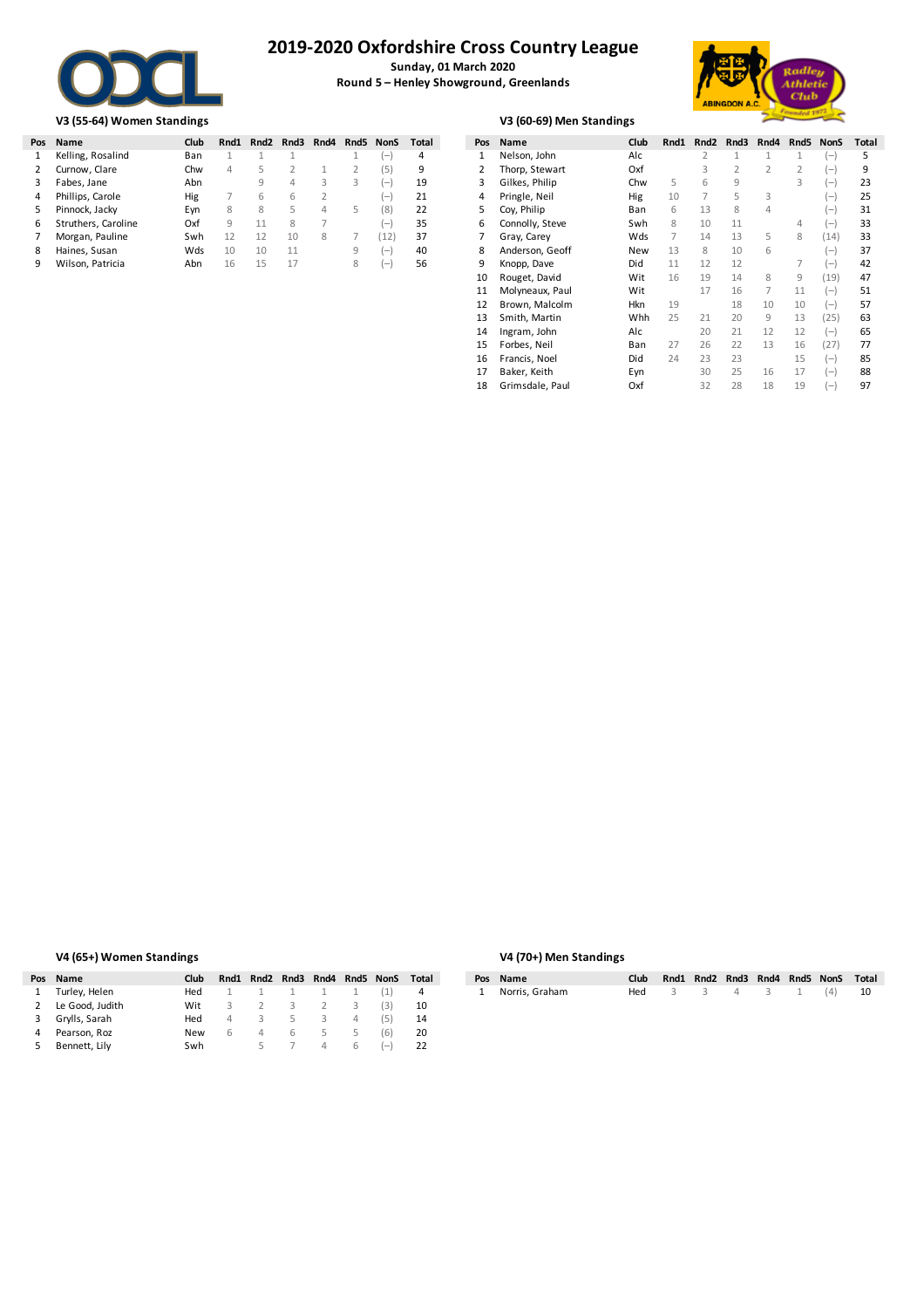

**Sunday, 01 March 2020 Round 5 – Henley Showground, Greenlands**



### **V3 (55-64) Women Standings V3 (60-69) Men Standings**

| Pos | <b>Name</b>         | Club | Rnd1 | Rnd <sub>2</sub> | Rnd3 | Rnd4 | Rnd5 NonS         | Total | Pos | <b>Name</b>     | <b>Club</b> | Rnd1 | Rnd2 | Rnd3 | Rnd4 | Rnd5 NonS                | Tot |
|-----|---------------------|------|------|------------------|------|------|-------------------|-------|-----|-----------------|-------------|------|------|------|------|--------------------------|-----|
|     | Kelling, Rosalind   | Ban  |      |                  |      |      | $\overline{ }$    |       |     | Nelson, John    | Alc         |      |      |      |      | $-1$                     |     |
|     | Curnow. Clare       | Chw  |      |                  |      |      | [5]               | 9     |     | Thorp, Stewart  | Oxf         |      |      |      |      | $-1$                     |     |
|     | Fabes, Jane         | Abn  |      | u                | 4    |      | $\overline{ }$    | 19    |     | Gilkes, Philip  | Chw         |      |      |      |      | $\overline{\phantom{a}}$ | 23  |
| 4   | Phillips, Carole    | Hig  |      |                  |      |      | $\left( -\right)$ | 21    | 4   | Pringle, Neil   | Hig         | 10   |      |      |      |                          | 2!  |
|     | Pinnock, Jacky      | Evn  | 8    |                  |      |      | (8)               | 22    |     | Coy, Philip     | Ban         | h    | ι3.  |      | 4    | -                        | 3.  |
| 6   | Struthers, Caroline | Oxf  |      |                  |      |      | $(-)$             | 35    | 6   | Connolly, Steve | Swh         | 8    | 10   |      |      | $-1$                     | 3.  |
|     | Morgan, Pauline     | Swh  |      |                  |      | 8    | 12.               | 37    |     | Gray, Carey     | Wds         |      | 14   |      |      | 14)                      | 3.  |
|     | Haines, Susan       | Wds  | 10   | 10               |      |      | $\overline{(-)}$  | 40    | 8   | Anderson, Geoff | New         |      | 8    | 10   | b    | $-1$                     |     |
|     | Wilson, Patricia    | Abn  | 16   |                  |      |      | $\left( -\right)$ | 56    |     | Knopp. Dave     | Did         |      |      |      |      | $-1$                     | 4.  |

|   | Pos Name            | Club | Rnd1 | Rnd <sub>2</sub> | Rnd3 | Rnd4           |   | Rnd5 NonS | Total | Pos | Name            | Club       | Rnd1 | Rnd2 | Rnd3 | Rnd4 | Rnd5           | NonS  | Total |
|---|---------------------|------|------|------------------|------|----------------|---|-----------|-------|-----|-----------------|------------|------|------|------|------|----------------|-------|-------|
| 1 | Kelling, Rosalind   | Ban  |      |                  |      |                |   | $(-)$     | 4     |     | Nelson, John    | Alc        |      |      |      |      |                | $(-)$ | 5     |
| 2 | Curnow, Clare       | Chw  | 4    | 5                |      |                | 2 | (5)       | 9     |     | Thorp, Stewart  | Oxf        |      |      |      |      |                | $(-)$ | 9     |
| 3 | Fabes, Jane         | Abn  |      | 9                | 4    | 3              | 3 | $(-)$     | 19    | 3   | Gilkes, Philip  | Chw        | 5    | 6    | 9    |      | 3              | $(-)$ | 23    |
| 4 | Phillips, Carole    | Hig  | 7    | 6                | 6    | $\overline{2}$ |   | $(-)$     | 21    | 4   | Pringle, Neil   | Hig        | 10   |      | 5    | 3    |                | $(-)$ | 25    |
| 5 | Pinnock, Jacky      | Eyn  | 8    | 8                | 5    | $\overline{4}$ | 5 | (8)       | 22    | 5   | Coy, Philip     | Ban        | 6    | 13   | 8    | 4    |                | $(-)$ | 31    |
| 6 | Struthers, Caroline | Oxf  | 9    | 11               | 8    |                |   | $(-)$     | 35    | 6   | Connolly, Steve | Swh        | 8    | 10   | 11   |      | $\overline{4}$ | $(-)$ | 33    |
|   | Morgan, Pauline     | Swh  | 12   | 12               | 10   | 8              |   | (12)      | 37    |     | Gray, Carey     | Wds        |      | 14   | 13   | 5.   | 8              | (14)  | 33    |
| 8 | Haines, Susan       | Wds  | 10   | 10               | 11   |                | 9 | $(-)$     | 40    | 8   | Anderson, Geoff | New        | 13   | 8    | 10   | 6    |                | $(-)$ | 37    |
| 9 | Wilson, Patricia    | Abn  | 16   | 15               | 17   |                | 8 | $(-)$     | 56    | 9   | Knopp, Dave     | Did        | 11   | 12   | 12   |      |                | $(-)$ | 42    |
|   |                     |      |      |                  |      |                |   |           |       | 10  | Rouget, David   | Wit        | 16   | 19   | 14   | 8    | 9              | (19)  | 47    |
|   |                     |      |      |                  |      |                |   |           |       | 11  | Molyneaux, Paul | Wit        |      | 17   | 16   |      | 11             | $(-)$ | 51    |
|   |                     |      |      |                  |      |                |   |           |       | 12  | Brown, Malcolm  | <b>Hkn</b> | 19   |      | 18   | 10   | 10             | $(-)$ | 57    |
|   |                     |      |      |                  |      |                |   |           |       | 13  | Smith, Martin   | Whh        | 25   | 21   | 20   | 9    | 13             | (25)  | 63    |
|   |                     |      |      |                  |      |                |   |           |       | 14  | Ingram, John    | Alc        |      | 20   | 21   | 12   | 12             | $(-)$ | 65    |
|   |                     |      |      |                  |      |                |   |           |       | 15  | Forbes, Neil    | Ban        | 27   | 26   | 22   | 13   | 16             | (27)  | 77    |
|   |                     |      |      |                  |      |                |   |           |       | 16  | Francis, Noel   | Did        | 24   | 23   | 23   |      | 15             | $(-)$ | 85    |
|   |                     |      |      |                  |      |                |   |           |       | 17  | Baker, Keith    | Eyn        |      | 30   | 25   | 16   | 17             | $(-)$ | 88    |
|   |                     |      |      |                  |      |                |   |           |       | 18  | Grimsdale, Paul | Oxf        |      | 32   | 28   | 18   | 19             | $(-)$ | 97    |
|   |                     |      |      |                  |      |                |   |           |       |     |                 |            |      |      |      |      |                |       |       |

| Pos Name          | Club                  | Rnd1 Rnd2 Rnd3 Rnd4 Rnd5 NonS |  |  |                      | Total |  | Pos Name       | Club |  |  | Rnd1 Rnd2 Rnd3 Rnd4 Rnd5 NonS Tot |  |
|-------------------|-----------------------|-------------------------------|--|--|----------------------|-------|--|----------------|------|--|--|-----------------------------------|--|
| 1 Turley, Helen   | Hed 1 1 1 1 1 1 (1) 4 |                               |  |  |                      |       |  | Norris. Graham |      |  |  | Hed 3 3 4 3 1 (4) 10              |  |
| 2 Le Good, Judith | Wit 3 2 3 2 3 (3) 10  |                               |  |  |                      |       |  |                |      |  |  |                                   |  |
| 3 Grylls, Sarah   |                       |                               |  |  | Hed 4 3 5 3 4 (5) 14 |       |  |                |      |  |  |                                   |  |
| 4 Pearson, Roz    | New                   | 6 4 6 5 5                     |  |  | (6)                  | 20    |  |                |      |  |  |                                   |  |
| 5 Bennett, Lily   | Swh 5 7 4 6 (-) 22    |                               |  |  |                      |       |  |                |      |  |  |                                   |  |

## **V4 (65+) Women Standings V4 (70+) Men Standings**

| Pos Name        | Club |  |  |  | Rnd1 Rnd2 Rnd3 Rnd4 Rnd5 NonS Total | Pos | <b>Name</b>                                                 | Club |  |  | Rnd1 Rnd2 Rnd3 Rnd4 Rnd5 NonS Total |  |
|-----------------|------|--|--|--|-------------------------------------|-----|-------------------------------------------------------------|------|--|--|-------------------------------------|--|
| 1 Turley, Helen |      |  |  |  |                                     |     | Hed 1 1 1 1 1 1 1 1 1 1 Norris, Graham Hed 3 3 4 3 1 (4) 10 |      |  |  |                                     |  |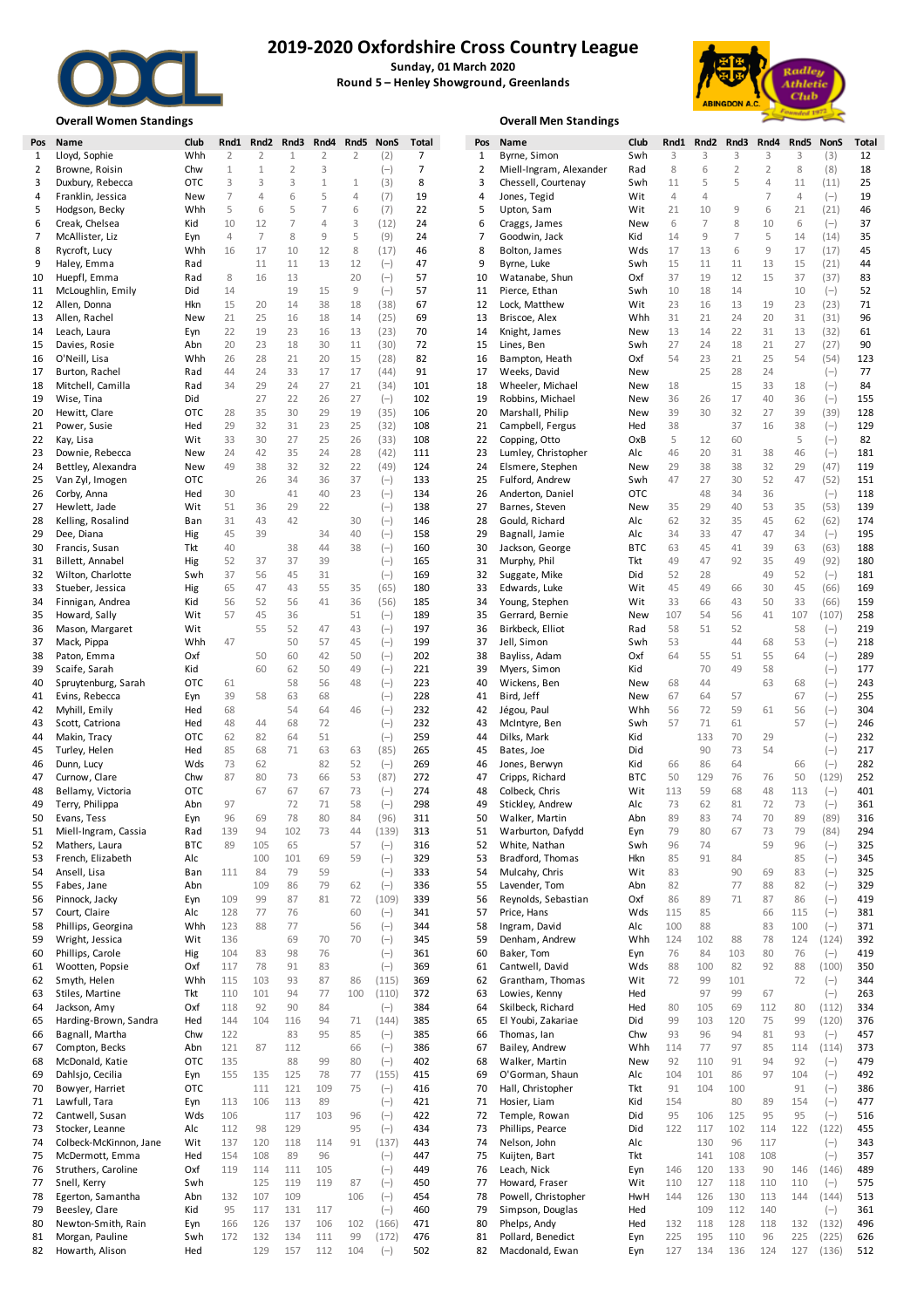

**Sunday, 01 March 2020 Round 5 – Henley Showground, Greenlands**



### **Overall Women Standings Overall Men Standings**

| Pos      | Name                            | Club              | Rnd1           | Rnd <sub>2</sub> | Rnd3           | Rnd4           | Rnd5           | <b>NonS</b>    | <b>Total</b>   | Pos            | Name                         | Club       | Rnd1     | Rnd <sub>2</sub> | Rnd3           | Rnd4           | Rnd <sub>5</sub> | <b>NonS</b>    | Total      |
|----------|---------------------------------|-------------------|----------------|------------------|----------------|----------------|----------------|----------------|----------------|----------------|------------------------------|------------|----------|------------------|----------------|----------------|------------------|----------------|------------|
| 1        | Lloyd, Sophie                   | Whh               | $\overline{2}$ | $\overline{2}$   | $1\,$          | $\overline{2}$ | $\overline{2}$ | (2)            | 7              | $\mathbf{1}$   | Byrne, Simon                 | Swh        | 3        | 3                | 3              | 3              | 3                | (3)            | 12         |
| 2        | Browne, Roisin                  | Chw               | $\mathbf{1}$   | $\mathbf{1}$     | $\overline{2}$ | 3              |                | $(-)$          | $\overline{7}$ | $\overline{2}$ | Miell-Ingram, Alexander      | Rad        | 8        | 6                | $\overline{2}$ | $\overline{2}$ | 8                | (8)            | 18         |
| 3        | Duxbury, Rebecca                | <b>OTC</b>        | 3              | 3                | 3              | $\mathbf{1}$   | $\mathbf{1}$   | (3)            | 8              | 3              | Chessell, Courtenay          | Swh        | 11       | 5                | 5              | 4              | 11               | (11)           | 25         |
| 4        | Franklin, Jessica               | New               | $\overline{7}$ | 4                | 6              | 5              | $\overline{4}$ | (7)            | 19             | 4              | Jones, Tegid                 | Wit        | 4        | $\overline{4}$   |                | 7              | 4                | $(-)$          | 19         |
| 5        | Hodgson, Becky                  | Whh               | 5              | 6                | 5              | 7              | 6              | (7)            | 22             | 5              | Upton, Sam                   | Wit        | 21       | 10               | 9              | 6              | 21               | (21)           | 46         |
| 6        | Creak, Chelsea                  | Kid               | 10             | 12               | $\overline{7}$ | 4              | 3              | (12)           | 24             | 6              | Craggs, James                | New        | 6        | $\overline{7}$   | 8              | 10             | 6                | $(-)$          | 37         |
| 7        | McAllister, Liz                 | Eyn               | 4              | 7                | 8              | 9              | 5              | (9)            | 24             | $\overline{7}$ | Goodwin, Jack                | Kid        | 14       | 9                | 7              | 5              | 14               | (14)           | 35         |
| 8        | Rycroft, Lucy                   | Whh               | 16             | 17               | 10             | 12             | 8              | (17)           | 46             | 8              | Bolton, James                | Wds        | 17       | 13               | 6              | 9              | 17               | (17)           | 45         |
| 9        | Haley, Emma                     | Rad               |                | 11               | 11             | 13             | 12             | $(-)$          | 47             | 9              | Byrne, Luke                  | Swh        | 15       | 11               | 11             | 13             | 15               | (21)           | 44         |
| 10       | Huepfl, Emma                    | Rad               | 8              | 16               | 13             |                | 20             | $(-)$          | 57             | 10             | Watanabe, Shun               | Oxf        | 37       | 19               | 12             | 15             | 37               | (37)           | 83         |
| 11       | McLoughlin, Emily               | Did               | 14             |                  | 19             | 15             | 9              | $(-)$          | 57             | 11             | Pierce, Ethan                | Swh        | 10       | 18               | 14             |                | 10               | $(-)$          | 52         |
| 12       | Allen, Donna                    | Hkn               | 15             | 20               | 14             | 38             | 18             | (38)           | 67             | 12             | Lock, Matthew                | Wit        | 23       | 16               | 13             | 19             | 23               | (23)           | 71         |
| 13       | Allen, Rachel                   | New               | 21             | 25               | 16             | 18             | 14             | (25)           | 69             | 13             | Briscoe, Alex                | Whh        | 31       | 21               | 24             | 20             | 31               | (31)           | 96         |
| 14       | Leach, Laura                    | Eyn               | 22             | 19               | 23             | 16             | 13             | (23)           | 70             | 14             | Knight, James                | New        | 13       | 14               | 22             | 31             | 13               | (32)           | 61         |
| 15       | Davies, Rosie                   | Abn               | 20             | 23               | 18             | 30             | 11             | (30)           | 72             | 15             | Lines, Ben                   | Swh        | 27       | 24               | 18             | 21             | 27               | (27)           | 90         |
| 16       | O'Neill, Lisa                   | Whh               | 26             | 28               | 21             | 20             | 15             | (28)           | 82             | 16             | Bampton, Heath               | Oxf        | 54       | 23               | 21             | 25             | 54               | (54)           | 123        |
| 17       | Burton, Rachel                  | Rad               | 44             | 24               | 33             | 17             | 17             | (44)           | 91             | 17             | Weeks, David                 | New        |          | 25               | 28             | 24             |                  | $(-)$          | 77         |
| 18       | Mitchell, Camilla               | Rad               | 34             | 29               | 24             | 27             | 21             | (34)           | 101            | 18             | Wheeler, Michael             | New        | 18       |                  | 15             | 33             | 18               | $(-)$          | 84         |
| 19       | Wise, Tina                      | Did               |                | 27               | 22             | 26             | 27             | $(-)$          | 102            | 19             | Robbins, Michael             | New        | 36       | 26               | 17             | 40             | 36               | $(-)$          | 155        |
| 20       | Hewitt, Clare                   | <b>OTC</b>        | 28             | 35               | 30             | 29             | 19             | (35)           | 106            | 20             | Marshall, Philip             | New        | 39       | 30               | 32             | 27             | 39               | (39)           | 128        |
| 21       | Power, Susie                    | Hed               | 29             | 32               | 31             | 23             | 25             | (32)           | 108            | 21             | Campbell, Fergus             | Hed        | 38       |                  | 37             | 16             | 38               | $(-)$          | 129        |
| 22       | Kay, Lisa                       | Wit               | 33             | 30               | 27             | 25             | 26             | (33)           | 108            | 22             | Copping, Otto                | OxB        | 5        | 12               | 60             |                | 5                | $(-)$          | 82         |
| 23       | Downie, Rebecca                 | New               | 24             | 42               | 35             | 24             | 28             | (42)           | 111            | 23             | Lumley, Christopher          | Alc        | 46       | 20               | 31             | 38             | 46               | $(-)$          | 181        |
| 24       | Bettley, Alexandra              | New               | 49             | 38               | 32             | 32             | 22             | (49)           | 124            | 24             | Elsmere, Stephen             | New        | 29       | 38               | 38             | 32             | 29               | (47)           | 119        |
| 25       | Van Zyl, Imogen                 | <b>OTC</b>        |                | 26               | 34             | 36             | 37             | $(-)$          | 133            | 25             | Fulford, Andrew              | Swh        | 47       | 27               | 30             | 52             | 47               | (52)           | 151        |
| 26       | Corby, Anna                     | Hed               | 30             |                  | 41             | 40             | 23             | $(-)$          | 134            | 26             | Anderton, Daniel             | ОТС        |          | 48               | 34             | 36             |                  | $(-)$          | 118        |
| 27       | Hewlett, Jade                   | Wit               | 51             | 36               | 29             | 22             |                | $(-)$          | 138            | 27             | Barnes, Steven               | New        | 35       | 29               | 40             | 53             | 35               | (53)           | 139        |
| 28       | Kelling, Rosalind               | Ban               | 31             | 43               | 42             |                | 30             | $(-)$          | 146            | 28             | Gould, Richard               | Alc        | 62       | 32               | 35             | 45             | 62               | (62)           | 174        |
| 29       | Dee, Diana                      | Hig               | 45             | 39               |                | 34             | 40             | $(-)$          | 158            | 29             | Bagnall, Jamie               | Alc        | 34       | 33               | 47             | 47             | 34               | $(-)$          | 195        |
| 30       | Francis, Susan                  | Tkt               | 40             |                  | 38             | 44             | 38             | $(-)$          | 160            | 30             | Jackson, George              | <b>BTC</b> | 63       | 45               | 41             | 39             | 63               | (63)           | 188        |
| 31       | Billett, Annabel                | Hig               | 52             | 37               | 37             | 39             |                | $(-)$          | 165            | 31             | Murphy, Phil                 | Tkt        | 49       | 47               | 92             | 35             | 49               | (92)           | 180        |
| 32       | Wilton, Charlotte               | Swh               | 37             | 56               | 45             | 31             |                | $(-)$          | 169            | 32             | Suggate, Mike                | Did        | 52       | 28               |                | 49             | 52               | $(-)$          | 181        |
| 33       | Stueber, Jessica                | Hig               | 65             | 47               | 43             | 55             | 35             | (65)           | 180            | 33             | Edwards, Luke                | Wit        | 45       | 49               | 66             | 30             | 45               | (66)           | 169        |
| 34       | Finnigan, Andrea                | Kid               | 56             | 52               | 56             | 41             | 36             | (56)           | 185            | 34             | Young, Stephen               | Wit        | 33       | 66               | 43             | 50             | 33               | (66)           | 159        |
| 35       | Howard, Sally                   | Wit               | 57             | 45               | 36             |                | 51             | $(-)$          | 189            | 35             | Gerrard, Bernie              | New        | 107      | 54               | 56             | 41             | 107              | (107)          | 258        |
| 36       | Mason, Margaret                 | Wit               |                | 55               | 52             | 47             | 43             | $(-)$          | 197            | 36             | Birkbeck, Elliot             | Rad        | 58       | 51               | 52             |                | 58               | $(-)$          | 219        |
| 37       | Mack, Pippa                     | Whh               | 47             |                  | 50             | 57             | 45             | $(-)$          | 199            | 37             | Jell, Simon                  | Swh        | 53       |                  | 44             | 68             | 53               | $(-)$          | 218        |
| 38       | Paton, Emma                     | Oxf               |                | 50               | 60             | 42             | 50             | $(-)$          | 202            | 38             | Bayliss, Adam                | Oxf        | 64       | 55               | 51             | 55             | 64               | $(-)$          | 289        |
| 39       | Scaife, Sarah                   | Kid               |                | 60               | 62             | 50             | 49             | $(-)$          | 221            | 39             | Myers, Simon                 | Kid        |          | 70               | 49             | 58             |                  | $(-)$          | 177        |
| 40       | Spruytenburg, Sarah             | <b>OTC</b>        | 61             |                  | 58             | 56             | 48             | $(-)$          | 223            | 40             | Wickens, Ben                 | New        | 68       | 44               |                | 63             | 68               | $(-)$          | 243        |
| 41       | Evins, Rebecca                  | Eyn               | 39<br>68       | 58               | 63<br>54       | 68<br>64       | 46             | $(-)$          | 228<br>232     | 41             | Bird, Jeff                   | New<br>Whh | 67       | 64               | 57             | 61             | 67               | $(-)$          | 255<br>304 |
| 42       | Myhill, Emily                   | Hed               | 48             |                  | 68             | 72             |                | $(-)$          | 232            | 42<br>43       | Jégou, Paul                  |            | 56<br>57 | 72<br>71         | 59<br>61       |                | 56<br>57         | $(-)$          |            |
| 43<br>44 | Scott, Catriona<br>Makin, Tracy | Hed<br><b>OTC</b> | 62             | 44<br>82         | 64             | 51             |                | $(-)$<br>$(-)$ | 259            | 44             | McIntyre, Ben<br>Dilks, Mark | Swh<br>Kid |          | 133              | 70             | 29             |                  | $(-)$<br>$(-)$ | 246<br>232 |
| 45       | Turley, Helen                   | Hed               | 85             | 68               | 71             | 63             | 63             | (85)           | 265            | 45             | Bates, Joe                   | Did        |          | 90               | 73             | 54             |                  | $(-)$          | 217        |
| 46       | Dunn, Lucy                      | Wds               | 73             | 62               |                | 82             | 52             | $(-)$          | 269            | 46             | Jones, Berwyn                | Kid        | 66       | 86               | 64             |                | 66               | $(-)$          | 282        |
| 47       | Curnow, Clare                   | Chw               | 87             | 80               | 73             | 66             | 53             | (87)           | 272            | 47             | Cripps, Richard              | <b>BTC</b> | 50       | 129              | 76             | 76             | 50               | (129)          | 252        |
| 48       | Bellamy, Victoria               | <b>OTC</b>        |                | 67               | 67             | 67             | 73             | $(-)$          | 274            | 48             | Colbeck, Chris               | Wit        | 113      | 59               | 68             | 48             | 113              | $(-)$          | 401        |
| 49       | Terry, Philippa                 | Abn               | 97             |                  | 72             | 71             | 58             | $(-)$          | 298            | 49             | Stickley, Andrew             | Alc        | 73       | 62               | 81             | 72             | 73               | $(-)$          | 361        |
| 50       | Evans, Tess                     | Eyn               | 96             | 69               | 78             | 80             | 84             | (96)           | 311            | 50             | Walker, Martin               | Abn        | 89       | 83               | 74             | 70             | 89               | (89)           | 316        |
| 51       | Miell-Ingram, Cassia            | Rad               | 139            | 94               | 102            | 73             | 44             | (139)          | 313            | 51             | Warburton, Dafydd            | Eyn        | 79       | 80               | 67             | 73             | 79               | (84)           | 294        |
| 52       | Mathers, Laura                  | <b>BTC</b>        | 89             | 105              | 65             |                | 57             | $(-)$          | 316            | 52             | White, Nathan                | Swh        | 96       | 74               |                | 59             | 96               | $(-)$          | 325        |
| 53       | French, Elizabeth               | Alc               |                | 100              | 101            | 69             | 59             | $(-)$          | 329            | 53             | Bradford, Thomas             | Hkn        | 85       | 91               | 84             |                | 85               | $(-)$          | 345        |
| 54       | Ansell, Lisa                    | Ban               | 111            | 84               | 79             | 59             |                | $(-)$          | 333            | 54             | Mulcahy, Chris               | Wit        | 83       |                  | 90             | 69             | 83               | $(-)$          | 325        |
| 55       | Fabes, Jane                     | Abn               |                | 109              | 86             | 79             | 62             | $(-)$          | 336            | 55             | Lavender, Tom                | Abn        | 82       |                  | 77             | 88             | 82               | $(-)$          | 329        |
| 56       | Pinnock, Jacky                  | Eyn               | 109            | 99               | 87             | 81             | 72             | (109)          | 339            | 56             | Reynolds, Sebastian          | Oxf        | 86       | 89               | 71             | 87             | 86               | $(-)$          | 419        |
| 57       | Court, Claire                   | Alc               | 128            | 77               | 76             |                | 60             | $(-)$          | 341            | 57             | Price, Hans                  | Wds        | 115      | 85               |                | 66             | 115              | $(-)$          | 381        |
| 58       | Phillips, Georgina              | Whh               | 123            | 88               | 77             |                | 56             | $(-)$          | 344            | 58             | Ingram, David                | Alc        | 100      | 88               |                | 83             | 100              | $(-)$          | 371        |
| 59       | Wright, Jessica                 | Wit               | 136            |                  | 69             | 70             | 70             | $(-)$          | 345            | 59             | Denham, Andrew               | Whh        | 124      | 102              | 88             | 78             | 124              | (124)          | 392        |
| 60       | Phillips, Carole                | Hig               | 104            | 83               | 98             | 76             |                | $(-)$          | 361            | 60             | Baker, Tom                   | Eyn        | 76       | 84               | 103            | 80             | 76               | $(-)$          | 419        |
| 61       | Wootten, Popsie                 | Oxf               | 117            | 78               | 91             | 83             |                | $(-)$          | 369            | 61             | Cantwell, David              | Wds        | 88       | 100              | 82             | 92             | 88               | (100)          | 350        |
| 62       | Smyth, Helen                    | Whh               | 115            | 103              | 93             | 87             | 86             | (115)          | 369            | 62             | Grantham, Thomas             | Wit        | 72       | 99               | 101            |                | 72               | $(-)$          | 344        |
| 63       | Stiles, Martine                 | Tkt               | 110            | 101              | 94             | 77             | 100            | (110)          | 372            | 63             | Lowies, Kenny                | Hed        |          | 97               | 99             | 67             |                  | $(-)$          | 263        |
| 64       | Jackson, Amy                    | Oxf               | 118            | 92               | 90             | 84             |                | $(-)$          | 384            | 64             | Skilbeck, Richard            | Hed        | 80       | 105              | 69             | 112            | 80               | (112)          | 334        |
| 65       | Harding-Brown, Sandra           | Hed               | 144            | 104              | 116            | 94             | 71             | (144)          | 385            | 65             | El Youbi, Zakariae           | Did        | 99       | 103              | 120            | 75             | 99               | (120)          | 376        |
| 66       | Bagnall, Martha                 | Chw               | 122            |                  | 83             | 95             | 85             | $(-)$          | 385            | 66             | Thomas, Ian                  | Chw        | 93       | 96               | 94             | 81             | 93               | $(-)$          | 457        |
| 67       | Compton, Becks                  | Abn               | 121            | 87               | 112            |                | 66             | $(-)$          | 386            | 67             | Bailey, Andrew               | Whh        | 114      | 77               | 97             | 85             | 114              | (114)          | 373        |
| 68       | McDonald, Katie                 | <b>OTC</b>        | 135            |                  | 88             | 99             | 80             | $(-)$          | 402            | 68             | Walker, Martin               | New        | 92       | 110              | 91             | 94             | 92               | $(-)$          | 479        |
| 69       | Dahlsjo, Cecilia                | Eyn               | 155            | 135              | 125            | 78             | 77             | (155)          | 415            | 69             | O'Gorman, Shaun              | Alc        | 104      | 101              | 86             | 97             | 104              | $(-)$          | 492        |
| 70       | Bowyer, Harriet                 | <b>OTC</b>        |                | 111              | 121            | 109            | 75             | $(-)$          | 416            | 70             | Hall, Christopher            | Tkt        | 91       | 104              | 100            |                | 91               | $(-)$          | 386        |
| 71       | Lawfull, Tara                   | Eyn               | 113            | 106              | 113            | 89             |                | $(-)$          | 421            | 71             | Hosier, Liam                 | Kid        | 154      |                  | 80             | 89             | 154              | $(-)$          | 477        |
| 72       | Cantwell, Susan                 | Wds               | 106            |                  | 117            | 103            | 96             | $(-)$          | 422            | 72             | Temple, Rowan                | Did        | 95       | 106              | 125            | 95             | 95               | $(-)$          | 516        |
| 73       | Stocker, Leanne                 | Alc               | 112            | 98               | 129            |                | 95             | $(-)$          | 434            | 73             | Phillips, Pearce             | Did        | 122      | 117              | 102            | 114            | 122              | (122)          | 455        |
| 74       | Colbeck-McKinnon, Jane          | Wit               | 137            | 120              | 118            | 114            | 91             | (137)          | 443            | 74             | Nelson, John                 | Alc        |          | 130              | 96             | 117            |                  | $(-)$          | 343        |
| 75       | McDermott, Emma                 | Hed               | 154            | 108              | 89             | 96             |                | $(-)$          | 447            | 75             | Kuijten, Bart                | Tkt        |          | 141              | 108            | 108            |                  | $(-)$          | 357        |
| 76       | Struthers, Caroline             | Oxf               | 119            | 114              | 111            | 105            |                | $(-)$          | 449            | 76             | Leach, Nick                  | Eyn        | 146      | 120              | 133            | 90             | 146              | (146)          | 489        |
| 77       | Snell, Kerry                    | Swh               |                | 125              | 119            | 119            | 87             | $(-)$          | 450            | 77             | Howard, Fraser               | Wit        | 110      | 127              | 118            | 110            | 110              | $(-)$          | 575        |
| 78       | Egerton, Samantha               | Abn               | 132            | 107              | 109            |                | 106            | $(-)$          | 454            | 78             | Powell, Christopher          | <b>HwH</b> | 144      | 126              | 130            | 113            | 144              | (144)          | 513        |
| 79       | Beesley, Clare                  | Kid               | 95             | 117              | 131            | 117            |                | $(-)$          | 460            | 79             | Simpson, Douglas             | Hed        |          | 109              | 112            | 140            |                  | $(-)$          | 361        |
| 80       | Newton-Smith, Rain              | Eyn               | 166            | 126              | 137            | 106            | 102            | (166)          | 471            | 80             | Phelps, Andy                 | Hed        | 132      | 118              | 128            | 118            | 132              | (132)          | 496        |
| 81       | Morgan, Pauline                 | Swh               | 172            | 132              | 134            | 111            | 99             | (172)          | 476            | 81             | Pollard, Benedict            | Eyn        | 225      | 195              | 110            | 96             | 225              | (225)          | 626        |
| 82       | Howarth, Alison                 | Hed               |                | 129              | 157            | 112            | 104            | $(-)$          | 502            | 82             | Macdonald, Ewan              | Eyn        | 127      | 134              | 136            | 124            | 127              | (136)          | 512        |

| Name                                           | Club              | Rnd1           | Rnd <sub>2</sub> | Rnd3                | Rnd4                | Rnd5      | <b>NonS</b>    | Total      |
|------------------------------------------------|-------------------|----------------|------------------|---------------------|---------------------|-----------|----------------|------------|
| Byrne, Simon                                   | Swh               | 3              | 3                | 3                   | 3<br>$\overline{2}$ | 3         | (3)            | 12         |
| Miell-Ingram, Alexander<br>Chessell, Courtenay | Rad<br>Swh        | 8<br>11        | 6<br>5           | $\overline{2}$<br>5 | 4                   | 8<br>11   | (8)<br>(11)    | 18<br>25   |
| Jones, Tegid                                   | Wit               | $\overline{4}$ | 4                |                     | 7                   | 4         | $(-)$          | 19         |
| Upton, Sam                                     | Wit               | 21             | 10               | 9                   | 6                   | 21        | (21)           | 46         |
| Craggs, James                                  | New               | 6              | $\overline{7}$   | 8                   | 10                  | 6         | $(-)$          | 37         |
| Goodwin, Jack                                  | Kid               | 14             | 9                | 7                   | 5                   | 14        | (14)           | 35         |
| Bolton, James                                  | Wds               | 17             | 13               | 6                   | 9                   | 17        | (17)           | 45         |
| Byrne, Luke<br>Watanabe, Shun                  | Swh<br>Oxf        | 15<br>37       | 11<br>19         | 11<br>12            | 13<br>15            | 15<br>37  | (21)<br>(37)   | 44<br>83   |
| Pierce, Ethan                                  | Swh               | 10             | 18               | 14                  |                     | 10        | $(-)$          | 52         |
| Lock, Matthew                                  | Wit               | 23             | 16               | 13                  | 19                  | 23        | (23)           | 71         |
| Briscoe, Alex                                  | Whh               | 31             | 21               | 24                  | 20                  | 31        | (31)           | 96         |
| Knight, James                                  | New               | 13             | 14               | 22                  | 31                  | 13        | (32)           | 61         |
| Lines, Ben                                     | Swh<br>Oxf        | 27<br>54       | 24<br>23         | 18<br>21            | 21<br>25            | 27<br>54  | (27)<br>(54)   | 90<br>123  |
| Bampton, Heath<br>Weeks, David                 | New               |                | 25               | 28                  | 24                  |           | $(-)$          | 77         |
| Wheeler, Michael                               | New               | 18             |                  | 15                  | 33                  | 18        | $(-)$          | 84         |
| Robbins, Michael                               | New               | 36             | 26               | 17                  | 40                  | 36        | $(-)$          | 155        |
| Marshall, Philip                               | New               | 39             | 30               | 32                  | 27                  | 39        | (39)           | 128        |
| Campbell, Fergus                               | Hed               | 38             |                  | 37                  | 16                  | 38        | $(-)$          | 129        |
| Copping, Otto<br>Lumley, Christopher           | OxB<br>Alc        | 5<br>46        | 12<br>20         | 60<br>31            | 38                  | 5<br>46   | $(-)$<br>$(-)$ | 82<br>181  |
| Elsmere, Stephen                               | New               | 29             | 38               | 38                  | 32                  | 29        | (47)           | 119        |
| Fulford, Andrew                                | Swh               | 47             | 27               | 30                  | 52                  | 47        | (52)           | 151        |
| Anderton, Daniel                               | <b>OTC</b>        |                | 48               | 34                  | 36                  |           | $(-)$          | 118        |
| Barnes, Steven                                 | New               | 35             | 29               | 40                  | 53                  | 35        | (53)           | 139        |
| Gould, Richard                                 | Alc               | 62             | 32               | 35                  | 45                  | 62        | (62)           | 174        |
| Bagnall, Jamie<br>Jackson, George              | Alc<br><b>BTC</b> | 34<br>63       | 33<br>45         | 47<br>41            | 47<br>39            | 34<br>63  | $(-)$<br>(63)  | 195<br>188 |
| Murphy, Phil                                   | Tkt               | 49             | 47               | 92                  | 35                  | 49        | (92)           | 180        |
| Suggate, Mike                                  | Did               | 52             | 28               |                     | 49                  | 52        | $(-)$          | 181        |
| Edwards, Luke                                  | Wit               | 45             | 49               | 66                  | 30                  | 45        | (66)           | 169        |
| Young, Stephen                                 | Wit               | 33             | 66               | 43                  | 50                  | 33        | (66)           | 159        |
| Gerrard, Bernie<br>Birkbeck, Elliot            | New<br>Rad        | 107<br>58      | 54<br>51         | 56<br>52            | 41                  | 107<br>58 | (107)<br>$(-)$ | 258<br>219 |
| Jell, Simon                                    | Swh               | 53             |                  | 44                  | 68                  | 53        | $(-)$          | 218        |
| Bayliss, Adam                                  | Oxf               | 64             | 55               | 51                  | 55                  | 64        | $(-)$          | 289        |
| Myers, Simon                                   | Kid               |                | 70               | 49                  | 58                  |           | $(-)$          | 177        |
| Wickens, Ben                                   | New               | 68             | 44               |                     | 63                  | 68        | $(-)$          | 243        |
| Bird, Jeff<br>Jégou, Paul                      | New<br>Whh        | 67<br>56       | 64<br>72         | 57<br>59            | 61                  | 67<br>56  | $(-)$<br>$(-)$ | 255<br>304 |
| McIntyre, Ben                                  | Swh               | 57             | 71               | 61                  |                     | 57        | $(-)$          | 246        |
| Dilks, Mark                                    | Kid               |                | 133              | 70                  | 29                  |           | $(-)$          | 232        |
| Bates, Joe                                     | Did               |                | 90               | 73                  | 54                  |           | $(-)$          | 217        |
| Jones, Berwyn                                  | Kid               | 66             | 86               | 64                  |                     | 66        | $(-)$          | 282        |
| Cripps, Richard<br>Colbeck, Chris              | BTC<br>Wit        | 50<br>113      | 129<br>59        | 76<br>68            | 76<br>48            | 50<br>113 | (129)<br>$(-)$ | 252<br>401 |
| Stickley, Andrew                               | Alc               | 73             | 62               | 81                  | 72                  | 73        | $(-)$          | 361        |
| Walker, Martin                                 | Abn               | 89             | 83               | 74                  | 70                  | 89        | (89)           | 316        |
| Warburton, Dafydd                              | Eyn               | 79             | 80               | 67                  | 73                  | 79        | (84)           | 294        |
| White, Nathan                                  | Swh               | 96             | 74               |                     | 59                  | 96        | $(-)$          | 325        |
| Bradford, Thomas<br>Mulcahy, Chris             | Hkn<br>Wit        | 85<br>83       | 91               | 84<br>90            | 69                  | 85<br>83  | $(-)$<br>$(-)$ | 345<br>325 |
| Lavender, Tom                                  | Abn               | 82             |                  | 77                  | 88                  | 82        | $(-)$          | 329        |
| Reynolds, Sebastian                            | Oxf               | 86             | 89               | 71                  | 87                  | 86        | $(-)$          | 419        |
| Price, Hans                                    | Wds               | 115            | 85               |                     | 66                  | 115       | $(-)$          | 381        |
| Ingram, David                                  | Alc               | 100            | 88               |                     | 83                  | 100       | $(-)$          | 371        |
| Denham, Andrew<br>Baker, Tom                   | Whh<br>Eyn        | 124<br>76      | 102<br>84        | 88<br>103           | 78<br>80            | 124<br>76 | (124)<br>$(-)$ | 392<br>419 |
| Cantwell, David                                | Wds               | 88             | 100              | 82                  | 92                  | 88        | (100)          | 350        |
| Grantham, Thomas                               | Wit               | 72             | 99               | 101                 |                     | 72        | $(-)$          | 344        |
| Lowies, Kenny                                  | Hed               |                | 97               | 99                  | 67                  |           | $(-)$          | 263        |
| Skilbeck, Richard                              | Hed               | 80             | 105              | 69                  | 112                 | 80        | (112)          | 334        |
| El Youbi, Zakariae<br>Thomas, Ian              | Did<br>Chw        | 99<br>93       | 103<br>96        | 120<br>94           | 75<br>81            | 99<br>93  | (120)<br>$(-)$ | 376<br>457 |
| Bailey, Andrew                                 | Whh               | 114            | 77               | 97                  | 85                  | 114       | (114)          | 373        |
| Walker, Martin                                 | New               | 92             | 110              | 91                  | 94                  | 92        | $(-)$          | 479        |
| O'Gorman, Shaun                                | Alc               | 104            | 101              | 86                  | 97                  | 104       | $(-)$          | 492        |
| Hall, Christopher                              | Tkt               | 91             | 104              | 100                 |                     | 91        | $(-)$          | 386        |
| Hosier, Liam                                   | Kid               | 154            |                  | 80                  | 89                  | 154       | $(-)$          | 477        |
| Temple, Rowan<br>Phillips, Pearce              | Did<br>Did        | 95<br>122      | 106<br>117       | 125<br>102          | 95<br>114           | 95<br>122 | $(-)$<br>(122) | 516<br>455 |
| Nelson, John                                   | Alc               |                | 130              | 96                  | 117                 |           | $(-)$          | 343        |
| Kuijten, Bart                                  | Tkt               |                | 141              | 108                 | 108                 |           | $(-)$          | 357        |
| Leach, Nick                                    | Eyn               | 146            | 120              | 133                 | 90                  | 146       | (146)          | 489        |
| Howard, Fraser                                 | Wit               | 110            | 127              | 118                 | 110                 | 110       | $(-)$          | 575        |
| Powell, Christopher<br>Simpson, Douglas        | <b>HwH</b><br>Hed | 144            | 126<br>109       | 130<br>112          | 113<br>140          | 144       | (144)<br>$(-)$ | 513<br>361 |
| Phelps, Andy                                   | Hed               | 132            | 118              | 128                 | 118                 | 132       | (132)          | 496        |
| Pollard, Benedict                              | Eyn               | 225            | 195              | 110                 | 96                  | 225       | (225)          | 626        |
| Macdonald, Ewan                                | Eyn               | 127            | 134              | 136                 | 124                 | 127       | (136)          | 512        |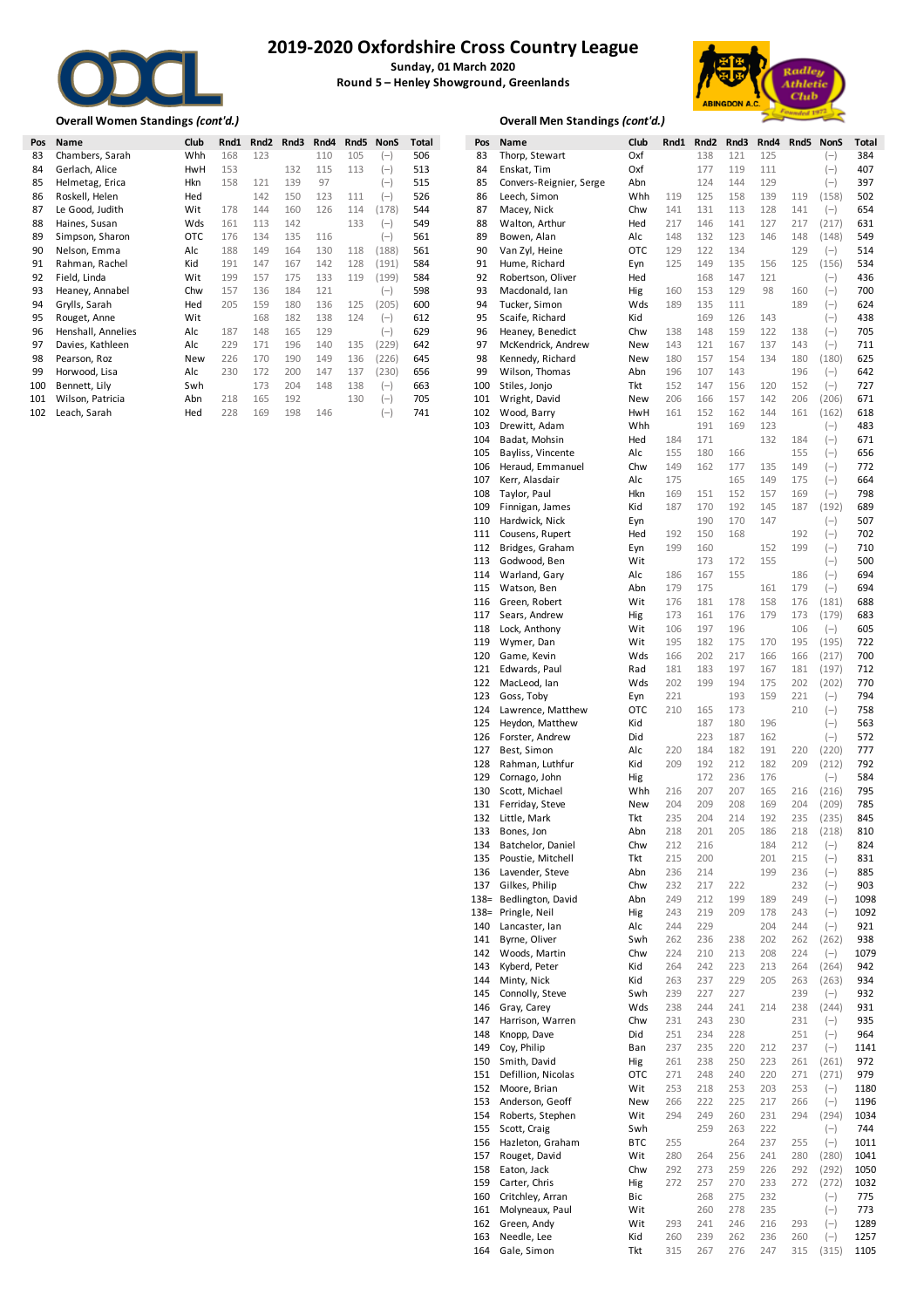

**Sunday, 01 March 2020**





### **Overall Women Standings** *(cont'd.)* **Overall Men Standings** *(cont'd.)*

| <b>Pos</b> | Name               | Club       | Rnd1 | Rnd <sub>2</sub> | Rnd3 | Rnd4 | Rnd <sub>5</sub> | <b>NonS</b> | Total | Pos | <b>Name</b>             | Club       | Rnd1 | Rnd <sub>2</sub> | Rnd3 | Rnd4 | Rnd <sub>5</sub> | <b>NonS</b>              | Tota |
|------------|--------------------|------------|------|------------------|------|------|------------------|-------------|-------|-----|-------------------------|------------|------|------------------|------|------|------------------|--------------------------|------|
| 83         | Chambers, Sarah    | Whh        | 168  | 123              |      | 110  | 105              | $(-)$       | 506   | 83  | Thorp, Stewart          | Oxf        |      | 138              | 121  | 125  |                  | $\left( -\right)$        | 384  |
| 84         | Gerlach, Alice     | <b>HwH</b> | 153  |                  | 132  | 115  | 113              | $(-)$       | 513   | 84  | Enskat, Tim             | Oxf        |      | 177              | 119  | 111  |                  |                          | 407  |
| 85         | Helmetag, Erica    | Hkn        | 158  | 121              | 139  | 97   |                  | $(-)$       | 515   | 85  | Convers-Reignier, Serge | Abn        |      | 124              | 144  | 129  |                  | $\overline{\phantom{a}}$ | 397  |
| 86         | Roskell, Helen     | Hed        |      | 142              | 150  | 123  | 111              | $(-)$       | 526   | 86  | Leech, Simon            | Whh        | 119  | 125              | 158  | 139  | 119              | (158)                    | 502  |
| 87         | Le Good, Judith    | Wit        | 178  | 144              | 160  | 126  | 114              | (178)       | 544   | 87  | Macey, Nick             | Chw        | 141  | 131              | 113  | 128  | 141              | $-$                      | 654  |
| 88         | Haines, Susan      | Wds        | 161  | 113              | 142  |      | 133              | $(-)$       | 549   | 88  | Walton, Arthur          | Hed        | 217  | 146              | 141  | 127  | 217              | (217)                    | 631  |
| 89         | Simpson, Sharon    | <b>OTC</b> | 176  | 134              | 135  | 116  |                  | $(-)$       | 561   | 89  | Bowen, Alan             | Alc        | 148  | 132              | 123  | 146  | 148              | (148)                    | 549  |
| 90         | Nelson, Emma       | Alc        | 188  | 149              | 164  | 130  | 118              | (188)       | 561   | 90  | Van Zyl, Heine          | <b>OTC</b> | 129  | 122              | 134  |      | 129              | $\left  - \right $       | 514  |
| 91         | Rahman, Rachel     | Kid        | 191  | 147              | 167  | 142  | 128              | (191)       | 584   | 91  | Hume, Richard           | Eyn        | 125  | 149              | 135  | 156  | 125              | (156)                    | 534  |
| 92         | Field, Linda       | Wit        | 199  | 157              | 175  | 133  | 119              | (199)       | 584   | 92  | Robertson, Oliver       | Hed        |      | 168              | 147  | 121  |                  | $\left  - \right $       | 436  |
| 93         | Heaney, Annabel    | Chw        | 157  | 136              | 184  | 121  |                  | $(-)$       | 598   | 93  | Macdonald, Ian          | Hig        | 160  | 153              | 129  | 98   | 160              | -                        | 700  |
| 94         | Grylls, Sarah      | Hed        | 205  | 159              | 180  | 136  | 125              | (205)       | 600   | 94  | Tucker, Simon           | Wds        | 189  | 135              | 111  |      | 189              | -                        | 624  |
| 95         | Rouget, Anne       | Wit        |      | 168              | 182  | 138  | 124              | $(-)$       | 612   | 95  | Scaife, Richard         | Kid        |      | 169              | 126  | 143  |                  | $-$                      | 438  |
| 96         | Henshall, Annelies | Alc        | 187  | 148              | 165  | 129  |                  | $(-)$       | 629   | 96  | Heaney, Benedict        | Chw        | 138  | 148              | 159  | 122  | 138              | $\left  - \right $       | 705  |
| 97         | Davies, Kathleen   | Alc        | 229  | 171              | 196  | 140  | 135              | (229)       | 642   | 97  | McKendrick, Andrew      | New        | 143  | 121              | 167  | 137  | 143              | $(-)$                    | 711  |
| 98         | Pearson, Roz       | New        | 226  | 170              | 190  | 149  | 136              | (226)       | 645   | 98  | Kennedy, Richard        | New        | 180  | 157              | 154  | 134  | 180              | (180)                    | 625  |
| 99         | Horwood, Lisa      | Alc        | 230  | 172              | 200  | 147  | 137              | (230)       | 656   | 99  | Wilson, Thomas          | Abn        | 196  | 107              | 143  |      | 196              | $(-)$                    | 642  |
| 100        | Bennett, Lily      | Swh        |      | 173              | 204  | 148  | 138              | $(-)$       | 663   | 100 | Stiles, Jonjo           | Tkt        | 152  | 147              | 156  | 120  | 152              | $\overline{ }$           | 727  |
| 101        | Wilson, Patricia   | Abn        | 218  | 165              | 192  |      | 130              | $(-)$       | 705   | 101 | Wright, David           | New        | 206  | 166              | 157  | 142  | 206              | (206)                    | 671  |
| 102        | Leach. Sarah       | Hed        | 228  | 169              | 198  | 146  |                  |             | 741   | 102 | Wood, Barry             | <b>HwH</b> | 161  | 152              | 162  | 144  | 161              | (162)                    | 618  |

| Pos | Name               | Club       | Rnd1 | Rnd <sub>2</sub><br>123 | Rnd3 | Rnd4 | Rnd5 | <b>NonS</b> | <b>Total</b> | Pos     | Name                    | Club       | Rnd1       | Rnd <sub>2</sub> | Rnd3 | Rnd4       | Rnd5 | <b>NonS</b> | <b>Total</b> |
|-----|--------------------|------------|------|-------------------------|------|------|------|-------------|--------------|---------|-------------------------|------------|------------|------------------|------|------------|------|-------------|--------------|
| 83  | Chambers, Sarah    | Whh        | 168  |                         |      | 110  | 105  | $(-)$       | 506          | 83      | Thorp, Stewart          | Oxf        |            | 138              | 121  | 125        |      | $(-)$       | 384          |
| 84  | Gerlach, Alice     | <b>HwH</b> | 153  |                         | 132  | 115  | 113  | $(-)$       | 513          | 84      | Enskat, Tim             | Oxf        |            | 177              | 119  | 111        |      | $(-)$       | 407          |
| 85  | Helmetag, Erica    | Hkn        | 158  | 121                     | 139  | 97   |      | $(-)$       | 515          | 85      | Convers-Reignier, Serge | Abn        |            | 124              | 144  | 129        |      | $(-)$       | 397          |
| 86  | Roskell, Helen     | Hed        |      | 142                     | 150  | 123  | 111  | $(-)$       | 526          | 86      | Leech, Simon            | Whh        | 119        | 125              | 158  | 139        | 119  | (158)       | 502          |
| 87  | Le Good, Judith    | Wit        | 178  | 144                     | 160  | 126  | 114  | (178)       | 544          | 87      | Macey, Nick             | Chw        | 141        | 131              | 113  | 128        | 141  | $(-)$       | 654          |
| 88  | Haines, Susan      | Wds        | 161  | 113                     | 142  |      | 133  | $(-)$       | 549          | 88      | Walton, Arthur          | Hed        | 217        | 146              | 141  | 127        | 217  | (217)       | 631          |
| 89  | Simpson, Sharon    | <b>OTC</b> | 176  | 134                     | 135  | 116  |      | $(-)$       | 561          | 89      | Bowen, Alan             | Alc        | 148        | 132              | 123  | 146        | 148  | (148)       | 549          |
| 90  | Nelson, Emma       | Alc        | 188  | 149                     | 164  | 130  | 118  | (188)       | 561          | 90      | Van Zyl, Heine          | <b>OTC</b> | 129        | 122              | 134  |            | 129  | $(-)$       | 514          |
| 91  | Rahman, Rachel     | Kid        | 191  | 147                     | 167  | 142  | 128  | (191)       | 584          | 91      | Hume, Richard           | Eyn        | 125        | 149              | 135  | 156        | 125  | (156)       | 534          |
| 92  | Field, Linda       | Wit        | 199  | 157                     | 175  | 133  | 119  | (199)       | 584          | 92      | Robertson, Oliver       | Hed        |            | 168              | 147  | 121        |      | $(-)$       | 436          |
| 93  | Heaney, Annabel    | Chw        | 157  | 136                     | 184  | 121  |      | $(-)$       | 598          | 93      | Macdonald, Ian          | Hig        | 160        | 153              | 129  | 98         | 160  | $(-)$       | 700          |
| 94  | Grylls, Sarah      | Hed        | 205  | 159                     | 180  | 136  | 125  | (205)       | 600          | 94      | Tucker, Simon           | Wds        | 189        | 135              | 111  |            | 189  | $(-)$       | 624          |
| 95  | Rouget, Anne       | Wit        |      | 168                     | 182  | 138  | 124  | $(-)$       | 612          | 95      | Scaife, Richard         | Kid        |            | 169              | 126  | 143        |      | $(-)$       | 438          |
| 96  | Henshall, Annelies | Alc        | 187  | 148                     | 165  | 129  |      | $(-)$       | 629          | 96      | Heaney, Benedict        | Chw        | 138        | 148              | 159  | 122        | 138  | $(-)$       | 705          |
| 97  | Davies, Kathleen   | Alc        | 229  | 171                     | 196  | 140  | 135  | (229)       | 642          | 97      | McKendrick, Andrew      | New        | 143        | 121              | 167  | 137        | 143  | $(-)$       | 711          |
| 98  | Pearson, Roz       | New        | 226  | 170                     | 190  | 149  | 136  | (226)       | 645          | 98      | Kennedy, Richard        | New        | 180        | 157              | 154  | 134        | 180  | (180)       | 625          |
| 99  | Horwood, Lisa      | Alc        | 230  | 172                     | 200  | 147  | 137  | (230)       | 656          | 99      | Wilson, Thomas          | Abn        | 196        | 107              | 143  |            | 196  | $(-)$       | 642          |
| 100 | Bennett, Lily      | Swh        |      | 173                     | 204  | 148  | 138  | $(-)$       | 663          | 100     | Stiles, Jonjo           | Tkt        | 152        | 147              | 156  | 120        | 152  | $(-)$       | 727          |
| 101 | Wilson, Patricia   | Abn        | 218  | 165                     | 192  |      | 130  | $(-)$       | 705          | 101     | Wright, David           | New        | 206        | 166              | 157  | 142        | 206  | (206)       | 671          |
| 102 | Leach, Sarah       | Hed        | 228  | 169                     | 198  | 146  |      | $(-)$       | 741          | 102     | Wood, Barry             | <b>HwH</b> | 161        | 152              | 162  | 144        | 161  | (162)       | 618          |
|     |                    |            |      |                         |      |      |      |             |              | 103     | Drewitt, Adam           | Whh        |            | 191              | 169  | 123        |      | $(-)$       | 483          |
|     |                    |            |      |                         |      |      |      |             |              | 104     | Badat, Mohsin           | Hed        | 184        | 171              |      | 132        | 184  |             | 671          |
|     |                    |            |      |                         |      |      |      |             |              |         |                         |            |            |                  |      |            |      | $(-)$       |              |
|     |                    |            |      |                         |      |      |      |             |              | 105     | Bayliss, Vincente       | Alc        | 155        | 180              | 166  |            | 155  | $(-)$       | 656          |
|     |                    |            |      |                         |      |      |      |             |              | 106     | Heraud, Emmanuel        | Chw        | 149        | 162              | 177  | 135        | 149  | $(-)$       | 772          |
|     |                    |            |      |                         |      |      |      |             |              | 107     | Kerr, Alasdair          | Alc        | 175        |                  | 165  | 149        | 175  | $(-)$       | 664          |
|     |                    |            |      |                         |      |      |      |             |              | 108     | Taylor, Paul            | Hkn        | 169        | 151              | 152  | 157        | 169  | $(-)$       | 798          |
|     |                    |            |      |                         |      |      |      |             |              | 109     | Finnigan, James         | Kid        | 187        | 170              | 192  | 145        | 187  | (192)       | 689          |
|     |                    |            |      |                         |      |      |      |             |              | 110     | Hardwick, Nick          | Eyn        |            | 190              | 170  | 147        |      | $(-)$       | 507          |
|     |                    |            |      |                         |      |      |      |             |              | 111     | Cousens, Rupert         | Hed        | 192        | 150              | 168  |            | 192  | $(-)$       | 702          |
|     |                    |            |      |                         |      |      |      |             |              | 112     | Bridges, Graham         | Eyn        | 199        | 160              |      | 152        | 199  | $(-)$       | 710          |
|     |                    |            |      |                         |      |      |      |             |              | 113     | Godwood, Ben            | Wit        |            | 173              | 172  | 155        |      | $(-)$       | 500          |
|     |                    |            |      |                         |      |      |      |             |              | 114     | Warland, Gary           | Alc        | 186        | 167              | 155  |            | 186  | $(-)$       | 694          |
|     |                    |            |      |                         |      |      |      |             |              | 115     | Watson, Ben             | Abn        | 179        | 175              |      | 161        | 179  | $(-)$       | 694          |
|     |                    |            |      |                         |      |      |      |             |              | 116     | Green, Robert           | Wit        | 176        | 181              | 178  | 158        | 176  | (181)       | 688          |
|     |                    |            |      |                         |      |      |      |             |              | 117     | Sears, Andrew           | Hig        | 173        | 161              | 176  | 179        | 173  | (179)       | 683          |
|     |                    |            |      |                         |      |      |      |             |              | 118     | Lock, Anthony           | Wit        | 106        | 197              | 196  |            | 106  | $(-)$       | 605          |
|     |                    |            |      |                         |      |      |      |             |              | 119     | Wymer, Dan              | Wit        | 195        | 182              | 175  | 170        | 195  | (195)       | 722          |
|     |                    |            |      |                         |      |      |      |             |              | 120     | Game, Kevin             | Wds        | 166        | 202              | 217  | 166        | 166  | (217)       | 700          |
|     |                    |            |      |                         |      |      |      |             |              | 121     | Edwards, Paul           | Rad        | 181        | 183              | 197  | 167        | 181  | (197)       | 712          |
|     |                    |            |      |                         |      |      |      |             |              | 122     | MacLeod, lan            | Wds        | 202        | 199              | 194  | 175        | 202  | (202)       | 770          |
|     |                    |            |      |                         |      |      |      |             |              | 123     | Goss, Toby              | Eyn        | 221        |                  | 193  | 159        | 221  | $(-)$       | 794          |
|     |                    |            |      |                         |      |      |      |             |              | 124     | Lawrence, Matthew       | <b>OTC</b> | 210        | 165              | 173  |            | 210  | $(-)$       | 758          |
|     |                    |            |      |                         |      |      |      |             |              | 125     | Heydon, Matthew         | Kid        |            | 187              | 180  | 196        |      | $(-)$       | 563          |
|     |                    |            |      |                         |      |      |      |             |              | 126     | Forster, Andrew         | Did        |            | 223              | 187  | 162        |      | $(-)$       | 572          |
|     |                    |            |      |                         |      |      |      |             |              | 127     | Best, Simon             | Alc        | 220        | 184              | 182  | 191        | 220  | (220)       | 777          |
|     |                    |            |      |                         |      |      |      |             |              | 128     | Rahman, Luthfur         | Kid        | 209        | 192              | 212  | 182        | 209  | (212)       | 792          |
|     |                    |            |      |                         |      |      |      |             |              | 129     | Cornago, John           | Hig        |            | 172              | 236  | 176        |      | $(-)$       | 584          |
|     |                    |            |      |                         |      |      |      |             |              | 130     | Scott, Michael          | Whh        | 216        | 207              | 207  | 165        | 216  | (216)       | 795          |
|     |                    |            |      |                         |      |      |      |             |              | 131     | Ferriday, Steve         | New        | 204        | 209              | 208  | 169        | 204  | (209)       | 785          |
|     |                    |            |      |                         |      |      |      |             |              | 132     | Little, Mark            | Tkt        | 235        | 204              | 214  | 192        | 235  | (235)       | 845          |
|     |                    |            |      |                         |      |      |      |             |              |         |                         |            |            |                  | 205  |            |      |             |              |
|     |                    |            |      |                         |      |      |      |             |              | 133     | Bones, Jon              | Abn<br>Chw | 218<br>212 | 201<br>216       |      | 186<br>184 | 218  | (218)       | 810          |
|     |                    |            |      |                         |      |      |      |             |              | 134     | Batchelor, Daniel       |            |            |                  |      |            | 212  | $(-)$       | 824          |
|     |                    |            |      |                         |      |      |      |             |              | 135     | Poustie, Mitchell       | Tkt        | 215        | 200              |      | 201        | 215  | $(-)$       | 831          |
|     |                    |            |      |                         |      |      |      |             |              | 136     | Lavender, Steve         | Abn        | 236        | 214              |      | 199        | 236  | $(-)$       | 885          |
|     |                    |            |      |                         |      |      |      |             |              | 137     | Gilkes, Philip          | Chw        | 232        | 217              | 222  |            | 232  | $(-)$       | 903          |
|     |                    |            |      |                         |      |      |      |             |              | $138 =$ | Bedlington, David       | Abn        | 249        | 212              | 199  | 189        | 249  | $(-)$       | 1098         |
|     |                    |            |      |                         |      |      |      |             |              | $138 =$ | Pringle, Neil           | Hig        | 243        | 219              | 209  | 178        | 243  | $(-)$       | 1092         |
|     |                    |            |      |                         |      |      |      |             |              | 140     | Lancaster, lan          | Alc        | 244        | 229              |      | 204        | 244  | $(-)$       | 921          |
|     |                    |            |      |                         |      |      |      |             |              | 141     | Byrne, Oliver           | Swh        | 262        | 236              | 238  | 202        | 262  | (262)       | 938          |
|     |                    |            |      |                         |      |      |      |             |              | 142     | Woods, Martin           | Chw        | 224        | 210              | 213  | 208        | 224  | $(-)$       | 1079         |
|     |                    |            |      |                         |      |      |      |             |              | 143     | Kyberd, Peter           | Kid        | 264        | 242              | 223  | 213        | 264  | (264)       | 942          |
|     |                    |            |      |                         |      |      |      |             |              | 144     | Minty, Nick             | Kid        | 263        | 237              | 229  | 205        | 263  | (263)       | 934          |
|     |                    |            |      |                         |      |      |      |             |              | 145     | Connolly, Steve         | Swh        | 239        | 227              | 227  |            | 239  | $(-)$       | 932          |
|     |                    |            |      |                         |      |      |      |             |              | 146     | Gray, Carey             | Wds        | 238        | 244              | 241  | 214        | 238  | (244)       | 931          |
|     |                    |            |      |                         |      |      |      |             |              | 147     | Harrison, Warren        | Chw        | 231        | 243              | 230  |            | 231  | $(-)$       | 935          |
|     |                    |            |      |                         |      |      |      |             |              | 148     | Knopp, Dave             | Did        | 251        | 234              | 228  |            | 251  | $(-)$       | 964          |
|     |                    |            |      |                         |      |      |      |             |              | 149     | Coy, Philip             | Ban        | 237        | 235              | 220  | 212        | 237  | $(-)$       | 1141         |
|     |                    |            |      |                         |      |      |      |             |              | 150     | Smith, David            | Hig        | 261        | 238              | 250  | 223        | 261  | (261)       | 972          |
|     |                    |            |      |                         |      |      |      |             |              | 151     | Defillion, Nicolas      | <b>OTC</b> | 271        | 248              | 240  | 220        | 271  | (271)       | 979          |
|     |                    |            |      |                         |      |      |      |             |              | 152     | Moore, Brian            | Wit        | 253        | 218              | 253  | 203        | 253  | $(-)$       | 1180         |
|     |                    |            |      |                         |      |      |      |             |              | 153     | Anderson, Geoff         | New        | 266        | 222              | 225  | 217        | 266  | $(-)$       | 1196         |
|     |                    |            |      |                         |      |      |      |             |              | 154     | Roberts, Stephen        | Wit        | 294        | 249              | 260  | 231        | 294  | (294)       | 1034         |
|     |                    |            |      |                         |      |      |      |             |              | 155     | Scott, Craig            | Swh        |            | 259              | 263  | 222        |      | $(-)$       | 744          |
|     |                    |            |      |                         |      |      |      |             |              | 156     | Hazleton, Graham        | <b>BTC</b> | 255        |                  | 264  | 237        | 255  | $(-)$       | 1011         |
|     |                    |            |      |                         |      |      |      |             |              | 157     | Rouget, David           | Wit        | 280        | 264              | 256  | 241        | 280  | (280)       | 1041         |
|     |                    |            |      |                         |      |      |      |             |              | 158     | Eaton, Jack             | Chw        | 292        | 273              | 259  | 226        | 292  | (292)       | 1050         |
|     |                    |            |      |                         |      |      |      |             |              | 159     | Carter, Chris           | Hig        | 272        | 257              | 270  | 233        | 272  | (272)       | 1032         |
|     |                    |            |      |                         |      |      |      |             |              | 160     | Critchley, Arran        | Bic        |            | 268              | 275  | 232        |      | $(-)$       | 775          |
|     |                    |            |      |                         |      |      |      |             |              | 161     | Molyneaux, Paul         | Wit        |            | 260              | 278  | 235        |      | $(-)$       | 773          |
|     |                    |            |      |                         |      |      |      |             |              | 162     | Green, Andy             | Wit        | 293        | 241              | 246  | 216        | 293  | $(-)$       | 1289         |
|     |                    |            |      |                         |      |      |      |             |              | 163     | Needle, Lee             | Kid        | 260        | 239              | 262  | 236        | 260  | $(-)$       | 1257         |
|     |                    |            |      |                         |      |      |      |             |              |         | 164 Gale, Simon         | Tkt        | 315        | 267              | 276  | 247        | 315  | (315)       | 1105         |
|     |                    |            |      |                         |      |      |      |             |              |         |                         |            |            |                  |      |            |      |             |              |